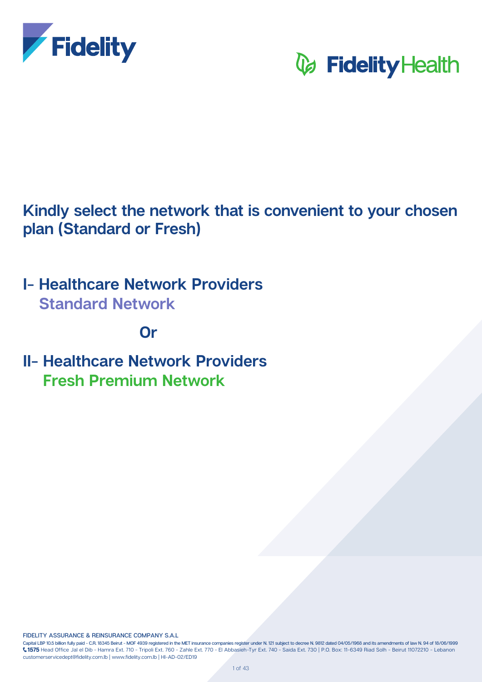

# **V** Fidelity Health

Kindly select the network that is convenient to your chosen **plan (Standard or Fresh)** 

**I- Healthcare Network Providers Standard Network** 

# *Or*

**II- Healthcare Network Providers Fresh Premium Network** 

**FIDELITY ASSURANCE & REINSURANCE COMPANY S.A.L.** 

Capital LBP 10.5 billion fully paid - C.R. 18345 Beirut - MOF 4939 registered in the MET insurance companies register under N. 121 subject to decree N. 9812 dated 04/05/1968 and its amendments of law N. 94 of 18/06/1999 1575 Head Office Jal el Dib - Hamra Ext. 710 - Tripoli Ext. 760 - Zahle Ext. 770 - El Abbasieh-Tyr Ext. 740 - Saida Ext. 730 | P.O. Box: 11-6349 Riad Solh - Beirut 11072210 - Lebanon customerservicedept@fidelity.com.lb | www.fidelity.com.lb | HI-AD-02/ED19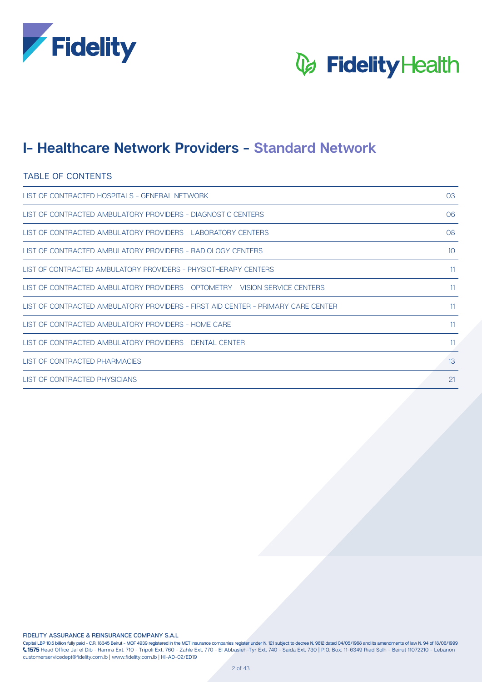



### **I- Healthcare Network Providers - Standard Network**

### TABLE OF CONTENTS

| LIST OF CONTRACTED HOSPITALS - GENERAL NETWORK                                   | 03 |
|----------------------------------------------------------------------------------|----|
| LIST OF CONTRACTED AMBULATORY PROVIDERS - DIAGNOSTIC CENTERS                     | 06 |
| LIST OF CONTRACTED AMBULATORY PROVIDERS - LABORATORY CENTERS                     | 08 |
| LIST OF CONTRACTED AMBULATORY PROVIDERS - RADIOLOGY CENTERS                      | 10 |
| LIST OF CONTRACTED AMBULATORY PROVIDERS - PHYSIOTHERAPY CENTERS                  | 11 |
| LIST OF CONTRACTED AMBULATORY PROVIDERS - OPTOMETRY - VISION SERVICE CENTERS     | 11 |
| LIST OF CONTRACTED AMBULATORY PROVIDERS - FIRST AID CENTER - PRIMARY CARE CENTER | 11 |
| LIST OF CONTRACTED AMBULATORY PROVIDERS - HOME CARE                              | 11 |
| LIST OF CONTRACTED AMBULATORY PROVIDERS - DENTAL CENTER                          | 11 |
| LIST OF CONTRACTED PHARMACIES                                                    | 13 |
| LIST OF CONTRACTED PHYSICIANS                                                    | 21 |

**FIDELITY ASSURANCE & REINSURANCE COMPANY S.A.L** 

Capital LBP 10.5 billion fully paid - C.R. 18345 Beirut - MOF 4939 registered in the MET insurance companies register under N. 121 subject to decree N. 9812 dated 04/05/1968 and its amendments of law N. 94 of 18/06/1999  $\zeta$ 1575 Head Office Jal el Dib - Hamra Ext. 710 - Tripoli Ext. 760 - Zahle Ext. 770 - El Abbasieh-Tyr Ext. 740 - Saida Ext. 730 | P.O. Box: 11-6349 Riad Solh - Beirut 11072210 - Lebanon customerservicedept@fidelity.com.lb | www.fidelity.com.lb | HI-AD-02/ED19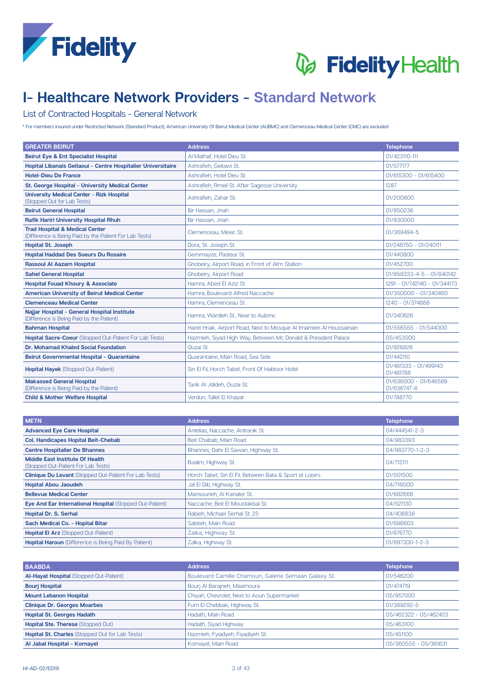



# **I- Healthcare Network Providers - Standard Network**

#### List of Contracted Hospitals - General Network

\* For members insured under Restricted Network (Standard Product), American University Of Beirut Medical Center (AUBMC) and Clemenceau Medical Center (CMC) are excluded

| <b>GREATER BEIRUT</b>                                                                                | <b>Address</b>                                                      | <b>Telephone</b>                     |
|------------------------------------------------------------------------------------------------------|---------------------------------------------------------------------|--------------------------------------|
| <b>Beirut Eye &amp; Ent Specialist Hospital</b>                                                      | Al Mathaf, Hotel Dieu St.                                           | 01/423110-111                        |
| Hopital Libanais Geitaoui - Centre Hospitalier Universitaire                                         | Ashrafieh. Geitawi St.                                              | 01/577177                            |
| <b>Hotel-Dieu De France</b>                                                                          | Ashrafieh. Hotel Dieu St.                                           | 01/615300 - 01/615400                |
| St. George Hospital - University Medical Center                                                      | Ashrafieh, Rmeil St. After Sagesse University                       | 1287                                 |
| <b>University Medical Center - Rizk Hospital</b><br>(Stopped Out for Lab Tests)                      | Ashrafieh, Zahar St.                                                | 01/200800                            |
| <b>Beirut General Hospital</b>                                                                       | Bir Hassan, Jnah                                                    | 01/850236                            |
| <b>Rafik Hariri University Hospital Rhuh</b>                                                         | Bir Hassan, Jnah                                                    | 01/830000                            |
| <b>Trad Hospital &amp; Medical Center</b><br>(Difference is Being Paid by the Patient For Lab Tests) | Clemenceau, Mexic St.                                               | 01/369494-5                          |
| <b>Hopital St. Joseph</b>                                                                            | Dora, St. Joseph St.                                                | 01/248750 - 01/240111                |
| <b>Hopital Haddad Des Soeurs Du Rosaire</b>                                                          | Gemmayze, Pasteur St.                                               | 01/440800                            |
| <b>Rassoul AI Aazam Hospital</b>                                                                     | Ghobeiry, Airport Road, in Front of Atm Station                     | 01/452700                            |
| <b>Sahel General Hospital</b>                                                                        | Ghobeiry, Airport Road                                              | 01/858333-4-5 - 01/840142            |
| <b>Hospital Fouad Khoury &amp; Associate</b>                                                         | Hamra, Abed El Aziz St.                                             | 1291 - 01/742140 - 01/344173         |
| <b>American University of Beirut Medical Center</b>                                                  | Hamra, Boulevard Alfred Naccache                                    | 01/350000 - 01/340460                |
| <b>Clemenceau Medical Center</b>                                                                     | Hamra, Clemenceau St.                                               | 1240 - 01/374888                     |
| Najjar Hospital - General Hospital Institute<br>(Difference is Being Paid by the Patient)            | Hamra, Wardieh St., Near to Aubmc                                   | 01/340626                            |
| <b>Bahman Hospital</b>                                                                               | Haret Hraik, Airport Road, Next to Mosque AI Imamein AI Houssainain | 01/556555 - 01/544000                |
| <b>Hopital Sacre-Coeur</b> (Stopped Out-Patient For Lab Tests)                                       | Hazmieh, Siyad High Way, Between Mc Donald & President Palace       | 05/453500                            |
| Dr. Mohamad Khaled Social Foundation                                                                 | Ouzai St.                                                           | 01/826826                            |
| Beirut Governmental Hospital - Quarantaine                                                           | Quarantaine, Main Road, Sea Side                                    | 01/442110                            |
| <b>Hopital Hayek (Stopped Out-Patient)</b>                                                           | Sin El Fil, Horch Tabet, Front Of Habtoor Hotel                     | 01/481333 - 01/499143<br>01/481788   |
| <b>Makassed General Hospital</b><br>(Difference is Being Paid by the Patient)                        | Tarik Al Jdideh, Ouzai St.                                          | 01/636000 - 01/646589<br>01/636747-8 |
| <b>Child &amp; Mother Welfare Hospital</b>                                                           | Verdun, Tallet El Khayat                                            | 01/788770                            |

| <b>METN</b>                                                            | <b>Address</b>                                           | <b>Telephone</b> |
|------------------------------------------------------------------------|----------------------------------------------------------|------------------|
| <b>Advanced Eye Care Hospital</b>                                      | Antelias, Naccache, Antranik St.                         | 04/444541-2-3    |
| <b>Col. Handicapes Hopital Beit-Chebab</b>                             | Beit Chabab, Main Road                                   | 04/983393        |
| <b>Centre Hospitalier De Bhannes</b>                                   | Bhannes, Dahr El Sawan, Highway St.                      | 04/983770-1-2-3  |
| Middle East Institute Of Health<br>(Stopped Out-Patient For Lab Tests) | Bsalim, Highway St.                                      | 04/712111        |
| <b>Clinique Du Levant (Stopped Out-Patient For Lab Tests)</b>          | Horch Tabet, Sin El Fil, Between Bata & Sport et Loisirs | 01/501500        |
| <b>Hopital Abou Jaoudeh</b>                                            | Jal El Dib, Highway St.                                  | 04/716000        |
| <b>Bellevue Medical Center</b>                                         | Mansourieh, Al Kanater St.                               | 01/682666        |
| Eye And Ear International Hospital (Stopped Out-Patient)               | Naccache, Beit El Moustakbal St.                         | 04/521130        |
| <b>Hopital Dr. S. Serhal</b>                                           | Rabieh, Michael Serhal St. 25                            | 04/406838        |
| Sach Medical Co. - Hopital Bitar                                       | Sabtieh, Main Road                                       | 01/686603        |
| <b>Hopital El Arz</b> (Stopped Out-Patient)                            | Zalka, Highway St.                                       | 01/876770        |
| <b>Hopital Haroun</b> (Difference is Being Paid By Patient)            | Zalka, Highway St.                                       | 01/897300-1-2-3  |

| <b>BAABDA</b>                                          | <b>Address</b>                                       | <b>Telephone</b>      |
|--------------------------------------------------------|------------------------------------------------------|-----------------------|
| <b>Al-Hayat Hospital (Stopped Out-Patient)</b>         | Boulevard Camille Chamoun, Galerie Semaan Galaxy St. | 01/546200             |
| <b>Bourj Hospital</b>                                  | Bourj Al Barajneh, Maamoura                          | 01/474719             |
| <b>Mount Lebanon Hospital</b>                          | Chiyah, Chevrolet, Next to Aoun Supermarket          | 05/957000             |
| <b>Clinique Dr. Georges Moarbes</b>                    | Furn El Chebbak, Highway St.                         | 01/389292-5           |
| <b>Hopital St. Georges Hadath</b>                      | Hadath, Main Road                                    | 05/462322 - 05/462423 |
| Hopital Ste. Therese (Stopped Out)                     | Hadath, Siyad Highway                                | 05/463100             |
| <b>Hopital St. Charles (Stopped Out for Lab Tests)</b> | Hazmieh, Fyiadyeh, Fiyadiyeh St.                     | 05/451100             |
| Al Jabal Hospital - Kornayel                           | Kornayel, Main Road                                  | 05/360555 - 05/361631 |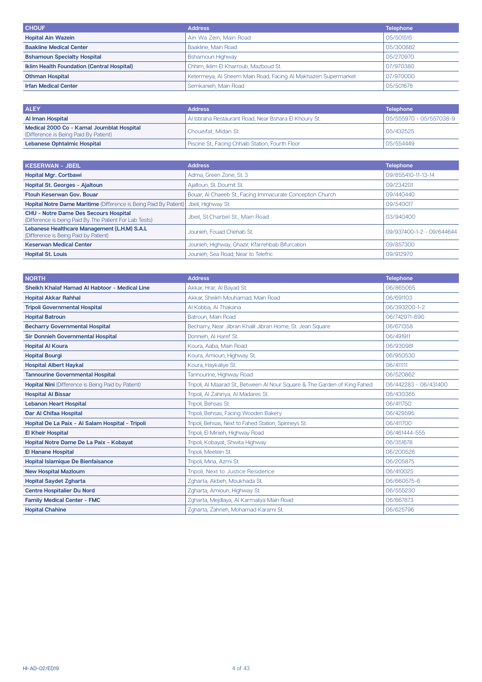| <b>CHOUF</b>                                      | <b>Address</b>                                                | <b>Telephone</b> |
|---------------------------------------------------|---------------------------------------------------------------|------------------|
| <b>Hopital Ain Wazein</b>                         | Ain Wa Zein, Main Road                                        | 05/501515        |
| <b>Baakline Medical Center</b>                    | Baakline, Main Road                                           | 05/300882        |
| <b>Bshamoun Specialty Hospital</b>                | <b>Bshamoun Highway</b>                                       | 05/270970        |
| <b>Iklim Health Foundation (Central Hospital)</b> | Chhim, Iklim El Kharroub, Mazboud St.                         | 07/970380        |
| <b>Othman Hospital</b>                            | Ketermeya, Al Sheem Main Road, Facing Al Makhazen Supermarket | 07/970000        |
| <b>Irfan Medical Center</b>                       | Semkanieh, Main Road                                          | 05/501678        |

| <b>ALEY</b>                                                                        | <b>Address</b>                                         | <b>Telephone</b>        |
|------------------------------------------------------------------------------------|--------------------------------------------------------|-------------------------|
| Al Iman Hospital                                                                   | Al Istiraha Restaurant Road, Near Bshara El Khoury St. | 05/555970 - 05/557038-9 |
| Medical 2000 Co - Kamal Joumblat Hospital<br>(Difference is Being Paid By Patient) | l Choueifat. Midan St.                                 | 05/432525               |
| <b>Lebanese Ophtalmic Hospital</b>                                                 | Piscine St., Facing Chhaib Station, Fourth Floor       | 05/554449               |

| <b>KESERWAN - JBEIL</b>                                                                                 | <b>Address</b>                                            | <b>Telephone</b>          |
|---------------------------------------------------------------------------------------------------------|-----------------------------------------------------------|---------------------------|
| <b>Hopital Mgr. Cortbawi</b>                                                                            | Adma, Green Zone, St. 3                                   | 09/855410-11-13-14        |
| Hopital St. Georges - Ajaltoun                                                                          | Ajaltoun, St. Doumit St.                                  | 09/234201                 |
| <b>Ftouh Keserwan Gov. Bouar</b>                                                                        | Bouar, Al Chaeeb St., Facing Immacurate Conception Church | 09/440440                 |
| <b>Hopital Notre Dame Maritime</b> (Difference is Being Paid By Patient)                                | Jbeil, Highway St.                                        | 09/540017                 |
| <b>CHU - Notre Dame Des Secours Hospital</b><br>(Difference is being Paid By The Patient For Lab Tests) | Jbeil, St.Charbel St., Main Road                          | 03/940400                 |
| Lebanese Healthcare Management (L.H.M) S.A.L<br>(Difference is Being Paid by Patient)                   | Jounieh, Fouad Chehab St.                                 | 09/937400-1-2 - 09/644644 |
| <b>Keserwan Medical Center</b>                                                                          | Jounieh, Highway, Ghazir, Kfarrehbab Bifurcation          | 09/857300                 |
| <b>Hopital St. Louis</b>                                                                                | Jounieh, Sea Road, Near to Telefric                       | 09/912970                 |

| <b>NORTH</b>                                              | <b>Address</b>                                                            | <b>Telephone</b>      |
|-----------------------------------------------------------|---------------------------------------------------------------------------|-----------------------|
| Sheikh Khalaf Hamad Al Habtoor - Medical Line             | Akkar, Hrar, Al Bayad St.                                                 | 06/865065             |
| <b>Hopital Akkar Rahhal</b>                               | Akkar, Sheikh Mouhamad, Main Road                                         | 06/691103             |
| <b>Tripoli Governmental Hospital</b>                      | Al Kobba, Al Thakana                                                      | 06/393200-1-2         |
| <b>Hopital Batroun</b>                                    | Batroun, Main Road                                                        | 06/742971-690         |
| <b>Becharry Governmental Hospital</b>                     | Becharry, Near Jibran Khalil Jibran Home, St. Jean Square                 | 06/671358             |
| <b>Sir Donnieh Governmental Hospital</b>                  | Donnieh, Al Haref St.                                                     | 06/491911             |
| <b>Hopital Al Koura</b>                                   | Koura, Aaba, Main Road                                                    | 06/930981             |
| <b>Hopital Bourgi</b>                                     | Koura, Amioun, Highway St.                                                | 06/950530             |
| <b>Hospital Albert Haykal</b>                             | Koura, Haykaliye St.                                                      | 06/411111             |
| <b>Tannourine Governmental Hospital</b>                   | Tannourine, Highway Road                                                  | 06/520862             |
| <b>Hopital Nini</b> (Difference is Being Paid by Patient) | Tripoli, Al Maarad St., Between Al Nour Square & The Garden of King Fahed | 06/442283 - 06/431400 |
| <b>Hospital Al Bissar</b>                                 | Tripoli, Al Zahiriya, Al Madares St.                                      | 06/430365             |
| <b>Lebanon Heart Hospital</b>                             | Tripoli, Behsas St.                                                       | 06/411750             |
| Dar Al Chifaa Hospital                                    | Tripoli, Behsas, Facing Wooden Bakery                                     | 06/429595             |
| Hopital De La Paix - Al Salam Hospital - Tripoli          | Tripoli, Behsas, Next to Fahed Station, Spinneys St.                      | 06/411700             |
| <b>El Kheir Hospital</b>                                  | Tripoli, El Minieh, Highway Road                                          | 06/461444-555         |
| Hopital Notre Dame De La Paix - Kobayat                   | Tripoli, Kobayat, Shwita Highway                                          | 06/351678             |
| <b>El Hanane Hospital</b>                                 | Tripoli, Meetein St.                                                      | 06/200526             |
| <b>Hopital Islamique De Bienfaisance</b>                  | Tripoli, Mina, Azmi St.                                                   | 06/205875             |
| <b>New Hospital Mazloum</b>                               | Tripoli, Next to Justice Residence                                        | 06/410025             |
| <b>Hopital Saydet Zgharta</b>                             | Zgharta, Akbeh, Moukhada St.                                              | 06/660575-6           |
| <b>Centre Hospitalier Du Nord</b>                         | Zgharta, Amioun, Highway St.                                              | 06/555230             |
| <b>Family Medical Center - FMC</b>                        | Zgharta, Mejdlaya, Al Karmaliya Main Road                                 | 06/667873             |
| <b>Hopital Chahine</b>                                    | Zgharta, Zahrieh, Mohamad Karami St.                                      | 06/625796             |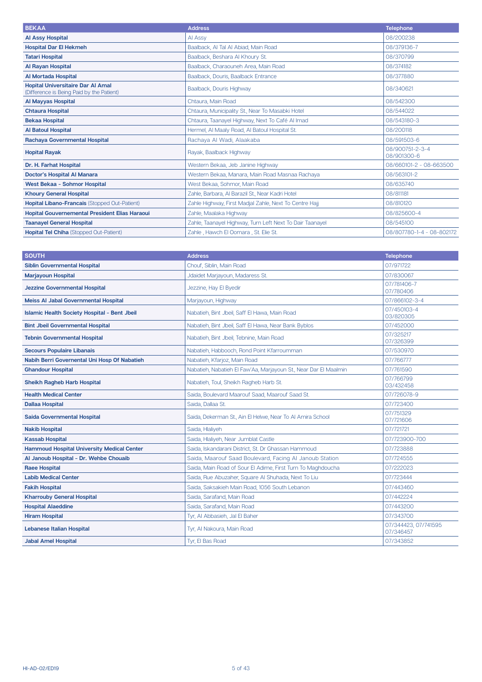| <b>BEKAA</b>                                                                          | <b>Address</b>                                           | <b>Telephone</b>               |
|---------------------------------------------------------------------------------------|----------------------------------------------------------|--------------------------------|
| <b>Al Assy Hospital</b>                                                               | Al Assy                                                  | 08/200238                      |
| <b>Hospital Dar El Hekmeh</b>                                                         | Baalback, Al Tal Al Abiad, Main Road                     | 08/379136-7                    |
| <b>Tatari Hospital</b>                                                                | Baalback, Beshara Al Khoury St.                          | 08/370799                      |
| <b>Al Rayan Hospital</b>                                                              | Baalback, Charaouneh Area, Main Road                     | 08/374182                      |
| <b>Al Mortada Hospital</b>                                                            | Baalback, Douris, Baalback Entrance                      | 08/377880                      |
| <b>Hopital Universitaire Dar AI Amal</b><br>(Difference is Being Paid by the Patient) | Baalback, Douris Highway                                 | 08/340621                      |
| <b>Al Mayyas Hospital</b>                                                             | Chtaura, Main Road                                       | 08/542300                      |
| <b>Chtaura Hospital</b>                                                               | Chtaura, Municipality St., Near To Masabki Hotel         | 08/544022                      |
| <b>Bekaa Hospital</b>                                                                 | Chtaura, Taanayel Highway, Next To Café Al Imad          | 08/543180-3                    |
| <b>Al Batoul Hospital</b>                                                             | Hermel, Al Maaly Road, Al Batoul Hospital St.            | 08/200118                      |
| Rachaya Governmental Hospital                                                         | Rachaya Al Wadi, Alaakaba                                | 08/591503-6                    |
| <b>Hopital Rayak</b>                                                                  | Rayak, Baalback Highway                                  | 08/900751-2-3-4<br>08/901300-6 |
| Dr. H. Farhat Hospital                                                                | Western Bekaa, Jeb Janine Highway                        | 08/660101-2 - 08-663500        |
| <b>Doctor's Hospital Al Manara</b>                                                    | Western Bekaa, Manara, Main Road Masnaa Rachaya          | 08/563101-2                    |
| <b>West Bekaa - Sohmor Hospital</b>                                                   | West Bekaa, Sohmor, Main Road                            | 08/635740                      |
| <b>Khoury General Hospital</b>                                                        | Zahle, Barbara, Al Barazil St., Near Kadri Hotel         | 08/811181                      |
| Hopital Libano-Francais (Stopped Out-Patient)                                         | Zahle Highway, First Madjal Zahle, Next To Centre Hajj   | 08/810120                      |
| <b>Hopital Gouvernemental President Elias Haraoui</b>                                 | Zahle, Maalaka Highway                                   | 08/825600-4                    |
| <b>Taanayel General Hospital</b>                                                      | Zahle, Taanayel Highway, Turn Left Next To Dair Taanayel | 08/545100                      |
| <b>Hopital Tel Chiha (Stopped Out-Patient)</b>                                        | Zahle, Hawch El Oomara, St. Elie St.                     | 08/807780-1-4 - 08-802172      |

| <b>SOUTH</b>                                        | <b>Address</b>                                                   | <b>Telephone</b>                  |
|-----------------------------------------------------|------------------------------------------------------------------|-----------------------------------|
| <b>Siblin Governmental Hospital</b>                 | Chouf, Siblin, Main Road                                         | 07/971722                         |
| <b>Marjayoun Hospital</b>                           | Jdaidet Marjayoun, Madaress St.                                  | 07/830067                         |
| <b>Jezzine Governmental Hospital</b>                | Jezzine, Hay El Byedir                                           | 07/781406-7<br>07/780406          |
| <b>Meiss AI Jabal Governmental Hospital</b>         | Marjayoun, Highway                                               | 07/866102-3-4                     |
| <b>Islamic Health Society Hospital - Bent Jbeil</b> | Nabatieh, Bint Jbeil, Saff El Hawa, Main Road                    | 07/450103-4<br>03/820305          |
| <b>Bint Jbeil Governmental Hospital</b>             | Nabatieh, Bint Jbeil, Saff El Hawa, Near Bank Byblos             | 07/452000                         |
| <b>Tebnin Governmental Hospital</b>                 | Nabatieh, Bint Jbeil, Tebnine, Main Road                         | 07/325217<br>07/326399            |
| <b>Secours Populaire Libanais</b>                   | Nabatieh, Habbooch, Rond Point Kfarroumman                       | 07/530970                         |
| Nabih Berri Governental Uni Hosp Of Nabatieh        | Nabatieh, Kfarjoz, Main Road                                     | 07/766777                         |
| <b>Ghandour Hospital</b>                            | Nabatieh, Nabatieh El Faw'Aa, Marjayoun St., Near Dar El Maalmin | 07/761590                         |
| <b>Sheikh Ragheb Harb Hospital</b>                  | Nabatieh, Toul, Sheikh Ragheb Harb St.                           | 07/766799<br>03/432458            |
| <b>Health Medical Center</b>                        | Saida, Boulevard Maarouf Saad, Maarouf Saad St.                  | 07/726078-9                       |
| <b>Dallaa Hospital</b>                              | Saida, Dallaa St.                                                | 07/723400                         |
| <b>Saida Governmental Hospital</b>                  | Saida, Dekerman St., Ain El Helwe, Near To Al Amira School       | 07/751329<br>07/721606            |
| <b>Nakib Hospital</b>                               | Saida. Hlaliveh                                                  | 07/721721                         |
| <b>Kassab Hospital</b>                              | Saida, Hlaliyeh, Near Jumblat Castle                             | 07/723900-700                     |
| <b>Hammoud Hospital University Medical Center</b>   | Saida, Iskandarani District, St. Dr Ghassan Hammoud              | 07/723888                         |
| Al Janoub Hospital - Dr. Wehbe Chouaib              | Saida, Maarouf Saad Boulevard, Facing Al Janoub Station          | 07/724555                         |
| <b>Raee Hospital</b>                                | Saida, Main Road of Sour El Adime, First Turn To Maghdoucha      | 07/222023                         |
| <b>Labib Medical Center</b>                         | Saida, Rue Abuzaher, Square Al Shuhada, Next To Liu              | 07/723444                         |
| <b>Fakih Hospital</b>                               | Saida, Saksakieh Main Road, 1056 South Lebanon                   | 07/443460                         |
| <b>Kharrouby General Hospital</b>                   | Saida, Sarafand, Main Road                                       | 07/442224                         |
| <b>Hospital Alaeddine</b>                           | Saida, Sarafand, Main Road                                       | 07/443200                         |
| <b>Hiram Hospital</b>                               | Tyr, AI Abbasieh, Jal El Baher                                   | 07/343700                         |
| <b>Lebanese Italian Hospital</b>                    | Tyr, Al Nakoura, Main Road                                       | 07/344423, 07/741595<br>07/346457 |
| <b>Jabal Amel Hospital</b>                          | Tyr, El Bas Road                                                 | 07/343852                         |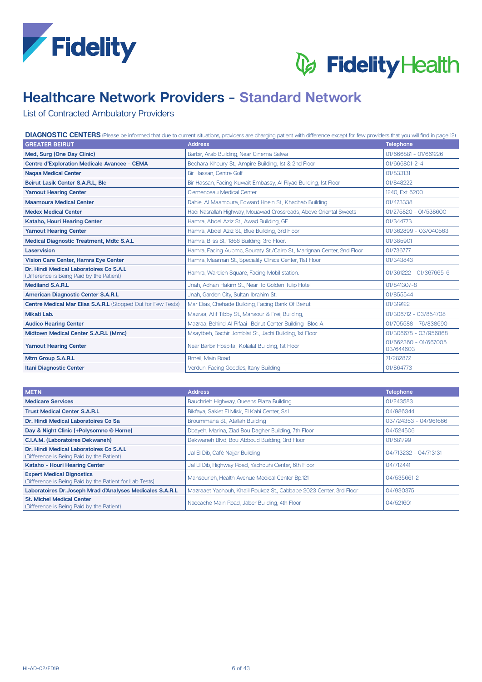



# **Healthcare Network Providers - Standard Network**

List of Contracted Ambulatory Providers

| DIAGNOSTIC CENTERS (Please be informed that due to current situations, providers are charging patient with difference except for few providers that you will find in page 12) |                                                                        |                                    |  |
|-------------------------------------------------------------------------------------------------------------------------------------------------------------------------------|------------------------------------------------------------------------|------------------------------------|--|
| <b>GREATER BEIRUT</b>                                                                                                                                                         | <b>Address</b>                                                         | <b>Telephone</b>                   |  |
| Med, Surg (One Day Clinic)                                                                                                                                                    | Barbir, Arab Building, Near Cinema Salwa                               | 01/666881 - 01/661226              |  |
| <b>Centre d'Exploration Medicale Avancee - CEMA</b>                                                                                                                           | Bechara Khoury St., Ampire Building, 1st & 2nd Floor                   | 01/666801-2-4                      |  |
| <b>Nagaa Medical Center</b>                                                                                                                                                   | Bir Hassan, Centre Golf                                                | 01/833131                          |  |
| Beirut Lasik Center S.A.R.L, Blc                                                                                                                                              | Bir Hassan, Facing Kuwait Embassy, Al Riyad Building, 1st Floor        | 01/848222                          |  |
| <b>Yamout Hearing Center</b>                                                                                                                                                  | Clemenceau Medical Center                                              | 1240, Ext 6200                     |  |
| <b>Maamoura Medical Center</b>                                                                                                                                                | Dahie, Al Maamoura, Edward Hnein St., Khachab Building                 | 01/473338                          |  |
| <b>Medex Medical Center</b>                                                                                                                                                   | Hadi Nasrallah Highway, Mouawad Crossroads, Above Oriental Sweets      | 01/275820 - 01/538600              |  |
| Kataho, Houri Hearing Center                                                                                                                                                  | Hamra, Abdel Aziz St., Awad Building, GF                               | 01/344773                          |  |
| <b>Yamout Hearing Center</b>                                                                                                                                                  | Hamra, Abdel Aziz St., Blue Building, 3rd Floor                        | 01/362899 - 03/040563              |  |
| <b>Medical Diagnostic Treatment, Mdtc S.A.L</b>                                                                                                                               | Hamra, Bliss St.; 1866 Building, 3rd Floor.                            | 01/385901                          |  |
| <b>Laservision</b>                                                                                                                                                            | Hamra, Facing Aubmc, Souraty St./Cairo St., Marignan Center, 2nd Floor | 01/736777                          |  |
| Vision Care Center, Hamra Eye Center                                                                                                                                          | Hamra, Maamari St., Speciality Clinics Center, 11st Floor              | 01/343843                          |  |
| Dr. Hindi Medical Laboratoires Co S.A.L<br>(Difference is Being Paid by the Patient)                                                                                          | Hamra, Wardieh Square, Facing Mobil station.                           | 01/361222 - 01/367665-6            |  |
| <b>Mediland S.A.R.L</b>                                                                                                                                                       | Jnah, Adnan Hakim St., Near To Golden Tulip Hotel                      | 01/841307-8                        |  |
| <b>American Diagnostic Center S.A.R.L</b>                                                                                                                                     | Jnah, Garden City, Sultan Ibrahim St.                                  | 01/855544                          |  |
| <b>Centre Medical Mar Elias S.A.R.L (Stopped Out for Few Tests)</b>                                                                                                           | Mar Elias, Chehade Building, Facing Bank Of Beirut                     | 01/319122                          |  |
| Mikati Lab.                                                                                                                                                                   | Mazraa, Afif Tibby St., Mansour & Freij Building,                      | 01/306712 - 03/854708              |  |
| <b>Audico Hearing Center</b>                                                                                                                                                  | Mazraa, Behind Al Rifaai- Beirut Center Building- Bloc A               | 01/705588 - 76/838690              |  |
| Midtown Medical Center S.A.R.L (Mmc)                                                                                                                                          | Msaytbeh, Bachir Jomblat St., Jachi Building, 1st Floor                | 01/306678 - 03/956868              |  |
| <b>Yamout Hearing Center</b>                                                                                                                                                  | Near Barbir Hospital, Kolailat Building, 1st Floor                     | 01/662360 - 01/667005<br>03/644603 |  |
| Mtm Group S.A.R.L                                                                                                                                                             | Rmeil, Main Road                                                       | 71/282872                          |  |
| <b>Itani Diagnostic Center</b>                                                                                                                                                | Verdun, Facing Goodies, Itany Building                                 | 01/864773                          |  |

| <b>METN</b>                                                                                 | <b>Address</b>                                                      | <b>Telephone</b>      |
|---------------------------------------------------------------------------------------------|---------------------------------------------------------------------|-----------------------|
| <b>Medicare Services</b>                                                                    | Bauchrieh Highway, Queens Plaza Building                            | 01/243583             |
| <b>Trust Medical Center S.A.R.L</b>                                                         | Bikfaya, Sakiet El Misk, El Kahi Center, Ss1                        | 04/986344             |
| Dr. Hindi Medical Laboratoires Co Sa                                                        | Broummana St., Atallah Building                                     | 03/724353 - 04/961666 |
| Day & Night Clinic (+Polysomno @ Home)                                                      | Dbayeh, Marina, Ziad Bou Dagher Building, 7th Floor                 | 04/524506             |
| <b>C.I.A.M. (Laboratoires Dekwaneh)</b>                                                     | Dekwaneh Blvd, Bou Abboud Building, 3rd Floor                       | 01/681799             |
| Dr. Hindi Medical Laboratoires Co S.A.L<br>(Difference is Being Paid by the Patient)        | Jal El Dib, Café Najjar Building                                    | 04/713232 - 04/713131 |
| Kataho - Houri Hearing Center                                                               | Jal El Dib, Highway Road, Yachouhi Center, 6th Floor                | 04/712441             |
| <b>Expert Medical Dignostics</b><br>(Difference is Being Paid by the Patient for Lab Tests) | Mansourieh, Health Avenue Medical Center Bp.121                     | 04/535661-2           |
| Laboratoires Dr. Joseph Mrad d'Analyses Medicales S.A.R.L                                   | Mazraaet Yachouh, Khalil Roukoz St., Cabbabe 2023 Center, 3rd Floor | 04/930375             |
| <b>St. Michel Medical Center</b><br>(Difference is Being Paid by the Patient)               | Naccache Main Road, Jaber Building, 4th Floor                       | 04/521601             |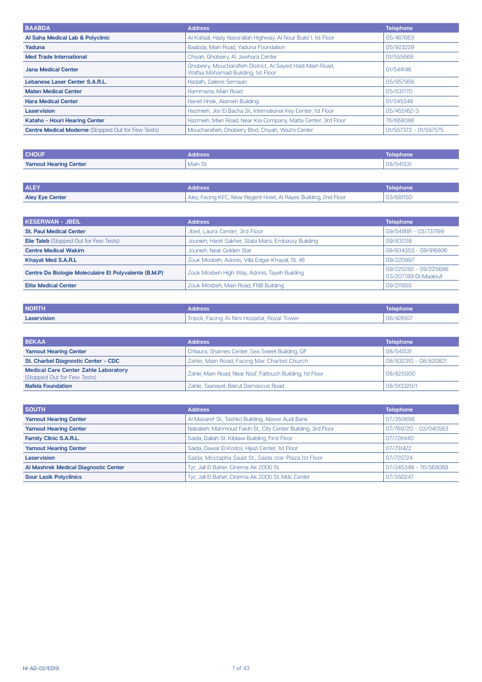| <b>BAABDA</b>                                             | <b>Address</b>                                                                                 | <b>Telephone</b>      |
|-----------------------------------------------------------|------------------------------------------------------------------------------------------------|-----------------------|
| Al Saha Medical Lab & Polyclinic                          | Al Kafaat, Hady Nassrallah Highway, Al Nour Build 1, 1st Floor                                 | 05/467663             |
| Yaduna                                                    | Baabda, Main Road, Yaduna Foundation                                                           | 05/923229             |
| <b>Med Trade International</b>                            | Chiyah, Ghobeiry, Al Jawhara Center                                                            | 01/555669             |
| <b>Jana Medical Center</b>                                | Ghobeiry, Moucharafieh District, Al Sayed Hadi Main Road,<br>Wafaa Mohamad Building, 1st Floor | 01/544146             |
| Lebanese Laser Center S.A.R.L.                            | Hadath, Galerie Semaan                                                                         | 05/957956             |
| <b>Maten Medical Center</b>                               | Hammana, Main Road                                                                             | 05/531770             |
| <b>Hara Medical Center</b>                                | Hareit Hreik, Alameh Building                                                                  | 01/545548             |
| Laservision                                               | Hazmieh, Jisr El Bacha St., International Key Center, 1st Floor                                | 05/455162-3           |
| Kataho - Houri Hearing Center                             | Hazmieh, Main Road, Near Kia Company, Matta Center, 3rd Floor                                  | 76/668086             |
| <b>Centre Medical Moderne (Stopped Out for Few Tests)</b> | Moucharafieh, Ghobeiry Blvd, Chiyah, Wazni Center                                              | 01/557373 - 01/557575 |

| <b>CHOUF</b>                 | <b>Address</b> | Telephone |
|------------------------------|----------------|-----------|
| <b>Yamout Hearing Center</b> | Main St.       | 08/541531 |

| <b>ALEY</b>            | <b>Address</b>                                                    | Telephone |
|------------------------|-------------------------------------------------------------------|-----------|
| <b>Aley Eye Center</b> | Aley, Facing KFC, Near Regent Hotel, Al Rayes Building, 2nd Floor | 03/681150 |

| KESERWAN - JBEIL                                      | <b>Address</b>                                       | <b>Telephone</b>                              |
|-------------------------------------------------------|------------------------------------------------------|-----------------------------------------------|
| <b>St. Paul Medical Center</b>                        | Jbeil, Laura Center, 3rd Floor                       | 09/541891 - 03/737199                         |
| <b>Elie Taleb</b> (Stopped Out for Few Tests)         | Jounieh, Haret Sakher, Stata Maris, Embassy Building | 09/831318                                     |
| <b>Centre Medical Wakim</b>                           | Jounieh, Near Golden Star                            | 09/934353 - 09/916806                         |
| Khayat Med S.A.R.L                                    | Zouk Mosbeh, Adonis, Villa Edgar Khayat, St. 46      | 09/220997                                     |
| Centre De Biologie Moleculaire Et Polyvalente (B.M.P) | Zouk Mosbeh High Way, Adonis, Tayeh Building         | 09/225282 - 09/225686<br>03/207789 Dr.Maalouf |
| <b>Elite Medical Center</b>                           | Zouk Mosbeh, Main Road, FNB Building                 | 09/211955                                     |

| <b>NORTH</b> | <b>Address</b>                                | <b>Telephone</b> |
|--------------|-----------------------------------------------|------------------|
| Laservision  | Tripoli, Facing Al Nini Hospital, Royal Tower | 06/426107        |

| <b>BEKAA</b>                                                               | <b>Address</b>                                            | <b>Telephone</b>      |
|----------------------------------------------------------------------------|-----------------------------------------------------------|-----------------------|
| <b>Yamout Hearing Center</b>                                               | Chtaura, Shames Center, Sea Sweet Building, GF            | 08/541531             |
| St. Charbel Diagnostic Center - CDC                                        | Zahle, Main Road, Facing Mar Charbel Church               | 08/932310 - 08/820821 |
| <b>Medical Care Center Zahle Laboratory</b><br>(Stopped Out for Few Tests) | Zahle, Main Road, Near Nssf, Fattouch Building, 1st Floor | 08/825000             |
| <b>Nafela Foundation</b>                                                   | Zahle, Taanayel, Beirut Damascus Road                     | 08/513320/1           |

| <b>SOUTH</b>                         | <b>Address</b>                                               | <b>Telephone</b>      |
|--------------------------------------|--------------------------------------------------------------|-----------------------|
| <b>Yamout Hearing Center</b>         | Al Masaref St., Tashko Building, Above Audi Bank             | 07/350656             |
| <b>Yamout Hearing Center</b>         | Nabatieh, Mahmoud Fakih St., City Center Building, 3rd Floor | 07/769720 - 03/040563 |
| Family Clinic S.A.R.L.               | Saida, Dallah St. Kiblawi Building, First Floor              | 07/726440             |
| <b>Yamout Hearing Center</b>         | Saida, Dawar El Kodos, Hijazi Center, 1st Floor              | 07/731422             |
| Laservision                          | Saida, Mostapha Saad St., Saida star Plaza, 1st Floor        | 07/725724             |
| Al Mashrek Medical Diagnostic Center | Tyr, Jall El Baher, Cinema Ak 2000 St.                       | 07/345349 - 76/568068 |
| <b>Sour Lasik Polyclinics</b>        | Tyr, Jall El Baher, Cinema Ak 2000 St. Mdc Center            | 07/350247             |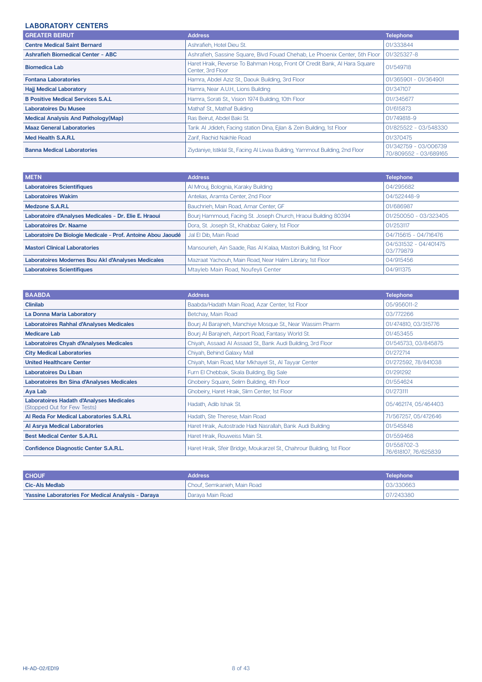### **LABORATORY CENTERS**

| <b>GREATER BEIRUT</b>                       | <b>Address</b>                                                                                 | <b>Telephone</b>                               |
|---------------------------------------------|------------------------------------------------------------------------------------------------|------------------------------------------------|
| <b>Centre Medical Saint Bernard</b>         | Ashrafieh, Hotel Dieu St.                                                                      | 01/333844                                      |
| <b>Ashrafieh Biomedical Center - ABC</b>    | Ashrafieh, Sassine Square, Blvd Fouad Chehab, Le Phoenix Center, 5th Floor                     | 01/325327-8                                    |
| <b>Biomedica Lab</b>                        | Haret Hraik, Reverse To Bahman Hosp, Front Of Credit Bank, Al Hara Square<br>Center, 3rd Floor | 01/549718                                      |
| <b>Fontana Laboratories</b>                 | Hamra, Abdel Aziz St., Daouk Building, 3rd Floor                                               | 01/365901 - 01/364901                          |
| <b>Hajj Medical Laboratory</b>              | Hamra, Near A.U.H., Lions Building                                                             | 01/347107                                      |
| <b>B Positive Medical Services S.A.L</b>    | Hamra, Sorati St., Vision 1974 Building, 10th Floor                                            | 01//345677                                     |
| <b>Laboratoires Du Musee</b>                | Mathaf St., Mathaf Building                                                                    | 01/615873                                      |
| <b>Medical Analysis And Pathology (Map)</b> | Ras Beirut, Abdel Baki St.                                                                     | 01/749818-9                                    |
| <b>Maaz General Laboratories</b>            | Tarik Al Jdideh, Facing station Dina, Ejlan & Zein Building, 1st Floor                         | 01/825522 - 03/548330                          |
| Med Health S.A.R.L                          | Zarif, Rachid Nakhle Road                                                                      | 01/370475                                      |
| <b>Banna Medical Laboratories</b>           | Ziydaniye, Istiklal St., Facing Al Liwaa Building, Yammout Building, 2nd Floor                 | 01/342759 - 03/006739<br>70/809552 - 03/689165 |

| <b>METN</b>                                                  | <b>Address</b>                                                   | <b>Telephone</b>                   |
|--------------------------------------------------------------|------------------------------------------------------------------|------------------------------------|
| <b>Laboratoires Scientifiques</b>                            | Al Mrouj, Bolognia, Karaky Building                              | 04/295682                          |
| <b>Laboratoires Wakim</b>                                    | Antelias, Aramta Center, 2nd Floor                               | 04/522448-9                        |
| Medzone S.A.R.L                                              | Bauchrieh, Main Road, Amar Center, GF                            | 01/686987                          |
| Laboratoire d'Analyses Medicales - Dr. Elie E. Hraoui        | Bourj Hammoud, Facing St. Joseph Church, Hraoui Building 80394   | 01/250050 - 03/323405              |
| Laboratoires Dr. Naame                                       | Dora, St. Joseph St., Khabbaz Galery, 1st Floor                  | 01/253117                          |
| Laboratoire De Biologie Medicale - Prof. Antoine Abou Jaoudé | Jal El Dib, Main Road                                            | 04/715615 - 04/716476              |
| <b>Mastori Clinical Laboratories</b>                         | Mansourieh, Ain Saade, Ras Al Kalaa, Mastori Building, 1st Floor | 04/531532 - 04/401475<br>03/779879 |
| Laboratoires Modernes Bou Akl d'Analyses Medicales           | Mazraat Yachouh, Main Road, Near Halim Library, 1st Floor        | 04/915456                          |
| <b>Laboratoires Scientifiques</b>                            | Mtayleb Main Road, Noufeyli Center                               | 04/911375                          |

| <b>BAABDA</b>                                                           | <b>Address</b>                                                         | <b>Telephone</b>                    |
|-------------------------------------------------------------------------|------------------------------------------------------------------------|-------------------------------------|
| <b>Clinilab</b>                                                         | Baabda/Hadath Main Road, Azar Center, 1st Floor                        | 05/956011-2                         |
| La Donna Maria Laboratory                                               | Betchay, Main Road                                                     | 03/772266                           |
| <b>Laboratoires Rahhal d'Analyses Medicales</b>                         | Bouri Al Baraineh, Manchiye Mosque St., Near Wassim Pharm              | 01/474810, 03/315776                |
| <b>Medicare Lab</b>                                                     | Bourj Al Barajneh, Airport Road, Fantasy World St.                     | 01/453455                           |
| Laboratoires Chyah d'Analyses Medicales                                 | Chiyah, Assaad Al Assaad St., Bank Audi Building, 3rd Floor            | 01/545733, 03/845875                |
| <b>City Medical Laboratories</b>                                        | Chiyah, Behind Galaxy Mall                                             | 01/272714                           |
| <b>United Healthcare Center</b>                                         | Chiyah, Main Road, Mar Mkhayel St., Al Tayyar Center                   | 01/272592, 78/841038                |
| <b>Laboratoires Du Liban</b>                                            | Furn El Chebbak, Skala Building, Big Sale                              | 01/291292                           |
| Laboratoires Ibn Sina d'Analyses Medicales                              | Ghobeiry Square, Selim Building, 4th Floor                             | 01/554624                           |
| Aya Lab                                                                 | Ghobeiry, Haret Hraik, Slim Center, 1st Floor                          | 01/273111                           |
| Laboratoires Hadath d'Analyses Medicales<br>(Stopped Out for Few Tests) | Hadath, Adib Ishak St.                                                 | 05/462174, 05/464403                |
| Al Reda For Medical Laboratories S.A.R.L                                | Hadath, Ste Therese, Main Road                                         | 71/567257, 05/472646                |
| Al Asrya Medical Laboratories                                           | Haret Hraik, Autostrade Hadi Nasrallah, Bank Audi Building             | 01/545848                           |
| <b>Best Medical Center S.A.R.L</b>                                      | Haret Hraik, Rouweiss Main St.                                         | 01/559468                           |
| <b>Confidence Diagnostic Center S.A.R.L.</b>                            | Haret Hraik, Sfeir Bridge, Moukarzel St., Chahrour Building, 1st Floor | 01/558702-3<br>76/618107, 76/625839 |

| <b>CHOUF</b>                                              | <b>Address</b>                           | Telephone |
|-----------------------------------------------------------|------------------------------------------|-----------|
| Cic-Als Medlab                                            | <sup>1</sup> Chouf, Semkanieh, Main Road | 03/330663 |
| <b>Yassine Laboratories For Medical Analysis - Daraya</b> | ' Darava Main Road                       | 07/243380 |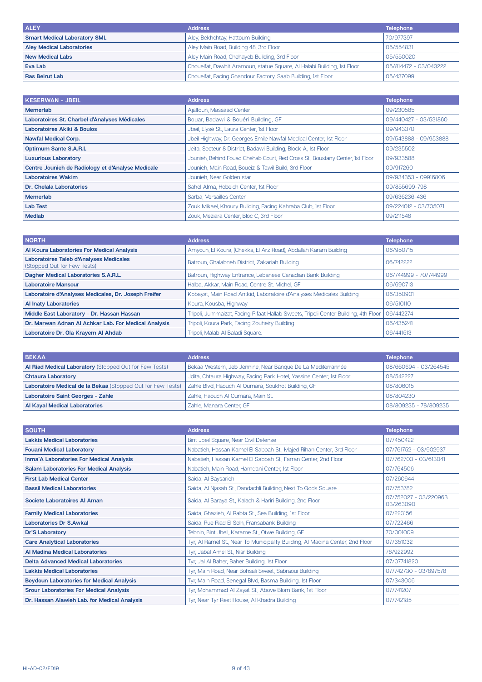| <b>ALEY</b>                         | <b>Address</b>                                                          | <b>Telephone</b>      |
|-------------------------------------|-------------------------------------------------------------------------|-----------------------|
| <b>Smart Medical Laboratory SML</b> | Aley, Bekhchtay, Hattoum Building                                       | 70/977397             |
| <b>Aley Medical Laboratories</b>    | Aley Main Road, Building 48, 3rd Floor                                  | 05/554831             |
| <b>New Medical Labs</b>             | Aley Main Road, Chehayeb Building, 3rd Floor                            | 05/550020             |
| Eva Lab                             | Choueifat, Dawhit Aramoun, statue Square, Al Halabi Building, 1st Floor | 05/814472 - 03/043222 |
| <b>Ras Beirut Lab</b>               | Choueifat, Facing Ghandour Factory, Saab Building, 1st Floor            | 05/437099             |

| <b>KESERWAN - JBEIL</b>                           | <b>Address</b>                                                                | <b>Telephone</b>      |
|---------------------------------------------------|-------------------------------------------------------------------------------|-----------------------|
| Memerlab                                          | Ajaltoun, Massaad Center                                                      | 09/230585             |
| Laboratoires St. Charbel d'Analyses Médicales     | Bouar, Badawi & Bouéri Building, GF                                           | 09/440427 - 03/531860 |
| <b>Laboratoires Akiki &amp; Boulos</b>            | Jbeil, Elysé St., Laura Center, 1st Floor                                     | 09/943370             |
| <b>Nawfal Medical Corp.</b>                       | Jbeil Highway, Dr. Georges Emile Nawfal Medical Center, 1st Floor             | 09/543888 - 09/953888 |
| <b>Optimum Sante S.A.R.L</b>                      | Jeita, Secteur 8 District, Badawi Building, Block A, 1st Floor                | 09/235502             |
| <b>Luxurious Laboratory</b>                       | Jounieh, Behind Fouad Chehab Court, Red Cross St., Boustany Center, 1st Floor | 09/933588             |
| Centre Jounieh de Radiology et d'Analyse Medicale | Jounieh, Main Road, Boueiz & Tawil Build, 3rd Floor                           | 09/917260             |
| <b>Laboratoires Wakim</b>                         | Jounieh, Near Golden star                                                     | 09/934353 - 09916806  |
| Dr. Chelala Laboratories                          | Sahel Alma, Hobeich Center, 1st Floor                                         | 09/855699-798         |
| <b>Memerlab</b>                                   | Sarba, Versailles Center                                                      | 09/636236-436         |
| <b>Lab Test</b>                                   | Zouk Mikael, Khoury Building, Facing Kahraba Club, 1st Floor                  | 09/224012 - 03/705071 |
| <b>Mediab</b>                                     | Zouk, Meziara Center, Bloc C, 3rd Floor                                       | 09/211548             |

| <b>NORTH</b>                                                                  | <b>Address</b>                                                                      | <b>Telephone</b>      |
|-------------------------------------------------------------------------------|-------------------------------------------------------------------------------------|-----------------------|
| Al Koura Laboratories For Medical Analysis                                    | Amyoun, El Koura, (Chekka, El Arz Road), Abdallah Karam Building                    | 06/950715             |
| <b>Laboratoires Taleb d'Analyses Medicales</b><br>(Stopped Out for Few Tests) | Batroun, Ghalabneh District, Zakariah Building                                      | 06/742222             |
| Dagher Medical Laboratories S.A.R.L.                                          | Batroun, Highway Entrance, Lebanese Canadian Bank Building                          | 06/744999 - 70/744999 |
| <b>Laboratoire Mansour</b>                                                    | Halba, Akkar, Main Road, Centre St. Michel, GF                                      | 06/690713             |
| Laboratoire d'Analyses Medicales, Dr. Joseph Freifer                          | Kobayat, Main Road Antkid, Laboratoire d'Analyses Medicales Building                | 06/350901             |
| <b>Al Inaty Laboratories</b>                                                  | Koura, Kousba, Highway                                                              | 06/510110             |
| Middle East Laboratory - Dr. Hassan Hassan                                    | Tripoli, Jummaizat, Facing Rifaat Hallab Sweets, Tripoli Center Building, 4th Floor | 06/442274             |
| Dr. Marwan Adnan Al Achkar Lab. For Medical Analysis                          | Tripoli, Koura Park, Facing Zouheiry Building                                       | 06/435241             |
| Laboratoire Dr. Ola Kravem Al Ahdab                                           | Tripoli. Malab Al Baladi Square.                                                    | 06/441513             |

| <b>BEKAA</b>                                                  | <b>Address</b>                                                       | <b>Telephone</b>      |
|---------------------------------------------------------------|----------------------------------------------------------------------|-----------------------|
| <b>Al Riad Medical Laboratory (Stopped Out for Few Tests)</b> | Bekaa Western, Jeb Jennine, Near Banque De La Mediterrannée          | 08/660694 - 03/264545 |
| <b>Chtaura Laboratory</b>                                     | Jdita, Chtaura Highway, Facing Park Hotel, Yassine Center, 1st Floor | 08/542227             |
| Laboratoire Medical de la Bekaa (Stopped Out for Few Tests)   | Zahle Blvd, Haouch Al Oumara, Soukhot Building, GF                   | 08/806015             |
| <b>Laboratoire Saint Georges - Zahle</b>                      | Zahle, Haouch Al Oumara, Main St.                                    | 08/804230             |
| <b>Al Kayal Medical Laboratories</b>                          | Zahle, Manara Center, GF                                             | 08/809235 - 78/809235 |

| <b>SOUTH</b>                                     | <b>Address</b>                                                                | <b>Telephone</b>                   |
|--------------------------------------------------|-------------------------------------------------------------------------------|------------------------------------|
| <b>Lakkis Medical Laboratories</b>               | Bint Jbeil Square, Near Civil Defense                                         | 07/450422                          |
| <b>Fouani Medical Laboratory</b>                 | Nabatieh, Hassan Kamel El Sabbah St., Majed Rihan Center, 3rd Floor           | 07/761752 - 03/902937              |
| <b>Inma'A Laboratories For Medical Analysis</b>  | Nabatieh, Hassan Kamel El Sabbah St., Farran Center, 2nd Floor                | 07/762703 - 03/613041              |
| <b>Salam Laboratories For Medical Analysis</b>   | Nabatieh, Main Road, Hamdani Center, 1st Floor                                | 07/764506                          |
| <b>First Lab Medical Center</b>                  | Saida, Al Baysarieh                                                           | 07/260644                          |
| <b>Bassil Medical Laboratories</b>               | Saida, Al Njasah St., Dandachli Building, Next To Qods Square                 | 07/753782                          |
| Societe Laboratoires Al Aman                     | Saida, Al Saraya St., Kalach & Hariri Building, 2nd Floor                     | 07/752027 - 03/220963<br>03/263090 |
| <b>Family Medical Laboratories</b>               | Saida, Ghazieh, Al Rabta St., Sea Building, 1st Floor                         | 07/223156                          |
| <b>Laboratories Dr S.Awkal</b>                   | Saida, Rue Riad El Solh, Fransabank Building                                  | 07/722466                          |
| <b>Dr'S Laboratory</b>                           | Tebnin, Bint Jbeil, Karame St., Otwe Building, GF                             | 70/001009                          |
| <b>Care Analytical Laboratories</b>              | Tyr, AI Ramel St., Near To Municipality Building, AI Madina Center, 2nd Floor | 07/351032                          |
| Al Madina Medical Laboratories                   | Tyr, Jabal Amel St., Nisr Building                                            | 76/922992                          |
| <b>Delta Advanced Medical Laboratories</b>       | Tyr, Jal Al Baher, Baher Building, 1st Floor                                  | 07/07741820                        |
| <b>Lakkis Medical Laboratories</b>               | Tyr, Main Road, Near Bohsali Sweet, Sabraoui Building                         | 07/742730 - 03/897578              |
| <b>Beydoun Laboratories for Medical Analysis</b> | Tyr, Main Road, Senegal Blvd, Basma Building, 1st Floor                       | 07/343006                          |
| <b>Srour Laboratories For Medical Analysis</b>   | Tyr, Mohammad AI Zayat St., Above Blom Bank, 1st Floor                        | 07/741207                          |
| Dr. Hassan Alawieh Lab. for Medical Analysis     | Tyr, Near Tyr Rest House, Al Khadra Building                                  | 07/742185                          |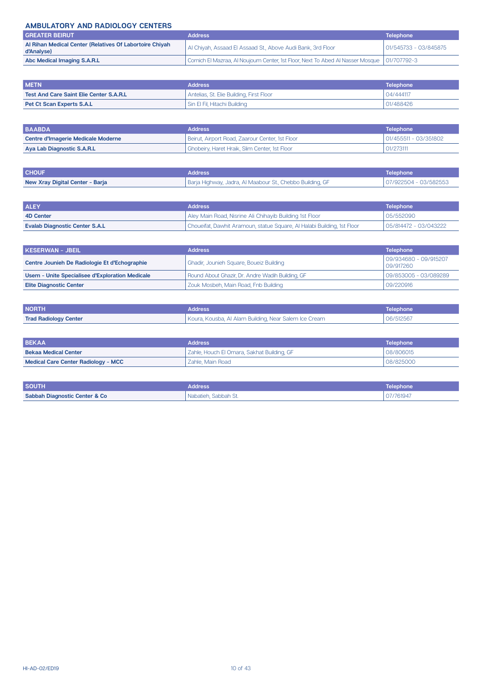#### **AMBULATORY AND RADIOLOGY CENTERS**

| <b>GREATER BEIRUT</b>                                                 | <b>Address</b>                                                                               | <b>Telephone</b>      |
|-----------------------------------------------------------------------|----------------------------------------------------------------------------------------------|-----------------------|
| Al Rihan Medical Center (Relatives Of Labortoire Chivah<br>d'Analyse) | Al Chiyah, Assaad El Assaad St., Above Audi Bank, 3rd Floor                                  | 01/545733 - 03/845875 |
| Abc Medical Imaging S.A.R.L                                           | Cornich El Mazraa, Al Noujoum Center, 1st Floor, Next To Abed Al Nasser Mosque   01/707792-3 |                       |

| <b>METN</b>                             | <b>Address</b>                           | Telephone |
|-----------------------------------------|------------------------------------------|-----------|
| Test And Care Saint Elie Center S.A.R.L | Antelias, St. Elie Building, First Floor | 04/444117 |
| <b>Pet Ct Scan Experts S.A.L</b>        | Sin El Fil, Hitachi Building             | 01/488426 |

| <b>BAABDA</b>                      | <b>Address</b>                                  | L Telephone <b>\</b>  |
|------------------------------------|-------------------------------------------------|-----------------------|
| Centre d'Imagerie Medicale Moderne | Beirut, Airport Road, Zaarour Center, 1st Floor | 01/455511 - 03/351802 |
| Aya Lab Diagnostic S.A.R.L         | Ghobeiry, Haret Hraik, Slim Center, 1st Floor   | 01/273111             |

| <b>CHOUF</b>                    | <b>Address</b>                                            | l Telephone '         |
|---------------------------------|-----------------------------------------------------------|-----------------------|
| New Xray Digital Center - Barja | Barja Highway, Jadra, Al Maabour St., Chebbo Building, GF | 07/922504 - 03/582553 |

| <b>ALEY</b>                           | <b>Address</b>                                                          | <b>Telephone</b>      |
|---------------------------------------|-------------------------------------------------------------------------|-----------------------|
| 4D Center                             | Aley Main Road, Nisrine Ali Chihayib Building 1st Floor                 | 05/552090             |
| <b>Evalab Diagnostic Center S.A.L</b> | Choueifat, Dawhit Aramoun, statue Square, Al Halabi Building, 1st Floor | 05/814472 - 03/043222 |

| KESERWAN - JBEIL ,                              | <b>Address</b>                                   | <b>Telephone</b>                   |
|-------------------------------------------------|--------------------------------------------------|------------------------------------|
| Centre Jounieh De Radiologie Et d'Echographie   | Ghadir, Jounieh Square, Boueiz Building          | 09/934680 - 09/915207<br>09/917260 |
| Usem - Unite Specialisee d'Exploration Medicale | Round About Ghazir, Dr. Andre Wadih Building, GF | 09/853005 - 03/089289              |
| <b>Elite Diagnostic Center</b>                  | Zouk Mosbeh, Main Road, Fnb Building             | 09/220916                          |

| <b>NORTH</b>                 | Address                                               | Telephone |
|------------------------------|-------------------------------------------------------|-----------|
| <b>Trad Radiology Center</b> | Koura, Kousba, Al Alam Building, Near Salem Ice Cream | 06/512567 |

| <b>BEKAA</b>                               | <b>Address</b>                             | Telephone |
|--------------------------------------------|--------------------------------------------|-----------|
| <b>Bekaa Medical Center</b>                | Zahle, Houch El Omara, Sakhat Building, GF | 08/806015 |
| <b>Medical Care Center Radiology - MCC</b> | Zahle, Main Road                           | 08/825000 |

| <b>SOUTH</b>                             | Address                      | Telephone |
|------------------------------------------|------------------------------|-----------|
| <b>Sabbah Diagnostic Center &amp; Co</b> | Sabbah St.<br>Nabatieh.<br>. | 07/761947 |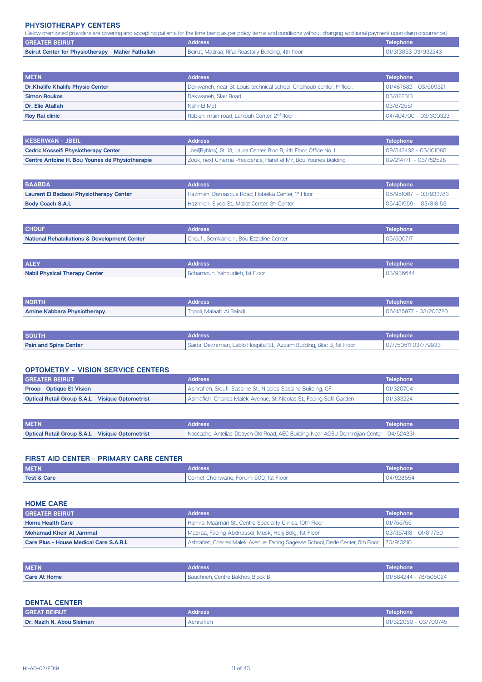#### **PHYSIOTHERAPY CENTERS**

| (Below mentioned providers are covering and accepting patients for the time being as per policy terms and conditions without charging additional payment upon claim occurrence.) |                                                    |                     |
|----------------------------------------------------------------------------------------------------------------------------------------------------------------------------------|----------------------------------------------------|---------------------|
| <b>GREATER BEIRUT</b><br><b>Address</b>                                                                                                                                          |                                                    | Telephone           |
| Beirut Center for Physiotherapy - Maher Fathallah                                                                                                                                | Beirut, Mazraa, Rifai Roastary Building, 4th floor | 01/313853 03/932243 |

| <b>METN</b>                             | <b>Address</b>                                                                     | <b>Telephone</b>      |
|-----------------------------------------|------------------------------------------------------------------------------------|-----------------------|
| <b>Dr.Khalife Khalife Physio Center</b> | Dekwaneh, near St. Louis technical school, Chalhoub center, 1 <sup>st</sup> floor. | 01/487882 - 03/669321 |
| <b>Simon Roukos</b>                     | l Dekwaneh. Slav Road                                                              | 03/822313             |
| Dr. Elie Atallah                        | Nahr FI Mot                                                                        | 03/672551             |
| <b>Roy Rai clinic</b>                   | Rabieh, main road, Lahlouh Center, 2 <sup>nd</sup> floor                           | 04/404700 - 03/300323 |

| KESERWAN - JBEIL                               | <b>Address</b>                                                       | Telephone             |
|------------------------------------------------|----------------------------------------------------------------------|-----------------------|
| <b>Cedric Kosseifi Physiotherapy Center</b>    | Jbeil(Byblos), St. 13, Laura Center, Bloc B, 4th Floor, Office No. 1 | 09/542432 - 03/101085 |
| Centre Antoine H. Bou Younes de Physiotherapie | Zouk, next Cinema Presidence, Haret el Mir, Bou Younes Building      | 09/214771 - 03/752528 |

| <b>BAABDA</b>                           | <b>Address</b>                                            | Telephone                |
|-----------------------------------------|-----------------------------------------------------------|--------------------------|
| Laurent El Badaoui Physiotherapy Center | l Hazmieh, Damascus Road, Hobeika Center, 1st Floor       | 05/951067 - 03/933783    |
| <b>Body Coach S.A.L</b>                 | Hazmieh, Siyed St., Mallat Center, 3 <sup>rd</sup> Center | $105/451959 - 03/818153$ |

| <b>CHOUF</b>                                            | Address                                 | Telephone |
|---------------------------------------------------------|-----------------------------------------|-----------|
| <b>National Rehabiliations &amp; Development Center</b> | ' Chouf, Semkanieh, Bou Ezzidine Center | 05/500717 |
|                                                         |                                         |           |

| <b>ALEY</b>                          | <b>Address</b>                              | <b>Telephone</b> |
|--------------------------------------|---------------------------------------------|------------------|
| <b>Nabil Physical Therapy Center</b> | <sup>1</sup> Bchamoun. Yahoudieh. 1st Floor | 03/936644        |

| <b>NORTH</b>                       | Address.                  | <b>Telephone</b>      |
|------------------------------------|---------------------------|-----------------------|
| <b>Amine Kabbara Physiotherapy</b> | Tripoli. Malaab Al Baladi | 06/435977 - 03/206720 |

| <b>SOUTH</b>                 | <b>Address</b>                                                         | Telephone           |
|------------------------------|------------------------------------------------------------------------|---------------------|
| <b>Pain and Spine Center</b> | Saida, Dekreman, Labib Hospital St., Azzam Building, Bloc B, 1st Floor | 07/750511 03/779933 |

#### **CPTOMETRY - VISION SERVICE CENTERS**

| <b>GREATER BEIRUT</b>                                   | <b>Address</b>                                                        | <b>Telephone</b> |
|---------------------------------------------------------|-----------------------------------------------------------------------|------------------|
| <b>Proop - Optique Et Vision</b>                        | Ashrafieh, Sioufi, Sassine St., Nicolas Sassine Building, GF          | 01/320704        |
| <b>Optical Retail Group S.A.L - Visique Optometrist</b> | Ashrafieh, Charles Malek Avenue, St. Nicolas St., Facing Sofil Garden | 01/333224        |
|                                                         |                                                                       |                  |
|                                                         |                                                                       |                  |

| <b>METN</b>                                             | Address                                                                                 | <b>Telephone</b> ' |
|---------------------------------------------------------|-----------------------------------------------------------------------------------------|--------------------|
| <b>Optical Retail Group S.A.L - Visique Optometrist</b> | Naccache, Antelias-Dbayeh Old Road, AEC Building, Near AGBU Demirdjian Center 04/524331 |                    |

### **FIRST AID CENTER - PRIMARY CARE CENTER**

| <b>METN</b>            | <b>Address</b>                        | <b>Telephone</b> |
|------------------------|---------------------------------------|------------------|
| <b>Test &amp; Care</b> | Cornet Chehwane. Forum 600, 1st Floor | 04/928554        |

#### **HOME CARE**

| <b>GREATER BEIRUT</b>                  | <b>Address</b>                                                                 | <b>Telephone</b>      |
|----------------------------------------|--------------------------------------------------------------------------------|-----------------------|
| <b>Home Health Care</b>                | l Hamra, Maamari St., Centre Speciality Clinics, 10th Floor                    | 01/755755             |
| Mohamad Kheir Al Jammal                | Mazraa, Facing Abdnasser Musk, Hojij Bdlg, 1st Floor                           | 03/367418 - 01/817750 |
| Care Plus - House Medical Care S.A.R.L | Ashrafieh, Charles Malek Avenue, Facing Sagesse School, Dede Center, 5th Floor | 70/910210             |

| <b>METN</b>         | Address <sup>1</sup>              | Telephone             |
|---------------------|-----------------------------------|-----------------------|
| <b>Care At Home</b> | Bauchrieh, Centre Bakhos, Block B | 01/884244 - 76/505024 |

#### **DENTAL CENTER**

| <b>GREAT BEIRUT</b>       | Address   | <b>Telephone</b>     |
|---------------------------|-----------|----------------------|
| Dr. Nazih N. Abou Sleiman | shrafieh، | 03/700745<br>'322050 |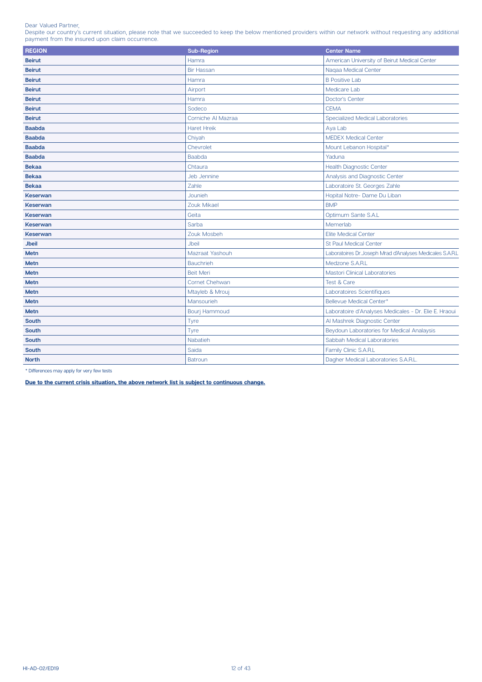Dear Valued Partner,

Despite our country's current situation, please note that we succeeded to keep the below mentioned providers within our network without requesting any additional payment from the insured upon claim occurrence.

| <b>REGION</b>   | Sub-Region           | <b>Center Name</b>                                        |
|-----------------|----------------------|-----------------------------------------------------------|
| <b>Beirut</b>   | Hamra                | American University of Beirut Medical Center              |
| <b>Beirut</b>   | <b>Bir Hassan</b>    | Nagaa Medical Center                                      |
| <b>Beirut</b>   | Hamra                | <b>B</b> Positive Lab                                     |
| <b>Beirut</b>   | Airport              | Medicare Lab                                              |
| <b>Beirut</b>   | Hamra                | <b>Doctor's Center</b>                                    |
| <b>Beirut</b>   | Sodeco               | <b>CEMA</b>                                               |
| <b>Beirut</b>   | Corniche Al Mazraa   | Specialized Medical Laboratories                          |
| <b>Baabda</b>   | <b>Haret Hreik</b>   | Aya Lab                                                   |
| <b>Baabda</b>   | Chiyah               | <b>MEDEX Medical Center</b>                               |
| <b>Baabda</b>   | Chevrolet            | Mount Lebanon Hospital*                                   |
| <b>Baabda</b>   | <b>Baabda</b>        | Yaduna                                                    |
| <b>Bekaa</b>    | Chtaura              | <b>Health Diagnostic Center</b>                           |
| <b>Bekaa</b>    | <b>Jeb Jennine</b>   | Analysis and Diagnostic Center                            |
| <b>Bekaa</b>    | Zahle                | Laboratoire St. Georges Zahle                             |
| <b>Keserwan</b> | Jounieh              | Hopital Notre- Dame Du Liban                              |
| <b>Keserwan</b> | Zouk Mikael          | <b>BMP</b>                                                |
| <b>Keserwan</b> | Geita                | Optimum Sante S.A.L                                       |
| <b>Keserwan</b> | Sarba                | Memerlab                                                  |
| <b>Keserwan</b> | Zouk Mosbeh          | <b>Elite Medical Center</b>                               |
| <b>Jbeil</b>    | <b>Jbeil</b>         | <b>St Paul Medical Center</b>                             |
| <b>Metn</b>     | Mazraat Yashouh      | Laboratoires Dr.Joseph Mrad d'Analyses Medicales S.A.R.L. |
| <b>Metn</b>     | <b>Bauchrieh</b>     | Medzone S.A.R.L                                           |
| <b>Metn</b>     | <b>Beit Meri</b>     | Mastori Clinical Laboratories                             |
| <b>Metn</b>     | Cornet Chehwan       | Test & Care                                               |
| <b>Metn</b>     | Mtayleb & Mrouj      | Laboratoires Scientifiques                                |
| <b>Metn</b>     | Mansourieh           | Bellevue Medical Center*                                  |
| <b>Metn</b>     | <b>Bouri Hammoud</b> | Laboratoire d'Analyses Medicales - Dr. Elie E. Hraoui     |
| <b>South</b>    | Tyre                 | Al Mashrek Diagnostic Center                              |
| <b>South</b>    | Tyre                 | Beydoun Laboratories for Medical Analaysis                |
| <b>South</b>    | <b>Nabatieh</b>      | Sabbah Medical Laboratories                               |
| <b>South</b>    | Saida                | Family Clinic S.A.R.L                                     |
| <b>North</b>    | <b>Batroun</b>       | Dagher Medical Laboratories S.A.R.L.                      |

 $^\star$  Differences may apply for very few tests

Due to the current crisis situation, the above network list is subject to continuous change.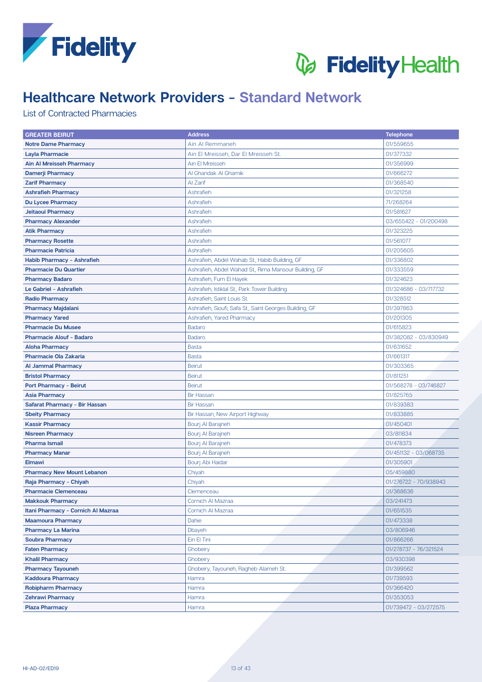



# **Healthcare Network Providers - Standard Network**

### **List of Contracted Pharmacies**

| <b>GREATER BEIRUT</b>              | <b>Address</b>                                          | <b>Telephone</b>      |
|------------------------------------|---------------------------------------------------------|-----------------------|
| <b>Notre Dame Pharmacy</b>         | Ain Al Remmaneh                                         | 01/559655             |
| <b>Layla Pharmacie</b>             | Ain El Mreisseh, Dar El Mreisseh St.                    | 01/377332             |
| <b>Ain Al Mreisseh Pharmacy</b>    | Ain El Mreisseh                                         | 01/356999             |
| <b>Damerji Pharmacy</b>            | Al Ghandak Al Ghamik                                    | 01/666272             |
| <b>Zarif Pharmacy</b>              | Al Zarif                                                | 01/368540             |
| <b>Ashrafieh Pharmacy</b>          | Ashrafieh                                               | 01/321258             |
| <b>Du Lycee Pharmacy</b>           | Ashrafieh                                               | 71/268264             |
| Jeitaoui Pharmacy                  | Ashrafieh                                               | 01/581627             |
| <b>Pharmacy Alexander</b>          | Ashrafieh                                               | 03/655422 - 01/200498 |
| <b>Atik Pharmacy</b>               | Ashrafieh                                               | 01/323225             |
| <b>Pharmacy Rosette</b>            | Ashrafieh                                               | 01/561077             |
| <b>Pharmacie Patricia</b>          | Ashrafieh                                               | 01/205605             |
| Habib Pharmacy - Ashrafieh         | Ashrafieh, Abdel Wahab St., Habib Building, GF          | 01/336802             |
| <b>Pharmacie Du Quartier</b>       | Ashrafieh, Abdel Wahad St., Rima Mansour Building, GF   | 01/333559             |
| <b>Pharmacy Badaro</b>             | Ashrafieh, Furn El Hayek                                | 01/324623             |
| Le Gabriel - Ashrafieh             | Ashrafieh, Istiklal St., Park Tower Building            | 01/324686 - 03/717732 |
| <b>Radio Pharmacy</b>              | Ashrafieh, Saint Louis St.                              | 01/328512             |
| <b>Pharmacy Majdalani</b>          | Ashrafieh, Sioufi, Safa St., Saint Georges Building, GF | 01/397863             |
| <b>Pharmacy Yared</b>              | Ashrafieh, Yared Pharmacy                               | 01/201305             |
| <b>Pharmacie Du Musee</b>          | <b>Badaro</b>                                           | 01/615823             |
| <b>Pharmacie Alouf - Badaro</b>    | <b>Badaro</b>                                           | 01/382082 - 03/830949 |
| <b>Aloha Pharmacy</b>              | <b>Basta</b>                                            | 01/631652             |
| <b>Pharmacie Ola Zakaria</b>       | <b>Basta</b>                                            | 01/661317             |
| <b>Al Jammal Pharmacy</b>          | <b>Beirut</b>                                           | 01/303365             |
| <b>Bristol Pharmacy</b>            | <b>Beirut</b>                                           | 01/811251             |
| <b>Port Pharmacy - Beirut</b>      | <b>Beirut</b>                                           | 01/568278 - 03/746827 |
| <b>Asia Pharmacy</b>               | <b>Bir Hassan</b>                                       | 01/825765             |
| Safarat Pharmacy - Bir Hassan      | <b>Bir Hassan</b>                                       | 01/839383             |
| <b>Sbeity Pharmacy</b>             | Bir Hassan, New Airport Highway                         | 01/833885             |
| <b>Kassir Pharmacy</b>             | Bourj Al Barajneh                                       | 01/450401             |
| <b>Nisreen Pharmacy</b>            | Bourj Al Barajneh                                       | 03/811834             |
| <b>Pharma Ismail</b>               | Bourj Al Barajneh                                       | 01/478373             |
| <b>Pharmacy Manar</b>              | Bourj Al Barajneh                                       | 01/451132 - 03/068735 |
| <b>Elmawi</b>                      | Bourj Abi Haidar                                        | 01/305901             |
| <b>Pharmacy New Mount Lebanon</b>  | Chiyah                                                  | 05/459880             |
| Raja Pharmacy - Chiyah             | Chiyah                                                  | 01/276722 - 70/938943 |
| <b>Pharmacie Clemenceau</b>        | Clemenceau                                              | 01/368636             |
| <b>Makkouk Pharmacy</b>            | Cornich Al Mazraa                                       | 03/241473             |
| Itani Pharmacy - Cornich Al Mazraa | Cornich Al Mazraa                                       | 01/651535             |
| <b>Maamoura Pharmacy</b>           | Dahie                                                   | 01/473338             |
| <b>Pharmacy La Marina</b>          | Dbayeh                                                  | 03/806946             |
| <b>Soubra Pharmacy</b>             | Ein El Tini                                             | 01/866266             |
| <b>Faten Pharmacy</b>              | Ghobeiry                                                | 01/278737 - 76/321524 |
| <b>Khalil Pharmacy</b>             | Ghobeiry                                                | 03/930398             |
| <b>Pharmacy Tayouneh</b>           | Ghobeiry, Tayouneh, Ragheb Alameh St.                   | 01/399562             |
| <b>Kaddoura Pharmacy</b>           | Hamra                                                   | 01/739593             |
| <b>Robipharm Pharmacy</b>          | Hamra                                                   | 01/366420             |
| <b>Zehrawi Pharmacy</b>            | Hamra                                                   | 01/353053             |
| <b>Plaza Pharmacy</b>              | Hamra                                                   | 01/739472 - 03/272575 |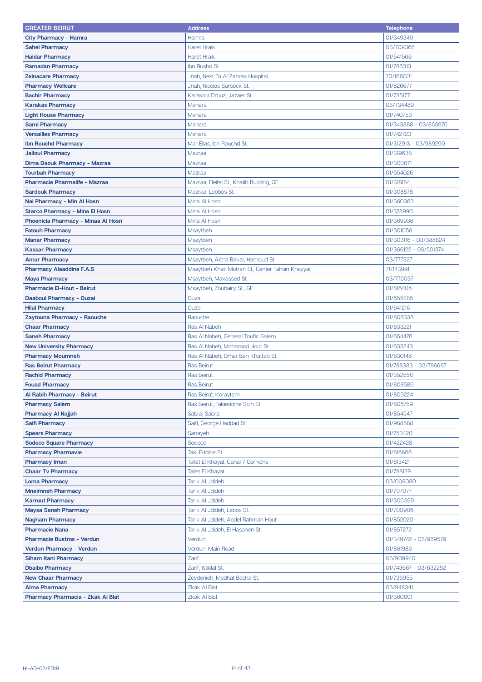| <b>GREATER BEIRUT</b>                               | <b>Address</b>                                    | <b>Telephone</b>      |
|-----------------------------------------------------|---------------------------------------------------|-----------------------|
| City Pharmacy - Hamra                               | Hamra                                             | 01/349349             |
| <b>Sahel Pharmacy</b>                               | <b>Haret Hraik</b>                                | 03/709368             |
| <b>Haidar Pharmacy</b>                              | <b>Haret Hraik</b>                                | 01/541566             |
| <b>Ramadan Pharmacy</b>                             | Ibn Rushd St.                                     | 01/786313             |
| <b>Zeinacare Pharmacy</b>                           | Jnah, Next To Al Zahraa Hospital                  | 70/166001             |
| <b>Pharmacy Wellcare</b>                            | Jnah, Nicolas Sursock St.                         | 01/826677             |
| <b>Bachir Pharmacy</b>                              | Karakoul Drouz, Jazaer St.                        | 01/735177             |
| <b>Karakas Pharmacy</b>                             | Manara                                            | 03/734489             |
| <b>Light House Pharmacy</b>                         | Manara                                            | 01/740753             |
| <b>Sami Pharmacy</b>                                | Manara                                            | 01/343888 - 03/863976 |
| <b>Versailles Pharmacy</b>                          | Manara                                            | 01/742723             |
| <b>Ibn Rouchd Pharmacy</b>                          | Mar Elias, Ibn Rouchd St.                         | 01/312913 - 03/989290 |
| <b>Jalloul Pharmacy</b>                             | Mazraa                                            | 01/319638             |
| Dima Daouk Pharmacy - Mazraa                        | Mazraa                                            | 01/300871             |
| <b>Tourbah Pharmacy</b>                             | Mazraa                                            | 01/654026             |
| Pharmacie Pharmalife - Mazraa                       | Mazraa, Fleifel St., Khatib Building, GF          | 01/318184             |
| <b>Sardouk Pharmacy</b>                             | Mazraa, Lobbos St.                                | 01/308878             |
| Nai Pharmacy - Min Al Hosn                          | Mina Al Hosn                                      | 01/360363             |
| <b>Starco Pharmacy - Mina El Hosn</b>               | Mina Al Hosn                                      | 01/378990             |
| Phoenicia Pharmacy - Minaa Al Hosn                  | Mina Al Hosn                                      | 01/369936             |
| <b>Fatouh Pharmacy</b>                              | Msaytbeh                                          | 01/301058             |
| <b>Manar Pharmacy</b>                               | Msaytbeh                                          | 01/303116 - 03/388824 |
| <b>Kassar Pharmacy</b>                              | Msaytbeh                                          | 01/366122 - 03/501374 |
| <b>Amar Pharmacy</b>                                | Msaytbeh, Aicha Bakar, Hamoud St.                 | 03/777327             |
| <b>Pharmacy Alaaddine F.A.S</b>                     | Msaytbeh Khalil Motran St., Center Tahsin Khayyat | 71/143991             |
| <b>Maya Pharmacy</b>                                | Msaytbeh, Makassed St.                            | 03/776037             |
| <b>Pharmacie El-Hout - Beirut</b>                   | Msaytbeh, Zouhairy St., GF                        | 01/816405             |
| Daaboul Pharmacy - Ouzai                            | Ouzai                                             | 01/655285             |
| <b>Hilal Pharmacy</b>                               | Ouzai                                             | 01/641216             |
| Zaytouna Pharmacy - Raouche                         | Raouche                                           | 01/808338             |
| <b>Chaar Pharmacy</b>                               | Ras Al Nabeh                                      | 01/633221             |
| <b>Saneh Pharmacy</b>                               | Ras Al Nabeh, General Toufic Salem                | 01/654476             |
| <b>New University Pharmacy</b>                      | Ras Al Nabeh, Mohamad Hout St.                    | 01/633243             |
| <b>Pharmacy Moumneh</b>                             | Ras Al Nabeh, Omar Ben Khattab St.                | 01/630148             |
| <b>Ras Beirut Pharmacy</b>                          | <b>Ras Beirut</b>                                 | 01/788383 - 03/786687 |
| <b>Rachid Pharmacy</b>                              | <b>Ras Beirut</b>                                 | 01/352550             |
| <b>Fouad Pharmacy</b>                               | Ras Beirut                                        | 01/808586             |
| Al Rabih Pharmacy - Beirut                          | Ras Beirut, Koraytem                              | 01/809224             |
| <b>Pharmacy Salem</b>                               | Ras Beirut, Takieddine Solh St                    | 01/806759             |
| <b>Pharmacy Al Najjah</b>                           | Sabra, Sabra                                      | 01/854547             |
| <b>Saifi Pharmacy</b>                               | Saifi, George Haddad St.                          | 01/988588             |
| <b>Spears Pharmacy</b>                              | Sanayeh                                           | 01/753420             |
| <b>Sodeco Square Pharmacy</b>                       | Sodeco                                            | 01/422428             |
| <b>Pharmacy Pharmavie</b>                           | Taki Eddine St.                                   | 01/816866             |
| <b>Pharmacy Iman</b>                                | Tallet El Khayat, Canal 7 Corniche                | 01/813421             |
| <b>Chaar Tv Pharmacy</b>                            | <b>Tallet El Khayat</b>                           | 01/788129             |
| <b>Loma Pharmacy</b>                                | Tarik Al Jdideh                                   | 03/009080             |
| <b>Mneimneh Pharmacy</b>                            | Tarik Al Jdideh                                   | 01/707077             |
| <b>Karrout Pharmacy</b>                             | Tarik Al Jdideh                                   | 01/306099             |
| <b>Maysa Saneh Pharmacy</b>                         | Tarik Al Jdideh, Lebos St.                        | 01/700906             |
| <b>Nagham Pharmacy</b>                              | Tarik Al Jdideh, Abdel Rahman Hout                | 01/852020             |
| <b>Pharmacie Nana</b>                               | Tarik Al Jdideh, El Hasanen St.                   | 01/857272             |
| <b>Pharmacie Bustros - Verdun</b>                   | Verdun                                            | 01/349742 - 03/989579 |
| Verdun Pharmacy - Verdun                            | Verdun, Main Road                                 | 01/861986             |
| <b>Siham Itani Pharmacy</b>                         | Zarif                                             | 03/909940             |
|                                                     | Zarif, Istiklal St.                               | 01/743667 - 03/632252 |
| <b>Dbaibo Pharmacy</b><br><b>New Chaar Pharmacy</b> | Zeydenieh, Medhat Bacha St.                       | 01/736955             |
| <b>Alma Pharmacy</b>                                | Zkak Al Blat                                      | 03/948341             |
| Pharmacy Pharmacia - Zkak Al Blat                   | <b>Zkak Al Blat</b>                               | 01/360601             |
|                                                     |                                                   |                       |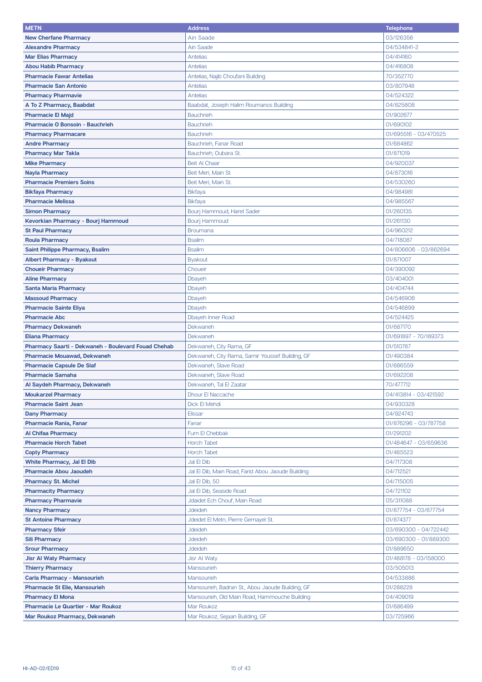| <b>METN</b>                                         | <b>Address</b>                                    | <b>Telephone</b>      |
|-----------------------------------------------------|---------------------------------------------------|-----------------------|
| <b>New Cherfane Pharmacy</b>                        | Ain Saade                                         | 03/126356             |
| <b>Alexandre Pharmacy</b>                           | <b>Ain Saade</b>                                  | 04/534841-2           |
| <b>Mar Elias Pharmacy</b>                           | Antelias                                          | 04/414160             |
| <b>Abou Habib Pharmacy</b>                          | <b>Antelias</b>                                   | 04/416808             |
| <b>Pharmacie Fawar Antelias</b>                     | Antelias, Najib Choufani Building                 | 70/352770             |
| <b>Pharmacie San Antonio</b>                        | <b>Antelias</b>                                   | 03/807948             |
| <b>Pharmacy Pharmavie</b>                           | Antelias                                          | 04/524322             |
| A To Z Pharmacy, Baabdat                            | Baabdat, Joseph Halim Roumanos Building           | 04/825808             |
| <b>Pharmacie El Majd</b>                            | <b>Bauchrieh</b>                                  | 01/902677             |
| <b>Pharmacie O Bonsoin - Bauchrieh</b>              | <b>Bauchrieh</b>                                  | 01/690102             |
| <b>Pharmacy Pharmacare</b>                          | <b>Bauchrieh</b>                                  | 01/695516 - 03/470525 |
| <b>Andre Pharmacy</b>                               | Bauchrieh, Fanar Road                             | 01/684862             |
| <b>Pharmacy Mar Takla</b>                           | Bauchrieh, Oubara St.                             | 01/871019             |
| <b>Mike Pharmacy</b>                                | Beit Al Chaar                                     | 04/920037             |
| <b>Nayla Pharmacy</b>                               | Beit Meri, Main St.                               | 04/873016             |
| <b>Pharmacie Premiers Soins</b>                     | Beit Meri, Main St.                               | 04/530260             |
| <b>Bikfaya Pharmacy</b>                             | <b>Bikfaya</b>                                    | 04/984981             |
| <b>Pharmacie Melissa</b>                            | <b>Bikfaya</b>                                    | 04/985567             |
| <b>Simon Pharmacy</b>                               | Bourj Hammoud, Haret Sader                        | 01/260135             |
| Kevorkian Pharmacy - Bourj Hammoud                  | <b>Bourj Hammoud</b>                              | 01/261130             |
| <b>St Paul Pharmacy</b>                             | <b>Broumana</b>                                   | 04/960212             |
| <b>Roula Pharmacy</b>                               | <b>Bsalim</b>                                     | 04/718087             |
| <b>Saint Philippe Pharmacy, Bsalim</b>              | <b>Bsalim</b>                                     | 04/806606 - 03/862694 |
| <b>Albert Pharmacy - Byakout</b>                    | <b>Byakout</b>                                    | 01/871007             |
| <b>Choueir Pharmacy</b>                             | Choueir                                           | 04/390092             |
| <b>Aline Pharmacy</b>                               | Dbayeh                                            | 03/404001             |
| <b>Santa Maria Pharmacy</b>                         | Dbayeh                                            | 04/404744             |
| <b>Massoud Pharmacy</b>                             | Dbayeh                                            | 04/546906             |
| <b>Pharmacie Sainte Eliya</b>                       | Dbayeh                                            | 04/546899             |
| <b>Pharmacie Abc</b>                                | Dbayeh Inner Road                                 | 04/524425             |
| <b>Pharmacy Dekwaneh</b>                            | Dekwaneh                                          | 01/687170             |
| <b>Eliana Pharmacy</b>                              | Dekwaneh                                          | 01/691897 - 70/189373 |
| Pharmacy Saarti - Dekwaneh - Boulevard Fouad Chehab | Dekwaneh, City Rama, GF                           | 01/510787             |
| <b>Pharmacie Mouawad, Dekwaneh</b>                  | Dekwaneh, City Rama, Samir Youssef Building, GF   | 01/490384             |
| <b>Pharmacie Capsule De Slaf</b>                    | Dekwaneh, Slave Road                              | 01/686559             |
| <b>Pharmacie Samaha</b>                             | Dekwaneh, Slave Road                              | 01/692208             |
| Al Saydeh Pharmacy, Dekwaneh                        | Dekwaneh, Tal El Zaatar                           | 70/477712             |
| <b>Moukarzel Pharmacy</b>                           | <b>Dhour El Naccache</b>                          | 04/413814 - 03/421592 |
| <b>Pharmacie Saint Jean</b>                         | Dick El Mehdi                                     | 04/930328             |
| <b>Dany Pharmacy</b>                                | Elissar                                           | 04/924743             |
| <b>Pharmacie Rania, Fanar</b>                       | Fanar                                             | 01/876296 - 03/787758 |
| <b>Al Chifaa Pharmacy</b>                           | Furn El Chebbak                                   | 01/291202             |
| <b>Pharmacie Horch Tabet</b>                        | <b>Horch Tabet</b>                                | 01/484647 - 03/659636 |
| <b>Copty Pharmacy</b>                               | Horch Tabet                                       | 01/485523             |
| <b>White Pharmacy, Jal El Dib</b>                   | Jal El Dib                                        | 04/717308             |
| <b>Pharmacie Abou Jaoudeh</b>                       | Jal El Dib, Main Road, Farid Abou Jaoude Building | 04/712521             |
| <b>Pharmacy St. Michel</b>                          | Jal El Dib, 50                                    | 04/715005             |
| <b>Pharmacity Pharmacy</b>                          | Jal El Dib, Seaside Road                          | 04/721102             |
| <b>Pharmacy Pharmavie</b>                           | Jdaidet Ech Chouf, Main Road                      | 05/311088             |
| <b>Nancy Pharmacy</b>                               | Jdeideh                                           | 01/877754 - 03/677754 |
| <b>St Antoine Pharmacy</b>                          | Jdeidet El Metn, Pierre Gemayel St.               | 01/874377             |
| <b>Pharmacy Sfeir</b>                               | Jdeideh                                           | 03/690300 - 04/722442 |
| <b>Sili Pharmacy</b>                                | Jdeideh                                           | 03/690300 - 01/889300 |
| <b>Srour Pharmacy</b>                               | Jdeideh                                           | 01/889650             |
| <b>Jisr Al Waty Pharmacy</b>                        | <b>Jisr Al Waty</b>                               | 01/488178 - 03/158000 |
| <b>Thierry Pharmacy</b>                             | Mansourieh                                        | 03/505013             |
| Carla Pharmacy - Mansourieh                         | Mansourieh                                        | 04/533886             |
| <b>Pharmacie St Elie, Mansourieh</b>                | Mansourieh, Badran St., Abou Jaoude Building, GF  | 01/288228             |
| <b>Pharmacy El Mona</b>                             | Mansourieh, Old Main Road, Hammouche Building     | 04/409019             |
| Pharmacie Le Quartier - Mar Roukoz                  | Mar Roukoz                                        | 01/686499             |
| Mar Roukoz Pharmacy, Dekwaneh                       | Mar Roukoz, Sejaan Building, GF                   | 03/725966             |
|                                                     |                                                   |                       |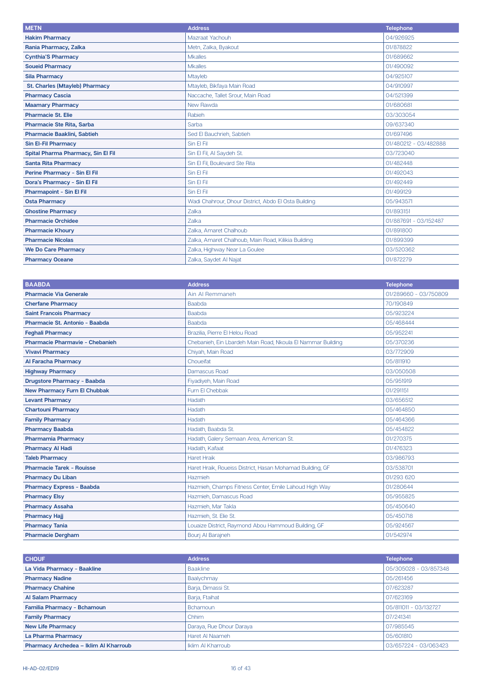| <b>METN</b>                           | <b>Address</b>                                       | <b>Telephone</b>      |
|---------------------------------------|------------------------------------------------------|-----------------------|
| <b>Hakim Pharmacy</b>                 | Mazraat Yachouh                                      | 04/926925             |
| Rania Pharmacy, Zalka                 | Metn, Zalka, Byakout                                 | 01/878822             |
| <b>Cynthia'S Pharmacy</b>             | <b>Mkalles</b>                                       | 01/689662             |
| <b>Soueid Pharmacy</b>                | <b>Mkalles</b>                                       | 01/490092             |
| <b>Sila Pharmacy</b>                  | Mtayleb                                              | 04/925107             |
| <b>St. Charles (Mtayleb) Pharmacy</b> | Mtayleb, Bikfaya Main Road                           | 04/910997             |
| <b>Pharmacy Cascia</b>                | Naccache, Tallet Srour, Main Road                    | 04/521399             |
| <b>Maamary Pharmacy</b>               | New Rawda                                            | 01/680681             |
| <b>Pharmacie St. Elie</b>             | Rabieh                                               | 03/303054             |
| <b>Pharmacie Ste Rita, Sarba</b>      | Sarba                                                | 09/637340             |
| Pharmacie Baaklini, Sabtieh           | Sed El Bauchrieh, Sabtieh                            | 01/697496             |
| <b>Sin El-Fil Pharmacy</b>            | Sin El Fil                                           | 01/480212 - 03/482888 |
| Spital Pharma Pharmacy, Sin El Fil    | Sin El Fil, Al Saydeh St.                            | 03/723040             |
| <b>Santa Rita Pharmacy</b>            | Sin El Fil, Boulevard Ste Rita                       | 01/482448             |
| Perine Pharmacy - Sin El Fil          | Sin El Fil                                           | 01/492043             |
| Dora's Pharmacy - Sin El Fil          | Sin El Fil                                           | 01/492449             |
| <b>Pharmapoint - Sin El Fil</b>       | Sin El Fil                                           | 01/499129             |
| <b>Osta Pharmacy</b>                  | Wadi Chahrour, Dhour District, Abdo El Osta Building | 05/943571             |
| <b>Ghostine Pharmacy</b>              | Zalka                                                | 01/893151             |
| <b>Pharmacie Orchidee</b>             | Zalka                                                | 01/887691 - 03/152487 |
| <b>Pharmacie Khoury</b>               | Zalka, Amaret Chalhoub                               | 01/891800             |
| <b>Pharmacie Nicolas</b>              | Zalka, Amaret Chalhoub, Main Road, Kilikia Building  | 01/899399             |
| <b>We Do Care Pharmacy</b>            | Zalka, Highway Near La Goulee                        | 03/520362             |
| <b>Pharmacy Oceane</b>                | Zalka, Saydet Al Najat                               | 01/872279             |

| <b>BAABDA</b>                       | <b>Address</b>                                              | <b>Telephone</b>      |
|-------------------------------------|-------------------------------------------------------------|-----------------------|
| <b>Pharmacie Via Generale</b>       | Ain Al Remmaneh                                             | 01/289660 - 03/750809 |
| <b>Cherfane Pharmacy</b>            | Baabda                                                      | 70/190849             |
| <b>Saint Francois Pharmacy</b>      | <b>Baabda</b>                                               | 05/923224             |
| Pharmacie St. Antonio - Baabda      | <b>Baabda</b>                                               | 05/468444             |
| <b>Feghali Pharmacy</b>             | Brazilia, Pierre El Helou Road                              | 05/952241             |
| Pharmacie Pharmavie - Chebanieh     | Chebanieh, Ein Lbardeh Main Road, Nkoula El Nammar Building | 05/370236             |
| <b>Vivavi Pharmacy</b>              | Chiyah, Main Road                                           | 03/772909             |
| <b>Al Faracha Pharmacy</b>          | Choueifat                                                   | 05/811910             |
| <b>Highway Pharmacy</b>             | Damascus Road                                               | 03/050508             |
| <b>Drugstore Pharmacy - Baabda</b>  | Fiyadiyeh, Main Road                                        | 05/951919             |
| <b>New Pharmacy Furn El Chubbak</b> | Furn El Chebbak                                             | 01/291151             |
| <b>Levant Pharmacy</b>              | Hadath                                                      | 03/656512             |
| <b>Chartouni Pharmacy</b>           | Hadath                                                      | 05/464850             |
| <b>Family Pharmacy</b>              | Hadath                                                      | 05/464366             |
| <b>Pharmacy Baabda</b>              | Hadath, Baabda St.                                          | 05/454822             |
| <b>Pharmamia Pharmacy</b>           | Hadath, Galery Semaan Area, American St.                    | 01/270375             |
| <b>Pharmacy Al Hadi</b>             | Hadath, Kafaat                                              | 01/476323             |
| <b>Taleb Pharmacy</b>               | <b>Haret Hraik</b>                                          | 03/986793             |
| <b>Pharmacie Tarek - Rouisse</b>    | Haret Hraik, Roueiss District, Hasan Mohamad Building, GF   | 03/538701             |
| <b>Pharmacy Du Liban</b>            | Hazmieh                                                     | 01/293 620            |
| <b>Pharmacy Express - Baabda</b>    | Hazmieh, Champs Fitness Center, Emile Lahoud High Way       | 01/280644             |
| <b>Pharmacy Elsy</b>                | Hazmieh. Damascus Road                                      | 05/955825             |
| <b>Pharmacy Assaha</b>              | Hazmieh, Mar Takla                                          | 05/450640             |
| <b>Pharmacy Haji</b>                | Hazmieh, St. Elie St.                                       | 05/450718             |
| <b>Pharmacy Tania</b>               | Louaize District, Raymond Abou Hammoud Building, GF         | 05/924567             |
| <b>Pharmacie Dergham</b>            | Bouri Al Baraineh                                           | 01/542974             |

| <b>CHOUF</b>                          | <b>Address</b>           | <b>Telephone</b>      |
|---------------------------------------|--------------------------|-----------------------|
| La Vida Pharmacy - Baakline           | <b>Baakline</b>          | 05/305028 - 03/857348 |
| <b>Pharmacy Nadine</b>                | Baalychmay               | 05/261456             |
| <b>Pharmacy Chahine</b>               | Barja, Dimassi St.       | 07/623287             |
| <b>Al Salam Pharmacy</b>              | Barja, Ftaihat           | 07/623169             |
| Familia Pharmacy - Bchamoun           | Bchamoun                 | 05/811011 - 03/132727 |
| <b>Family Pharmacy</b>                | Chhim                    | 07/241341             |
| <b>New Life Pharmacy</b>              | Daraya, Rue Dhour Daraya | 07/985545             |
| La Pharma Pharmacy                    | Haret Al Naameh          | 05/601810             |
| Pharmacy Archedea - Iklim Al Kharroub | <b>Iklim AI Kharroub</b> | 03/657224 - 03/063423 |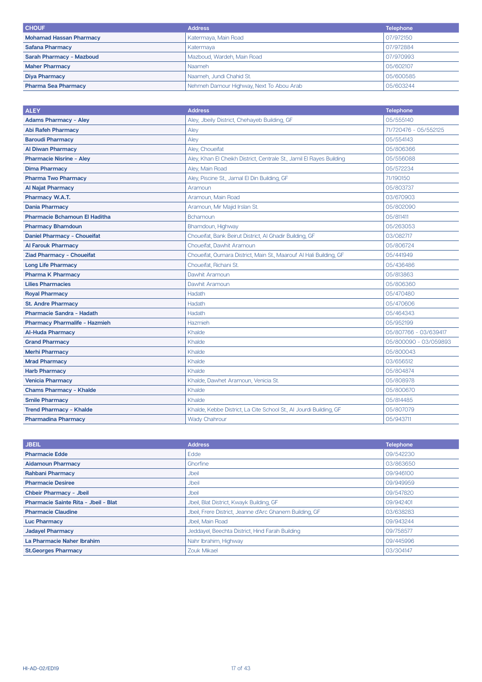| <b>CHOUF</b>                    | <b>Address</b>                           | <b>Telephone</b> |
|---------------------------------|------------------------------------------|------------------|
| <b>Mohamad Hassan Pharmacy</b>  | Katermaya, Main Road                     | 07/972150        |
| <b>Safana Pharmacy</b>          | Katermaya                                | 07/972884        |
| <b>Sarah Pharmacy - Mazboud</b> | Mazboud, Wardeh, Main Road               | 07/970993        |
| <b>Maher Pharmacy</b>           | Naameh                                   | 05/602107        |
| <b>Diya Pharmacy</b>            | Naameh, Jundi Chahid St.                 | 05/600585        |
| <b>Pharma Sea Pharmacy</b>      | Nehmeh Damour Highway, Next To Abou Arab | 05/603244        |

| <b>ALEY</b>                          | <b>Address</b>                                                       | <b>Telephone</b>      |
|--------------------------------------|----------------------------------------------------------------------|-----------------------|
| <b>Adams Pharmacy - Aley</b>         | Aley, Jbeily District, Chehayeb Building, GF                         | 05/555140             |
| <b>Abi Rafeh Pharmacy</b>            | Aley                                                                 | 71/720476 - 05/552125 |
| <b>Baroudi Pharmacy</b>              | Aley                                                                 | 05/554143             |
| <b>Al Diwan Pharmacy</b>             | Aley, Choueifat                                                      | 05/806366             |
| <b>Pharmacie Nisrine - Aley</b>      | Aley, Khan El Cheikh District, Centrale St., Jamil El Rayes Building | 05/556088             |
| <b>Dima Pharmacy</b>                 | Aley, Main Road                                                      | 05/572234             |
| <b>Pharma Two Pharmacy</b>           | Aley, Piscine St., Jamal El Din Building, GF                         | 71/190150             |
| <b>Al Najat Pharmacy</b>             | Aramoun                                                              | 05/803737             |
| Pharmacy W.A.T.                      | Aramoun, Main Road                                                   | 03/670903             |
| <b>Dania Pharmacy</b>                | Aramoun, Mir Majid Irslan St.                                        | 05/802090             |
| <b>Pharmacie Bchamoun El Haditha</b> | Bchamoun                                                             | 05/811411             |
| <b>Pharmacy Bhamdoun</b>             | Bhamdoun, Highway                                                    | 05/263053             |
| Daniel Pharmacy - Choueifat          | Choueifat, Bank Beirut District, Al Ghadir Building, GF              | 03/082717             |
| <b>Al Farouk Pharmacy</b>            | Choueifat, Dawhit Aramoun                                            | 05/806724             |
| Ziad Pharmacy - Choueifat            | Choueifat, Oumara District, Main St., Maarouf Al Hali Building, GF   | 05/441949             |
| <b>Long Life Pharmacy</b>            | Choueifat, Richani St.                                               | 05/436486             |
| <b>Pharma K Pharmacy</b>             | Dawhit Aramoun                                                       | 05/813863             |
| <b>Lilies Pharmacies</b>             | Dawhit Aramoun                                                       | 05/806360             |
| <b>Royal Pharmacy</b>                | Hadath                                                               | 05/470480             |
| <b>St. Andre Pharmacy</b>            | Hadath                                                               | 05/470606             |
| <b>Pharmacie Sandra - Hadath</b>     | Hadath                                                               | 05/464343             |
| <b>Pharmacy Pharmalife - Hazmieh</b> | Hazmieh                                                              | 05/952199             |
| <b>Al-Huda Pharmacy</b>              | Khalde                                                               | 05/807766 - 03/639417 |
| <b>Grand Pharmacy</b>                | Khalde                                                               | 05/800090 - 03/059893 |
| <b>Merhi Pharmacy</b>                | Khalde                                                               | 05/800043             |
| <b>Mrad Pharmacy</b>                 | Khalde                                                               | 03/656512             |
| <b>Harb Pharmacy</b>                 | Khalde                                                               | 05/804874             |
| <b>Venicia Pharmacy</b>              | Khalde, Dawhet Aramoun, Venicia St.                                  | 05/808978             |
| <b>Chams Pharmacy - Khalde</b>       | Khalde                                                               | 05/800670             |
| <b>Smile Pharmacy</b>                | Khalde                                                               | 05/814485             |
| <b>Trend Pharmacy - Khalde</b>       | Khalde, Kebbe District, La Cite School St., Al Jourdi Building, GF   | 05/807079             |
| <b>Pharmadina Pharmacy</b>           | <b>Wady Chahrour</b>                                                 | 05/943711             |

| <b>JBEIL</b>                         | <b>Address</b>                                          | <b>Telephone</b> |
|--------------------------------------|---------------------------------------------------------|------------------|
| <b>Pharmacie Edde</b>                | Edde                                                    | 09/542230        |
| <b>Aidamoun Pharmacy</b>             | Ghorfine                                                | 03/863650        |
| <b>Rahbani Pharmacy</b>              | <b>Jbeil</b>                                            | 09/946100        |
| <b>Pharmacie Desiree</b>             | Jbeil                                                   | 09/949959        |
| <b>Chbeir Pharmacy - Jbeil</b>       | <b>Jbeil</b>                                            | 09/547820        |
| Pharmacie Sainte Rita - Jbeil - Blat | Jbeil, Blat District, Kwayk Building, GF                | 09/942401        |
| <b>Pharmacie Claudine</b>            | Jbeil, Frere District, Jeanne d'Arc Ghanem Building, GF | 03/638283        |
| <b>Luc Pharmacy</b>                  | Jbeil, Main Road                                        | 09/943244        |
| <b>Jadayel Pharmacy</b>              | Jeddayel, Beechta District, Hind Farah Building         | 09/758577        |
| La Pharmacie Naher Ibrahim           | Nahr Ibrahim, Highway                                   | 09/445996        |
| <b>St.Georges Pharmacy</b>           | <b>Zouk Mikael</b>                                      | 03/304147        |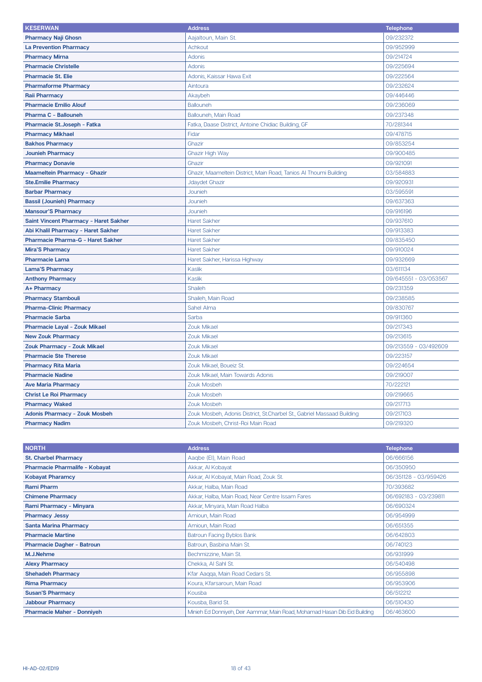| <b>KESERWAN</b>                       | <b>Address</b>                                                         | <b>Telephone</b>          |
|---------------------------------------|------------------------------------------------------------------------|---------------------------|
| <b>Pharmacy Naji Ghosn</b>            | Aajaltoun, Main St.                                                    | 09/232372                 |
| <b>La Prevention Pharmacy</b>         | <b>Achkout</b>                                                         | 09/952999                 |
| <b>Pharmacy Mirna</b>                 | Adonis                                                                 | 09/214724                 |
| <b>Pharmacie Christelle</b>           | Adonis                                                                 | 09/225694                 |
| <b>Pharmacie St. Elie</b>             | Adonis, Kaissar Hawa Exit                                              | 09/222564                 |
| <b>Pharmaforme Pharmacy</b>           | Aintoura                                                               | 09/232624                 |
| <b>Raii Pharmacy</b>                  | Akaybeh                                                                | 09/446446                 |
| <b>Pharmacie Emilio Alouf</b>         | <b>Ballouneh</b>                                                       | 09/236069                 |
| Pharma C - Ballouneh                  | Ballouneh, Main Road                                                   | 09/237348                 |
| Pharmacie St. Joseph - Fatka          | Fatka, Daase District, Antoine Chidiac Building, GF                    | 70/281344                 |
| <b>Pharmacy Mikhael</b>               | Fidar                                                                  | 09/478715                 |
| <b>Bakhos Pharmacy</b>                | Ghazir                                                                 | 09/853254                 |
| <b>Jounieh Pharmacy</b>               | <b>Ghazir High Way</b>                                                 | 09/900485                 |
| <b>Pharmacy Donavie</b>               | Ghazir                                                                 | 09/921091                 |
| <b>Maameltein Pharmacy - Ghazir</b>   | Ghazir, Maameltein District, Main Road, Tanios Al Thoumi Building      | 03/584883                 |
| <b>Ste.Emilie Pharmacy</b>            | <b>Jdaydet Ghazir</b>                                                  | 09/920931                 |
| <b>Barbar Pharmacy</b>                | Jounieh                                                                | 03/595591                 |
| <b>Bassil (Jounieh) Pharmacy</b>      | Jounieh                                                                | 09/637363                 |
| <b>Mansour'S Pharmacy</b>             | Jounieh                                                                | 09/916196                 |
| Saint Vincent Pharmacy - Haret Sakher | <b>Haret Sakher</b>                                                    | 09/937610                 |
| Abi Khalil Pharmacy - Haret Sakher    | <b>Haret Sakher</b>                                                    | 09/913383                 |
| Pharmacie Pharma-G - Haret Sakher     | <b>Haret Sakher</b>                                                    | 09/835450                 |
| <b>Mira'S Pharmacy</b>                | <b>Haret Sakher</b>                                                    | 09/910024                 |
| <b>Pharmacie Lama</b>                 | Haret Sakher, Harissa Highway                                          | 09/932669                 |
| <b>Lama'S Pharmacy</b>                | <b>Kaslik</b>                                                          | 03/611134                 |
| <b>Anthony Pharmacy</b>               | Kaslik                                                                 | 09/645551 - 03/053567     |
| A+ Pharmacy                           | <b>Shaileh</b>                                                         | 09/231359                 |
| <b>Pharmacy Stambouli</b>             | Shaileh, Main Road                                                     | 09/238585                 |
| <b>Pharma-Clinic Pharmacy</b>         | Sahel Alma                                                             | 09/830767                 |
| <b>Pharmacie Sarba</b>                | Sarba                                                                  | 09/911360                 |
| Pharmacie Layal - Zouk Mikael         | Zouk Mikael                                                            | 09/217343                 |
| <b>New Zouk Pharmacy</b>              | <b>Zouk Mikael</b>                                                     | 09/213615                 |
| <b>Zouk Pharmacy - Zouk Mikael</b>    | <b>Zouk Mikael</b>                                                     | 09/213559<br>$-03/492609$ |
| <b>Pharmacie Ste Therese</b>          | <b>Zouk Mikael</b>                                                     | 09/223157                 |
| <b>Pharmacy Rita Maria</b>            | Zouk Mikael, Boueiz St.                                                | 09/224654                 |
| <b>Pharmacie Nadine</b>               | Zouk Mikael, Main Towards Adonis                                       | 09/219007                 |
| <b>Ave Maria Pharmacy</b>             | Zouk Mosbeh                                                            | 70/222121                 |
| <b>Christ Le Roi Pharmacy</b>         | Zouk Mosbeh                                                            | 09/219665                 |
| <b>Pharmacy Waked</b>                 | Zouk Mosbeh                                                            | 09/217713                 |
| <b>Adonis Pharmacy - Zouk Mosbeh</b>  | Zouk Mosbeh, Adonis District, St.Charbel St., Gabriel Massaad Building | 09/217103                 |
| <b>Pharmacy Nadim</b>                 | Zouk Mosbeh, Christ-Roi Main Road                                      | 09/219320                 |

| <b>NORTH</b>                      | <b>Address</b>                                                             | <b>Telephone</b>      |
|-----------------------------------|----------------------------------------------------------------------------|-----------------------|
| <b>St. Charbel Pharmacy</b>       | Aaqbe (EI), Main Road                                                      | 06/666156             |
| Pharmacie Pharmalife - Kobayat    | Akkar, Al Kobayat                                                          | 06/350950             |
| <b>Kobayat Pharamcy</b>           | Akkar, Al Kobayat, Main Road, Zouk St.                                     | 06/351128 - 03/959426 |
| <b>Rami Pharm</b>                 | Akkar, Halba, Main Road                                                    | 70/393682             |
| <b>Chimene Pharmacy</b>           | Akkar, Halba, Main Road, Near Centre Issam Fares                           | 06/692183 - 03/239811 |
| Rami Pharmacy - Minyara           | Akkar, Minyara, Main Road Halba                                            | 06/690324             |
| <b>Pharmacy Jessy</b>             | Amioun, Main Road                                                          | 06/954999             |
| <b>Santa Marina Pharmacy</b>      | Amioun, Main Road                                                          | 06/651355             |
| <b>Pharmacie Martine</b>          | <b>Batroun Facing Byblos Bank</b>                                          | 06/642803             |
| <b>Pharmacie Dagher - Batroun</b> | Batroun, Basbina Main St.                                                  | 06/740123             |
| M.J.Nehme                         | Bechmizzine, Main St.                                                      | 06/931999             |
| <b>Alexy Pharmacy</b>             | Chekka, Al Sahl St.                                                        | 06/540498             |
| <b>Shehadeh Pharmacy</b>          | Kfar Aaqqa, Main Road Cedars St.                                           | 06/955898             |
| <b>Rima Pharmacy</b>              | Koura, Kfarsaroun, Main Road                                               | 06/953906             |
| <b>Susan'S Pharmacy</b>           | Kousba                                                                     | 06/512212             |
| <b>Jabbour Pharmacy</b>           | Kousba, Barid St.                                                          | 06/510430             |
| <b>Pharmacie Maher - Donniyeh</b> | Minieh Ed Donniyeh, Deir Aammar, Main Road, Mohamad Hasan Dib Eid Building | 06/463600             |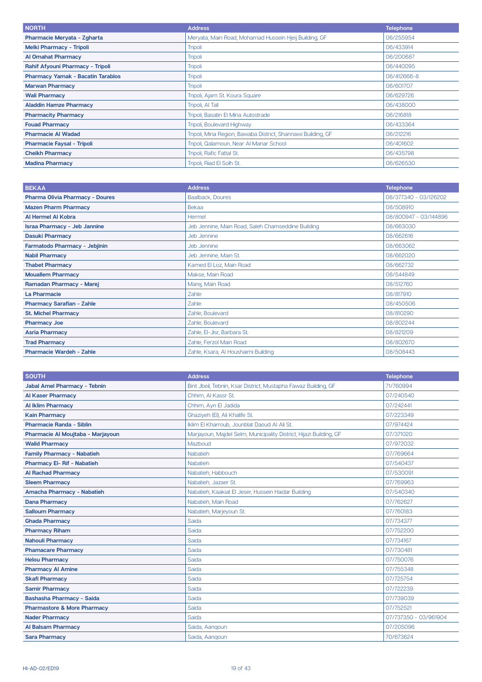| <b>NORTH</b>                             | <b>Address</b>                                               | <b>Telephone</b> |
|------------------------------------------|--------------------------------------------------------------|------------------|
| Pharmacie Meryata - Zgharta              | Meryata, Main Road, Mohamad Hussein Hjeij Building, GF       | 06/255954        |
| <b>Melki Pharmacy - Tripoli</b>          | <b>Tripoli</b>                                               | 06/433914        |
| <b>Al Omahat Pharmacy</b>                | <b>Tripoli</b>                                               | 06/200687        |
| Rahif Afyouni Pharmacy - Tripoli         | <b>Tripoli</b>                                               | 06/440095        |
| <b>Pharmacy Yamak - Bacatin Tarablos</b> | <b>Tripoli</b>                                               | 06/412666-8      |
| <b>Marwan Pharmacy</b>                   | <b>Tripoli</b>                                               | 06/601707        |
| <b>Wali Pharmacy</b>                     | Tripoli, Ajam St. Koura Square                               | 06/629726        |
| <b>Aladdin Hamze Pharmacy</b>            | Tripoli, Al Tall                                             | 06/438000        |
| <b>Pharmacity Pharmacy</b>               | Tripoli, Basatin El Mina Autostrade                          | 06/216818        |
| <b>Fouad Pharmacy</b>                    | Tripoli, Boulevard Highway                                   | 06/433364        |
| <b>Pharmacie Al Wadad</b>                | Tripoli, Mina Region, Bawaba District, Shannawi Building, GF | 06/212216        |
| <b>Pharmacie Faysal - Tripoli</b>        | Tripoli, Qalamoun, Near Al Manar School                      | 06/401602        |
| <b>Cheikh Pharmacy</b>                   | Tripoli, Rafic Fattal St.                                    | 06/435798        |
| <b>Madina Pharmacy</b>                   | Tripoli, Riad El Solh St.                                    | 06/626530        |

| <b>BEKAA</b>                           | <b>Address</b>                                     | <b>Telephone</b>      |
|----------------------------------------|----------------------------------------------------|-----------------------|
| <b>Pharma Olivia Pharmacy - Doures</b> | Baalback, Doures                                   | 08/377340 - 03/126202 |
| <b>Mazen Pharm Pharmacy</b>            | Bekaa                                              | 08/508910             |
| Al Hermel Al Kobra                     | Hermel                                             | 08/800947 - 03/144896 |
| <b>Israa Pharmacy - Jeb Jannine</b>    | Jeb Jennine, Main Road, Saleh Chamseddine Building | 08/663030             |
| <b>Dasuki Pharmacy</b>                 | Jeb Jennine                                        | 08/662616             |
| Farmatodo Pharmacy - Jebjinin          | Jeb Jennine                                        | 08/663062             |
| <b>Nabil Pharmacy</b>                  | Jeb Jennine, Main St.                              | 08/662020             |
| <b>Thabet Pharmacy</b>                 | Kamed El Loz, Main Road                            | 08/662732             |
| <b>Mouallem Pharmacy</b>               | Makse, Main Road                                   | 08/544849             |
| Ramadan Pharmacy - Marej               | Marej, Main Road                                   | 08/512760             |
| La Pharmacie                           | Zahle                                              | 08/817910             |
| <b>Pharmacy Sarafian - Zahle</b>       | Zahle                                              | 08/450506             |
| <b>St. Michel Pharmacy</b>             | Zahle, Boulevard                                   | 08/810290             |
| <b>Pharmacy Joe</b>                    | Zahle, Boulevard                                   | 08/802244             |
| <b>Asria Pharmacy</b>                  | Zahle, El-Jisr, Barbara St.                        | 08/821209             |
| <b>Trad Pharmacy</b>                   | Zahle, Ferzol Main Road                            | 08/802670             |
| <b>Pharmacie Wardeh - Zahle</b>        | Zahle, Ksara, Al Houshaimi Building                | 08/508443             |

| <b>SOUTH</b>                           | <b>Address</b>                                                     | <b>Telephone</b>      |
|----------------------------------------|--------------------------------------------------------------------|-----------------------|
| <b>Jabal Amel Pharmacy - Tebnin</b>    | Bint Jbeil, Tebnin, Ksar District, Mustapha Fawaz Building, GF     | 71/760994             |
| <b>Al Kaser Pharmacy</b>               | Chhim. Al Kassr St.                                                | 07/240540             |
| <b>Al Iklim Pharmacy</b>               | Chhim, Ayn El Jadida                                               | 07/242441             |
| <b>Kain Pharmacy</b>                   | Ghaziyeh (EI), Ali Khalife St.                                     | 07/223349             |
| <b>Pharmacie Randa - Siblin</b>        | Iklim El Kharroub, Jounblat Daoud Al Ali St.                       | 07/974424             |
| Pharmacie Al Moujtaba - Marjayoun      | Marjayoun, Majdel Selm, Municipality District, Hijazi Building, GF | 07/371020             |
| <b>Walid Pharmacy</b>                  | Mazboud                                                            | 07/972032             |
| <b>Family Pharmacy - Nabatieh</b>      | Nabatieh                                                           | 07/769664             |
| <b>Pharmacy El- Rif - Nabatieh</b>     | Nabatieh                                                           | 07/540437             |
| <b>Al Rachad Pharmacy</b>              | Nabatieh, Habbouch                                                 | 07/530091             |
| <b>Sleem Pharmacy</b>                  | Nabatieh, Jazaer St.                                               | 07/769963             |
| Amacha Pharmacy - Nabatieh             | Nabatieh, Kaakiat El Jeser, Hussein Haidar Building                | 07/540340             |
| <b>Dana Pharmacy</b>                   | Nabatieh, Main Road                                                | 07/762627             |
| <b>Salloum Pharmacy</b>                | Nabatieh, Marjeyoun St.                                            | 07/760183             |
| <b>Ghada Pharmacy</b>                  | Saida                                                              | 07/734377             |
| <b>Pharmacy Riham</b>                  | Saida                                                              | 07/752200             |
| <b>Nahouli Pharmacy</b>                | Saida                                                              | 07/734167             |
| <b>Phamacare Pharmacy</b>              | Saida                                                              | 07/730481             |
| <b>Helou Pharmacy</b>                  | Saida                                                              | 07/750076             |
| <b>Pharmacy AI Amine</b>               | Saida                                                              | 07/755348             |
| <b>Skafi Pharmacy</b>                  | Saida                                                              | 07/725754             |
| <b>Samir Pharmacy</b>                  | Saida                                                              | 07/722239             |
| Bashasha Pharmacy - Saida              | Saida                                                              | 07/739039             |
| <b>Pharmastore &amp; More Pharmacy</b> | Saida                                                              | 07/752521             |
| <b>Nader Pharmacy</b>                  | Saida                                                              | 07/737350 - 03/961904 |
| <b>Al Balsam Pharmacy</b>              | Saida, Aanqoun                                                     | 07/205096             |
| <b>Sara Pharmacy</b>                   | Saida, Aangoun                                                     | 70/673624             |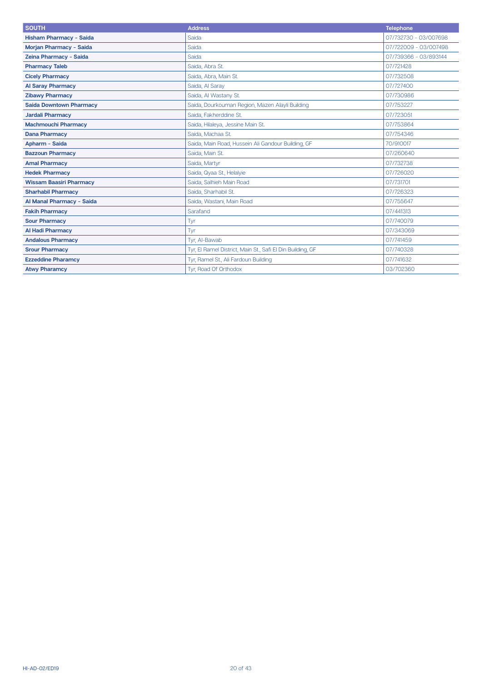| <b>SOUTH</b>                   | <b>Address</b>                                             | <b>Telephone</b>      |
|--------------------------------|------------------------------------------------------------|-----------------------|
| <b>Hisham Pharmacy - Saida</b> | Saida                                                      | 07/732730 - 03/007698 |
| Morjan Pharmacy - Saida        | Saida                                                      | 07/722009 - 03/007498 |
| Zeina Pharmacy - Saida         | Saida                                                      | 07/739366 - 03/893144 |
| <b>Pharmacy Taleb</b>          | Saida, Abra St.                                            | 07/721428             |
| <b>Cicely Pharmacy</b>         | Saida, Abra, Main St.                                      | 07/732508             |
| <b>Al Saray Pharmacy</b>       | Saida, Al Saray                                            | 07/727400             |
| <b>Zibawy Pharmacy</b>         | Saida, Al Wastany St.                                      | 07/730986             |
| <b>Saida Downtown Pharmacy</b> | Saida, Dourkouman Region, Mazen Alayli Building            | 07/753227             |
| <b>Jardali Pharmacy</b>        | Saida, Fakherddine St.                                     | 07/723051             |
| <b>Machmouchi Pharmacy</b>     | Saida, Hilaleya, Jessine Main St.                          | 07/753864             |
| <b>Dana Pharmacy</b>           | Saida, Machaa St.                                          | 07/754346             |
| Apharm - Saida                 | Saida, Main Road, Hussein Ali Gandour Building, GF         | 70/910017             |
| <b>Bazzoun Pharmacy</b>        | Saida, Main St.                                            | 07/260640             |
| <b>Amal Pharmacy</b>           | Saida, Martvr                                              | 07/732738             |
| <b>Hedek Pharmacy</b>          | Saida, Qyaa St., Helalyie                                  | 07/726020             |
| <b>Wissam Baasiri Pharmacy</b> | Saida, Salhieh Main Road                                   | 07/731701             |
| <b>Sharhabil Pharmacy</b>      | Saida, Sharhabil St.                                       | 07/726323             |
| Al Manal Pharmacy - Saida      | Saida, Wastani, Main Road                                  | 07/755647             |
| <b>Fakih Pharmacy</b>          | Sarafand                                                   | 07/441313             |
| <b>Sour Pharmacy</b>           | Tyr                                                        | 07/740079             |
| <b>Al Hadi Pharmacy</b>        | Tyr                                                        | 07/343069             |
| <b>Andalous Pharmacy</b>       | Tyr, Al-Bawab                                              | 07/741459             |
| <b>Srour Pharmacy</b>          | Tyr, El Ramel District, Main St., Safi El Din Building, GF | 07/740328             |
| <b>Ezzeddine Pharamcy</b>      | Tyr, Ramel St., Ali Fardoun Building                       | 07/741632             |
| <b>Atwy Pharamcy</b>           | Tyr, Road Of Orthodox                                      | 03/702360             |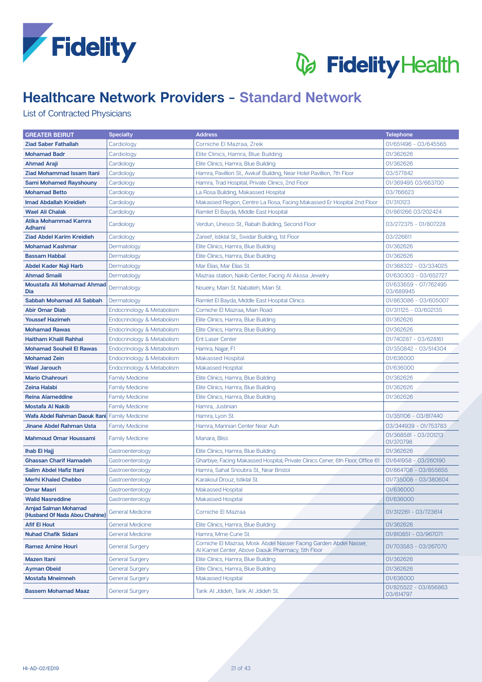



# **Healthcare Network Providers - Standard Network**

### List of Contracted Physicians

| <b>GREATER BEIRUT</b>                                         | <b>Specialty</b>           | <b>Address</b>                                                                                                        | <b>Telephone</b>                   |
|---------------------------------------------------------------|----------------------------|-----------------------------------------------------------------------------------------------------------------------|------------------------------------|
| <b>Ziad Saber Fathallah</b>                                   | Cardiology                 | Corniche El Mazraa, Zreik                                                                                             | 01/651496 - 03/645565              |
| <b>Mohamad Badr</b>                                           | Cardiology                 | Elite Clinics, Hamra, Blue Building                                                                                   | 01/362626                          |
| <b>Ahmad Araji</b>                                            | Cardiology                 | Elite Clinics, Hamra, Blue Building                                                                                   | 01/362626                          |
| <b>Ziad Mohammad Issam Itani</b>                              | Cardiology                 | Hamra, Pavillion St., Awkaf Building, Near Hotel Pavillion, 7th Floor                                                 | 03/577842                          |
| <b>Sami Mohamed Rayshouny</b>                                 | Cardiology                 | Hamra, Trad Hospital, Private Clinics, 2nd Floor                                                                      | 01/369495 03/663700                |
| <b>Mohamad Betto</b>                                          | Cardiology                 | La Rosa Building, Makassed Hospital                                                                                   | 03/766623                          |
| <b>Imad Abdallah Kreidieh</b>                                 | Cardiology                 | Makassed Region, Centre La Rosa, Facing Makassed Er Hospital 2nd Floor                                                | 01/310123                          |
| <b>Wael Ali Chalak</b>                                        | Cardiology                 | Ramlet El Bayda, Middle East Hospital                                                                                 | 01/861266 03/202424                |
| Atika Mohammad Kamra<br>Adhami                                | Cardiology                 | Verdun, Unesco St., Rabah Building, Second Floor                                                                      | 03/272375 - 01/807228              |
| Ziad Abdel Karim Kreidieh                                     | Cardiology                 | Zareef, Istiklal St., Swidar Building, 1st Floor                                                                      | 03/226611                          |
| <b>Mohamad Kashmar</b>                                        | Dermatology                | Elite Clinics, Hamra, Blue Building                                                                                   | 01/362626                          |
| <b>Bassam Habbal</b>                                          | Dermatology                | Elite Clinics, Hamra, Blue Building                                                                                   | 01/362626                          |
| Abdel Kader Naji Harb                                         | Dermatology                | Mar Elias, Mar Elias St.                                                                                              | 01/368322 - 03/334025              |
| <b>Ahmad Smaili</b>                                           | Dermatology                | Mazraa station, Nakib Center, Facing AI Akssa Jewelry                                                                 | 01/630303 - 03/652727              |
| Moustafa Ali Mohamad Ahmad<br>Dia                             | Dermatology                | Noueiry, Main St. Nabatieh, Main St.                                                                                  | 01/633659 - 07/762495<br>03/689945 |
| Sabbah Mohamad Ali Sabbah                                     | Dermatology                | Ramlet El Bayda, Middle East Hospital Clinics                                                                         | 01/863086 - 03/605007              |
| <b>Abir Omar Diab</b>                                         | Endocrinology & Metabolism | Corniche El Mazraa, Main Road                                                                                         | 01/311125 - 03/602135              |
| <b>Youssef Hazimeh</b>                                        | Endocrinology & Metabolism | Elite Clinics, Hamra, Blue Building                                                                                   | 01/362626                          |
| <b>Mohamad Rawas</b>                                          | Endocrinology & Metabolism | Elite Clinics, Hamra, Blue Building                                                                                   | 01/362626                          |
| Haitham Khalil Rahhal                                         | Endocrinology & Metabolism | <b>Ent Laser Center</b>                                                                                               | 01/740287 - 03/628161              |
| <b>Mohamad Souheil El Rawas</b>                               | Endocrinology & Metabolism | Hamra, Najjar, F1                                                                                                     | 01/350842 - 03/514304              |
| <b>Mohamad Zein</b>                                           | Endocrinology & Metabolism | <b>Makassed Hospital</b>                                                                                              | 01/636000                          |
| <b>Wael Jarouch</b>                                           | Endocrinology & Metabolism | Makassed Hospital                                                                                                     | 01/636000                          |
| <b>Mario Chahrouri</b>                                        | <b>Family Medicine</b>     | Elite Clinics, Hamra, Blue Building                                                                                   | 01/362626                          |
| <b>Zeina Halabi</b>                                           | <b>Family Medicine</b>     | Elite Clinics, Hamra, Blue Building                                                                                   | 01/362626                          |
| <b>Reina Alameddine</b>                                       | <b>Family Medicine</b>     | Elite Clinics, Hamra, Blue Building                                                                                   | 01/362626                          |
| <b>Mostafa Al Nakib</b>                                       | <b>Family Medicine</b>     | Hamra, Justinian                                                                                                      |                                    |
| <b>Wafa Abdel Rahman Daouk Itani</b> Family Medicine          |                            | Hamra, Lyon St.                                                                                                       | 01/351106 - 03/817440              |
| Jinane Abdel Rahman Usta                                      | <b>Family Medicine</b>     | Hamra, Marinian Center Near Auh                                                                                       | 03/344939 - 01/753783              |
| <b>Mahmoud Omar Houssami</b>                                  | <b>Family Medicine</b>     | Manara, Bliss                                                                                                         | 01/368581 - 03/201213<br>01/370798 |
| <b>Ihab El Hajj</b>                                           | Gastroenterology           | Elite Clinics, Hamra, Blue Building                                                                                   | 01/362626                          |
| <b>Ghassan Charif Hamadeh</b>                                 | Gastroenterology           | Gharbiye, Facing Makassed Hospital, Private Clinics Cener, 6th Floor, Office 61                                       | 01/641958 - 03/260190              |
| Salim Abdel Hafiz Itani                                       | Gastroenterology           | Hamra, Sahat Snoubra St., Near Bristol                                                                                | 01/864708 - 03/855655              |
| <b>Merhi Khaled Chebbo</b>                                    | Gastroenterology           | Karakoul Drouz, Istiklal St.                                                                                          | 01/735008 - 03/380604              |
| <b>Omar Masri</b>                                             | Gastroenterology           | Makassed Hospital                                                                                                     | 01/636000                          |
| <b>Walid Nasreddine</b>                                       | Gastroenterology           | Makassed Hospital                                                                                                     | 01/636000                          |
| <b>Amjad Salman Mohamad</b><br>(Husband Of Nada Abou Chahine) | <b>General Medicine</b>    | Corniche El Mazraa                                                                                                    | 01/312261 - 03/723614              |
| <b>Afif El Hout</b>                                           | <b>General Medicine</b>    | Elite Clinics, Hamra, Blue Building                                                                                   | 01/362626                          |
| <b>Nuhad Chafik Sidani</b>                                    | <b>General Medicine</b>    | Hamra, Mme Curie St.                                                                                                  | 01/810851 - 03/967071              |
| <b>Ramez Amine Houri</b>                                      | <b>General Surgery</b>     | Corniche El Mazraa, Mosk Abdel Nasser Facing Garden Abdel Nasser,<br>Al Kamel Center, Above Daouk Pharmacy, 5th Floor | 01/703583 - 03/267070              |
| <b>Mazen Itani</b>                                            | <b>General Surgery</b>     | Elite Clinics, Hamra, Blue Building                                                                                   | 01/362626                          |
| <b>Ayman Obeid</b>                                            | <b>General Surgery</b>     | Elite Clinics, Hamra, Blue Building                                                                                   | 01/362626                          |
| <b>Mostafa Mneimneh</b>                                       | <b>General Surgery</b>     | Makassed Hospital                                                                                                     | 01/636000                          |
| <b>Bassem Mohamad Maaz</b>                                    | <b>General Surgery</b>     | Tarik Al Jdideh, Tarik Al Jdideh St.                                                                                  | 01/825522 - 03/856863<br>03/614797 |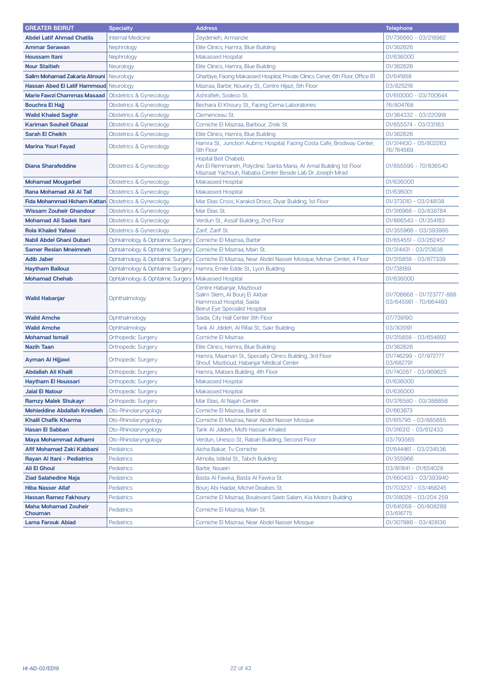| <b>GREATER BEIRUT</b>                  | <b>Specialty</b>                   | <b>Address</b>                                                                                                                                            | <b>Telephone</b>                                   |
|----------------------------------------|------------------------------------|-----------------------------------------------------------------------------------------------------------------------------------------------------------|----------------------------------------------------|
| <b>Abdel Latif Ahmad Chatila</b>       | <b>Internal Medicine</b>           | Zeydenieh, Armanzie                                                                                                                                       | 01/736660 - 03/218982                              |
| <b>Ammar Serawan</b>                   | Nephrology                         | Elite Clinics, Hamra, Blue Building                                                                                                                       | 01/362626                                          |
| <b>Houssam Itani</b>                   | Nephrology                         | <b>Makassed Hospital</b>                                                                                                                                  | 01/636000                                          |
| <b>Nour Staitieh</b>                   | Neurology                          | Elite Clinics, Hamra, Blue Building                                                                                                                       | 01/362626                                          |
| Salim Mohamad Zakaria Atrouni          | Neurology                          | Gharbiye, Facing Makassed Hospital, Private Clinics Cener, 6th Floor, Office 61                                                                           | 01/641958                                          |
| <b>Hassan Abed El Latif Hammoud</b>    | Neurology                          | Mazraa, Barbir, Noueiry St., Centre Hijazi, 5th Floor                                                                                                     | 03/825218                                          |
| <b>Marie Fawzi Chammas Masaad</b>      | Obstetrics & Gynecology            | Ashrafieh, Sodeco St.                                                                                                                                     | 01/610000 - 03/700644                              |
| <b>Bouchra El Hajj</b>                 | <b>Obstetrics &amp; Gynecology</b> | Bechara El Khoury St., Facing Cema Laboratories                                                                                                           | 76/804768                                          |
| <b>Walid Khaled Saghir</b>             | Obstetrics & Gynecology            | Clemenceau St.                                                                                                                                            | 01/364332 - 03/220918                              |
| <b>Kariman Souheil Ghazal</b>          | Obstetrics & Gynecology            | Corniche El Mazraa, Barbour, Zreik St.                                                                                                                    | 01/655574 - 03/231163                              |
| <b>Sarah El Cheikh</b>                 | Obstetrics & Gynecology            | Elite Clinics, Hamra, Blue Building                                                                                                                       | 01/362626                                          |
| <b>Marina Youri Fayad</b>              | Obstetrics & Gynecology            | Hamra St., Junction Aubmc Hospital, Facing Costa Cafe, Brodway Center,<br>5th Floor                                                                       | 01/314430 - 05/802263<br>76/764569                 |
| <b>Diana Sharafeddine</b>              | Obstetrics & Gynecology            | Hopital Beit Chabeb.<br>Ain El Remmaneh, Polyclinic Sainta Maria, Al Amal Building 1st Floor<br>Mazraat Yachouh, Rababa Center Beside Lab Dr. Joseph Mrad | 01/855595 - 70/836540                              |
| <b>Mohamad Mougarbel</b>               | Obstetrics & Gynecology            | <b>Makassed Hospital</b>                                                                                                                                  | 01/636000                                          |
| Rana Mohamad Ali Al Tall               | <b>Obstetrics &amp; Gynecology</b> | <b>Makassed Hospital</b>                                                                                                                                  | 01/636001                                          |
| <b>Fida Mohammad Hicham Kattan</b>     | Obstetrics & Gynecology            | Mar Elias Cross, Karakol Drooz, Diyar Building, 1st Floor                                                                                                 | 01/373010 - 03/248138                              |
| <b>Wissam Zouheir Ghandour</b>         | <b>Obstetrics &amp; Gynecology</b> | Mar Elias St.                                                                                                                                             | 01/316966 - 03/838784                              |
| <b>Mohamad Ali Sadek Itani</b>         | Obstetrics & Gynecology            | Verdun St., Assaf Building, 2nd Floor                                                                                                                     | 01/866543 - 01/354183                              |
| <b>Rola Khaled Yafawi</b>              | Obstetrics & Gynecology            | Zarif, Zarif St.                                                                                                                                          | 01/355966 - 03/393995                              |
| Nabil Abdel Ghani Oubari               | Ophtalmology & Ophtalmic Surgery   | Corniche El Mazraa, Barbir                                                                                                                                | 01/654551 - 03/262457                              |
| <b>Samer Reslan Mneimneh</b>           | Ophtalmology & Ophtalmic Surgery   | Corniche El Mazraa, Main St.                                                                                                                              | 01/314431 - 03/213638                              |
| <b>Adib Jaber</b>                      | Ophtalmology & Ophtalmic Surgery   | Corniche El Mazraa, Near Abdel Nasser Mosque, Mimar Center, 4 Floor                                                                                       | 01/315858 - 03/877339                              |
| <b>Haytham Ballouz</b>                 | Ophtalmology & Ophtalmic Surgery   | Hamra, Emile Edde St., Lyon Building                                                                                                                      | 01/738189                                          |
| <b>Mohamad Chehab</b>                  | Ophtalmology & Ophtalmic Surgery   | <b>Makassed Hospital</b>                                                                                                                                  | 01/636000                                          |
| <b>Walid Habanjar</b>                  | Ophthalmology                      | Centre Habanjar, Mazboud<br>Salim Slem, Al Bourj El Akbar<br>Hammoud Hospital, Saida<br><b>Beirut Eye Specialist Hospital</b>                             | 01/706668 - 01/723777-888<br>03/645561 - 70/664493 |
| <b>Walid Amche</b>                     | Ophthalmology                      | Saida, City Hall Center 8th Floor                                                                                                                         | 07/739190                                          |
| <b>Walid Amche</b>                     | Ophthalmology                      | Tarik Al Jdideh, Al Rifaii St., Sakr Building                                                                                                             | 03/305191                                          |
| <b>Mohamad Ismail</b>                  | <b>Orthopedic Surgery</b>          | Corniche El Mazraa                                                                                                                                        | 01/315858 - 03/654892                              |
| <b>Nazih Taan</b>                      | <b>Orthopedic Surgery</b>          | Elite Clinics, Hamra, Blue Building                                                                                                                       | 01/362626                                          |
| Ayman Al Hijjawi                       | <b>Orthopedic Surgery</b>          | Hamra, Maamari St., Specialty Clinics Building, 3rd Floor<br>Shouf, Mazboud, Habanjar Medical Center                                                      | 01/746299 - 07/972777<br>03/682791                 |
| Abdallah Ali Khalil                    | <b>Orthopedic Surgery</b>          | Hamra, Mabani Building, 4th Floor                                                                                                                         | 01/740287 - 03/969625                              |
| <b>Havtham El Houssari</b>             | <b>Orthopedic Surgery</b>          | Makassed Hospital                                                                                                                                         | 01/636000                                          |
| <b>Jalal El Natour</b>                 | <b>Orthopedic Surgery</b>          | <b>Makassed Hospital</b>                                                                                                                                  | 01/636000                                          |
| <b>Ramzy Malek Shukayr</b>             | <b>Orthopedic Surgery</b>          | Mar Elias, Al Najah Center                                                                                                                                | 01/376580 - 03/388858                              |
| <b>Mehieddine Abdallah Kreidieh</b>    | Oto-Rhinolaryngology               | Corniche El Mazraa, Barbir st                                                                                                                             | 01/663673                                          |
| <b>Khalil Chafik Kharma</b>            | Oto-Rhinolaryngology               | Corniche El Mazraa, Near Abdel Nasser Mosque                                                                                                              | 01/815795 - 03/885885                              |
| <b>Hasan El Sabban</b>                 | Oto-Rhinolaryngology               | Tarik Al Jdideh, Mofti Hassan Khaled                                                                                                                      | 01/316312 - 03/612433                              |
| Maya Mohammad Adhami                   | Oto-Rhinolaryngology               | Verdun, Unesco St., Rabah Building, Second Floor                                                                                                          | 03/793565                                          |
| Afif Mohamad Zaki Kabbani              | <b>Pediatrics</b>                  | Aicha Bakar, Tv Corniche                                                                                                                                  | 01/644461 - 03/234536                              |
| Rayan Al Itani - Pediatrics            | <b>Pediatrics</b>                  | Almolla, Istiklal St., Tabch Building                                                                                                                     | 01/355966                                          |
| <b>Ali El Ghoul</b>                    | <b>Pediatrics</b>                  | Barbir, Noueiri                                                                                                                                           | 03/811841 - 01/654028                              |
| <b>Ziad Salahedine Naja</b>            | Pediatrics                         | Basta Al Fawka, Basta Al Fawka St.                                                                                                                        | 01/660433 - 03/393940                              |
| <b>Hiba Nasser Allaf</b>               | <b>Pediatrics</b>                  | Bourj Abi Haidar, Michel Deaibes St.                                                                                                                      | 01/703237 - 03/468245                              |
| <b>Hassan Ramez Fakhoury</b>           | <b>Pediatrics</b>                  | Corniche El Mazraa, Boulevard Saeb Salam, Kia Motors Building                                                                                             | 01/318026 - 03/204 259                             |
| <b>Maha Mohamad Zouheir</b><br>Chouman | <b>Pediatrics</b>                  | Corniche El Mazraa, Main St.                                                                                                                              | 01/641269 - 05/808289<br>03/616775                 |
| <b>Lama Farouk Abiad</b>               | <b>Pediatrics</b>                  | Corniche El Mazraa, Near Abdel Nasser Mosque                                                                                                              | 01/307986 - 03/428136                              |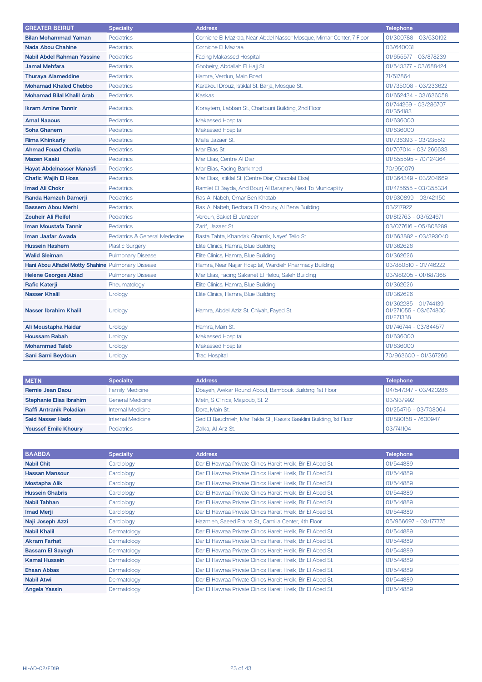| <b>GREATER BEIRUT</b>                             | <b>Specialty</b>              | <b>Address</b>                                                      | <b>Telephone</b>                                            |
|---------------------------------------------------|-------------------------------|---------------------------------------------------------------------|-------------------------------------------------------------|
| <b>Bilan Mohammad Yaman</b>                       | <b>Pediatrics</b>             | Corniche El Mazraa, Near Abdel Nasser Mosque, Mimar Center, 7 Floor | 01/300788 - 03/630192                                       |
| <b>Nada Abou Chahine</b>                          | <b>Pediatrics</b>             | Corniche El Mazraa                                                  | 03/640031                                                   |
| <b>Nabil Abdel Rahman Yassine</b>                 | <b>Pediatrics</b>             | <b>Facing Makassed Hospital</b>                                     | 01/655577 - 03/878239                                       |
| <b>Jamal Mehfara</b>                              | Pediatrics                    | Ghobeiry, Abdallah El Hajj St.                                      | 01/543377 - 03/688424                                       |
| <b>Thuraya Alameddine</b>                         | Pediatrics                    | Hamra, Verdun, Main Road                                            | 71/517864                                                   |
| <b>Mohamad Khaled Chebbo</b>                      | <b>Pediatrics</b>             | Karakoul Drouz, Istiklal St. Barja, Mosque St.                      | 01/735008 - 03/233622                                       |
| <b>Mohamad Bilal Khalil Arab</b>                  | <b>Pediatrics</b>             | Kaskas                                                              | 01/652434 - 03/636058                                       |
| <b>Ikram Amine Tannir</b>                         | Pediatrics                    | Koraytem, Labban St., Chartouni Building, 2nd Floor                 | 01/744269 - 03/286707<br>01/354183                          |
| <b>Amal Naaous</b>                                | <b>Pediatrics</b>             | <b>Makassed Hospital</b>                                            | 01/636000                                                   |
| <b>Soha Ghanem</b>                                | <b>Pediatrics</b>             | <b>Makassed Hospital</b>                                            | 01/636000                                                   |
| <b>Rima Khinkarly</b>                             | <b>Pediatrics</b>             | Malla Jazaer St.                                                    | 01/736393 - 03/235512                                       |
| <b>Ahmad Fouad Chatila</b>                        | <b>Pediatrics</b>             | Mar Elias St.                                                       | 01/707014 - 03/ 266633                                      |
| <b>Mazen Kaaki</b>                                | <b>Pediatrics</b>             | Mar Elias, Centre Al Diar                                           | 01/855595 - 70/124364                                       |
| <b>Hayat Abdelnasser Manasfi</b>                  | <b>Pediatrics</b>             | Mar Elias, Facing Bankmed                                           | 70/950079                                                   |
| <b>Chafic Wajih El Hoss</b>                       | <b>Pediatrics</b>             | Mar Elias, Istiklal St. (Centre Diar, Chocolat Elsa)                | 01/364349 - 03/204669                                       |
| <b>Imad Ali Chokr</b>                             | <b>Pediatrics</b>             | Ramlet El Bayda, And Bourj Al Barajneh, Next To Municaplity         | 01/475655 - 03/355334                                       |
| Randa Hamzeh Damerji                              | Pediatrics                    | Ras Al Nabeh, Omar Ben Khatab                                       | 01/630899 - 03/421150                                       |
| <b>Bassem Abou Merhi</b>                          | <b>Pediatrics</b>             | Ras Al Nabeh, Bechara El Khoury, Al Bena Building                   | 03/217922                                                   |
| <b>Zouheir Ali Fleifel</b>                        | Pediatrics                    | Verdun, Sakiet El Janzeer                                           | 01/812763 - 03/524671                                       |
| <b>Iman Moustafa Tannir</b>                       | <b>Pediatrics</b>             | Zarif, Jazaer St.                                                   | 03/077616 - 05/808289                                       |
| Iman Jaafar Awada                                 | Pediatrics & General Medecine | Basta Tahta, Khandak Ghamik, Nayef Tello St.                        | 01/663882 - 03/393040                                       |
| <b>Hussein Hashem</b>                             | <b>Plastic Surgery</b>        | Elite Clinics, Hamra, Blue Building                                 | 01/362626                                                   |
| <b>Walid Sleiman</b>                              | <b>Pulmonary Disease</b>      | Elite Clinics, Hamra, Blue Building                                 | 01/362626                                                   |
| Hani Abou Alfadel Motty Shahine Pulmonary Disease |                               | Hamra, Near Najjar Hospital, Wardieh Pharmacy Building              | 03/880510 - 01/746222                                       |
| <b>Helene Georges Abiad</b>                       | <b>Pulmonary Disease</b>      | Mar Elias, Facing Sakanet El Helou, Saleh Building                  | 03/981205 - 01/687368                                       |
| <b>Rafic Katerji</b>                              | Rheumatology                  | Elite Clinics, Hamra, Blue Building                                 | 01/362626                                                   |
| <b>Nasser Khalil</b>                              | Urology                       | Elite Clinics, Hamra, Blue Building                                 | 01/362626                                                   |
| Nasser Ibrahim Khalil                             | Urology                       | Hamra, Abdel Aziz St. Chiyah, Fayed St.                             | 01/362285 - 01/744139<br>01/271055 - 03/674800<br>01/271338 |
| Ali Moustapha Haidar                              | Urology                       | Hamra, Main St.                                                     | 01/746744 - 03/844577                                       |
| <b>Houssam Rabah</b>                              | Urology                       | <b>Makassed Hospital</b>                                            | 01/636000                                                   |
| <b>Mohammad Taleb</b>                             | Urology                       | <b>Makassed Hospital</b>                                            | 01/636000                                                   |
| Sani Sami Beydoun                                 | Urology                       | <b>Trad Hospital</b>                                                | 70/963600 - 01/367266                                       |

| <b>IMETN</b>                   | <b>Specialty</b>         | <b>Address</b>                                                       | <b>Telephone</b>      |
|--------------------------------|--------------------------|----------------------------------------------------------------------|-----------------------|
| Remie Jean Daou                | <b>Family Medicine</b>   | Dbayeh, Awkar Round About, Bambouk Building, 1st Floor               | 04/547347 - 03/420286 |
| <b>Stephanie Elias Ibrahim</b> | <b>General Medicine</b>  | Metn, S Clinics, Majzoub, St. 2                                      | 03/937992             |
| <b>Raffi Antranik Poladian</b> | <b>Internal Medicine</b> | Dora, Main St.                                                       | 01/254716 - 03/708064 |
| <b>Said Nasser Hado</b>        | <b>Internal Medicine</b> | Sed El Bauchrieh, Mar Takla St., Kassis Baaklini Building, 1st Floor | 01/880158 - /600947   |
| <b>Youssef Emile Khoury</b>    | Pediatrics               | Zalka, Al Arz St.                                                    | 03/741104             |

| <b>BAABDA</b>           | <b>Specialty</b> | <b>Address</b>                                              | <b>Telephone</b>      |
|-------------------------|------------------|-------------------------------------------------------------|-----------------------|
| <b>Nabil Chit</b>       | Cardiology       | Dar El Hawraa Private Clinics Hareit Hreik, Bir El Abed St. | 01/544889             |
| <b>Hassan Mansour</b>   | Cardiology       | Dar El Hawraa Private Clinics Hareit Hreik, Bir El Abed St. | 01/544889             |
| <b>Mostapha Alik</b>    | Cardiology       | Dar El Hawraa Private Clinics Hareit Hreik, Bir El Abed St. | 01/544889             |
| <b>Hussein Ghabris</b>  | Cardiology       | Dar El Hawraa Private Clinics Hareit Hreik, Bir El Abed St. | 01/544889             |
| Nabil Tahhan            | Cardiology       | Dar El Hawraa Private Clinics Hareit Hreik, Bir El Abed St. | 01/544889             |
| <b>Imad Merji</b>       | Cardiology       | Dar El Hawraa Private Clinics Hareit Hreik, Bir El Abed St. | 01/544889             |
| Naji Joseph Azzi        | Cardiology       | Hazmieh, Saeed Fraiha St., Camilia Center, 4th Floor        | 05/956697 - 03/177775 |
| <b>Nabil Khalil</b>     | Dermatology      | Dar El Hawraa Private Clinics Hareit Hreik, Bir El Abed St. | 01/544889             |
| <b>Akram Farhat</b>     | Dermatology      | Dar El Hawraa Private Clinics Hareit Hreik, Bir El Abed St. | 01/544889             |
| <b>Bassam El Sayegh</b> | Dermatology      | Dar El Hawraa Private Clinics Hareit Hreik, Bir El Abed St. | 01/544889             |
| <b>Kamal Hussein</b>    | Dermatology      | Dar El Hawraa Private Clinics Hareit Hreik, Bir El Abed St. | 01/544889             |
| <b>Ehsan Abbas</b>      | Dermatology      | Dar El Hawraa Private Clinics Hareit Hreik, Bir El Abed St. | 01/544889             |
| <b>Nabil Atwi</b>       | Dermatology      | Dar El Hawraa Private Clinics Hareit Hreik, Bir El Abed St. | 01/544889             |
| <b>Angela Yassin</b>    | Dermatology      | Dar El Hawraa Private Clinics Hareit Hreik, Bir El Abed St. | 01/544889             |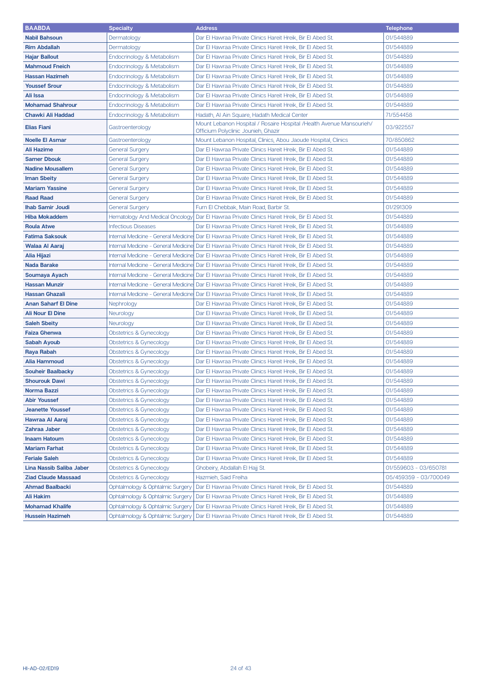| <b>BAABDA</b>                                    | <b>Specialty</b>                                                     | <b>Address</b>                                                                                                             | <b>Telephone</b>       |
|--------------------------------------------------|----------------------------------------------------------------------|----------------------------------------------------------------------------------------------------------------------------|------------------------|
| <b>Nabil Bahsoun</b>                             | Dermatology                                                          | Dar El Hawraa Private Clinics Hareit Hreik, Bir El Abed St.                                                                | 01/544889              |
| <b>Rim Abdallah</b>                              | Dermatology                                                          | Dar El Hawraa Private Clinics Hareit Hreik, Bir El Abed St.                                                                | 01/544889              |
| <b>Hajar Ballout</b>                             | Endocrinology & Metabolism                                           | Dar El Hawraa Private Clinics Hareit Hreik, Bir El Abed St.                                                                | 01/544889              |
| <b>Mahmoud Fneich</b>                            | Endocrinology & Metabolism                                           | Dar El Hawraa Private Clinics Hareit Hreik, Bir El Abed St.                                                                | 01/544889              |
| <b>Hassan Hazimeh</b>                            | Endocrinology & Metabolism                                           | Dar El Hawraa Private Clinics Hareit Hreik, Bir El Abed St.                                                                | 01/544889              |
| <b>Youssef Srour</b>                             | Endocrinology & Metabolism                                           | Dar El Hawraa Private Clinics Hareit Hreik, Bir El Abed St.                                                                | 01/544889              |
| Ali Issa                                         | Endocrinology & Metabolism                                           | Dar El Hawraa Private Clinics Hareit Hreik, Bir El Abed St.                                                                | 01/544889              |
| <b>Mohamad Shahrour</b>                          | Endocrinology & Metabolism                                           | Dar El Hawraa Private Clinics Hareit Hreik, Bir El Abed St.                                                                | 01/544889              |
| Chawki Ali Haddad                                | Endocrinology & Metabolism                                           | Hadath, AI Ain Square, Hadath Medical Center                                                                               | 71/554458              |
| <b>Elias Fiani</b>                               | Gastroenterology                                                     | Mount Lebanon Hospital / Rosaire Hospital / Health Avenue Mansourieh/<br>Officium Polyclinic Jounieh, Ghazir               | 03/922557              |
| <b>Noelle El Asmar</b>                           | Gastroenterology                                                     | Mount Lebanon Hospital, Clinics, Abou Jaoude Hospital, Clinics                                                             | 70/850862              |
| Ali Hazime                                       | General Surgery                                                      | Dar El Hawraa Private Clinics Hareit Hreik, Bir El Abed St.                                                                | 01/544889              |
| <b>Samer Dbouk</b>                               | General Surgery                                                      | Dar El Hawraa Private Clinics Hareit Hreik, Bir El Abed St.                                                                | 01/544889              |
| <b>Nadine Mousallem</b>                          | General Surgery                                                      | Dar El Hawraa Private Clinics Hareit Hreik, Bir El Abed St.                                                                | 01/544889              |
| <b>Iman Sbeity</b>                               | General Surgery                                                      | Dar El Hawraa Private Clinics Hareit Hreik, Bir El Abed St.                                                                | 01/544889              |
| <b>Mariam Yassine</b>                            | General Surgery                                                      | Dar El Hawraa Private Clinics Hareit Hreik, Bir El Abed St.                                                                | 01/544889              |
| <b>Raad Raad</b>                                 | General Surgery                                                      | Dar El Hawraa Private Clinics Hareit Hreik, Bir El Abed St.                                                                | 01/544889              |
| <b>Ihab Samir Joudi</b>                          | General Surgery                                                      | Furn El Chebbak, Main Road, Barbir St.                                                                                     | 01/291309              |
| <b>Hiba Mokaddem</b>                             | <b>Hematology And Medical Oncology</b>                               | Dar El Hawraa Private Clinics Hareit Hreik, Bir El Abed St.                                                                | 01/544889              |
| <b>Roula Atwe</b>                                | <b>Infectious Diseases</b>                                           | Dar El Hawraa Private Clinics Hareit Hreik, Bir El Abed St.                                                                | 01/544889              |
| <b>Fatima Saksouk</b>                            |                                                                      | Internal Medicine - General Medicine  Dar El Hawraa Private Clinics Hareit Hreik, Bir El Abed St.                          | 01/544889              |
| <b>Walaa Al Aaraj</b>                            |                                                                      | Internal Medicine - General Medicine  Dar El Hawraa Private Clinics Hareit Hreik, Bir El Abed St.                          | 01/544889              |
| Alia Hijazi                                      |                                                                      | Internal Medicine - General Medicine  Dar El Hawraa Private Clinics Hareit Hreik, Bir El Abed St.                          | 01/544889              |
| <b>Nada Barake</b>                               |                                                                      | Internal Medicine - General Medicine  Dar El Hawraa Private Clinics Hareit Hreik, Bir El Abed St.                          | 01/544889              |
| Soumaya Ayach                                    |                                                                      | Internal Medicine - General Medicine  Dar El Hawraa Private Clinics Hareit Hreik, Bir El Abed St.                          | 01/544889              |
| <b>Hassan Munzir</b>                             |                                                                      | Internal Medicine - General Medicine  Dar El Hawraa Private Clinics Hareit Hreik, Bir El Abed St.                          | 01/544889              |
| <b>Hassan Ghazali</b>                            |                                                                      | Internal Medicine - General Medicine  Dar El Hawraa Private Clinics Hareit Hreik, Bir El Abed St.                          | 01/544889              |
| <b>Anan Saharf El Dine</b>                       | Nephrology                                                           | Dar El Hawraa Private Clinics Hareit Hreik, Bir El Abed St.                                                                | 01/544889              |
| <b>Ali Nour El Dine</b>                          | Neurology                                                            | Dar El Hawraa Private Clinics Hareit Hreik, Bir El Abed St.                                                                | 01/544889              |
| <b>Saleh Sbeity</b>                              | Neurology                                                            | Dar El Hawraa Private Clinics Hareit Hreik, Bir El Abed St.                                                                | 01/544889              |
| <b>Faiza Ghenwa</b>                              | Obstetrics & Gynecology                                              | Dar El Hawraa Private Clinics Hareit Hreik, Bir El Abed St.                                                                | 01/544889              |
| <b>Sabah Ayoub</b>                               | Obstetrics & Gynecology                                              | Dar El Hawraa Private Clinics Hareit Hreik, Bir El Abed St.                                                                | 01/544889              |
| Raya Rabah                                       | Obstetrics & Gynecology                                              | Dar El Hawraa Private Clinics Hareit Hreik, Bir El Abed St.                                                                | 01/544889              |
| Alia Hammoud                                     | Obstetrics & Gynecology                                              | Dar El Hawraa Private Clinics Hareit Hreik, Bir El Abed St.                                                                | 01/544889              |
| <b>Souheir Baalbacky</b>                         | <b>Obstetrics &amp; Gynecology</b>                                   | Dar El Hawraa Private Clinics Hareit Hreik, Bir El Abed St.                                                                | 01/544889              |
| <b>Shourouk Dawi</b>                             | Obstetrics & Gynecology                                              | Dar El Hawraa Private Clinics Hareit Hreik, Bir El Abed St.                                                                | 01/544889              |
| <b>Norma Bazzi</b>                               | Obstetrics & Gynecology                                              | Dar El Hawraa Private Clinics Hareit Hreik, Bir El Abed St.                                                                | 01/544889              |
| <b>Abir Youssef</b>                              | <b>Obstetrics &amp; Gynecology</b>                                   | Dar El Hawraa Private Clinics Hareit Hreik, Bir El Abed St.                                                                | 01/544889              |
| <b>Jeanette Youssef</b>                          | Obstetrics & Gynecology                                              | Dar El Hawraa Private Clinics Hareit Hreik, Bir El Abed St.                                                                | 01/544889              |
| Hawraa Al Aaraj                                  | Obstetrics & Gynecology                                              | Dar El Hawraa Private Clinics Hareit Hreik, Bir El Abed St.                                                                | 01/544889              |
| Zahraa Jaber                                     | Obstetrics & Gynecology                                              | Dar El Hawraa Private Clinics Hareit Hreik, Bir El Abed St.                                                                | 01/544889              |
| <b>Inaam Hatoum</b>                              | <b>Obstetrics &amp; Gynecology</b>                                   | Dar El Hawraa Private Clinics Hareit Hreik, Bir El Abed St.                                                                | 01/544889              |
| <b>Mariam Farhat</b>                             | <b>Obstetrics &amp; Gynecology</b>                                   | Dar El Hawraa Private Clinics Hareit Hreik, Bir El Abed St.                                                                | 01/544889              |
| <b>Feriale Saleh</b>                             | Obstetrics & Gynecology                                              | Dar El Hawraa Private Clinics Hareit Hreik, Bir El Abed St.                                                                | 01/544889              |
| Lina Nassib Saliba Jaber                         | Obstetrics & Gynecology                                              | Ghobeiry, Abdallah El Hajj St.                                                                                             | 01/559603 - 03/650781  |
| <b>Ziad Claude Massaad</b>                       | <b>Obstetrics &amp; Gynecology</b>                                   | Hazmieh, Said Freiha                                                                                                       | 05/459359 - 03/700049  |
| <b>Ahmad Baalbacki</b>                           | Ophtalmology & Ophtalmic Surgery                                     | Dar El Hawraa Private Clinics Hareit Hreik, Bir El Abed St.                                                                | 01/544889              |
| Ali Hakim                                        | Ophtalmology & Ophtalmic Surgery                                     | Dar El Hawraa Private Clinics Hareit Hreik, Bir El Abed St.                                                                | 01/544889<br>01/544889 |
| <b>Mohamad Khalife</b><br><b>Hussein Hazimeh</b> | Ophtalmology & Ophtalmic Surgery<br>Ophtalmology & Ophtalmic Surgery | Dar El Hawraa Private Clinics Hareit Hreik, Bir El Abed St.<br>Dar El Hawraa Private Clinics Hareit Hreik, Bir El Abed St. | 01/544889              |
|                                                  |                                                                      |                                                                                                                            |                        |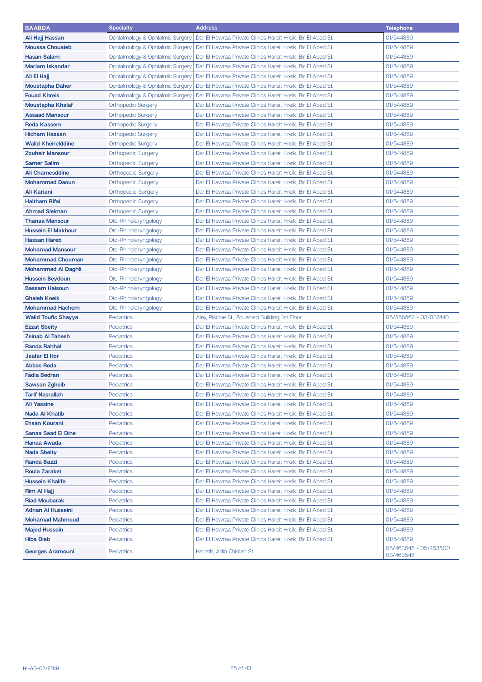| <b>BAABDA</b>              | <b>Specialty</b>                 | <b>Address</b>                                              | <b>Telephone</b>                   |
|----------------------------|----------------------------------|-------------------------------------------------------------|------------------------------------|
| Ali Hajj Hassan            | Ophtalmology & Ophtalmic Surgery | Dar El Hawraa Private Clinics Hareit Hreik, Bir El Abed St. | 01/544889                          |
| <b>Moussa Chouaieb</b>     | Ophtalmology & Ophtalmic Surgery | Dar El Hawraa Private Clinics Hareit Hreik, Bir El Abed St. | 01/544889                          |
| <b>Hasan Salam</b>         | Ophtalmology & Ophtalmic Surgery | Dar El Hawraa Private Clinics Hareit Hreik, Bir El Abed St. | 01/544889                          |
| <b>Mariam Iskandar</b>     | Ophtalmology & Ophtalmic Surgery | Dar El Hawraa Private Clinics Hareit Hreik, Bir El Abed St. | 01/544889                          |
| Ali El Hajj                | Ophtalmology & Ophtalmic Surgery | Dar El Hawraa Private Clinics Hareit Hreik, Bir El Abed St. | 01/544889                          |
| <b>Moustapha Daher</b>     | Ophtalmology & Ophtalmic Surgery | Dar El Hawraa Private Clinics Hareit Hreik, Bir El Abed St. | 01/544889                          |
| <b>Fouad Khreis</b>        | Ophtalmology & Ophtalmic Surgery | Dar El Hawraa Private Clinics Hareit Hreik, Bir El Abed St. | 01/544889                          |
| <b>Moustapha Khalaf</b>    | <b>Orthopedic Surgery</b>        | Dar El Hawraa Private Clinics Hareit Hreik, Bir El Abed St. | 01/544889                          |
| <b>Assaad Mansour</b>      | <b>Orthopedic Surgery</b>        | Dar El Hawraa Private Clinics Hareit Hreik, Bir El Abed St. | 01/544889                          |
| <b>Reda Kassem</b>         | <b>Orthopedic Surgery</b>        | Dar El Hawraa Private Clinics Hareit Hreik, Bir El Abed St. | 01/544889                          |
| <b>Hicham Hassan</b>       | <b>Orthopedic Surgery</b>        | Dar El Hawraa Private Clinics Hareit Hreik, Bir El Abed St. | 01/544889                          |
| <b>Walid Kheirelddine</b>  | <b>Orthopedic Surgery</b>        | Dar El Hawraa Private Clinics Hareit Hreik, Bir El Abed St. | 01/544889                          |
| <b>Zouheir Mansour</b>     | <b>Orthopedic Surgery</b>        | Dar El Hawraa Private Clinics Hareit Hreik, Bir El Abed St. | 01/544889                          |
| <b>Samer Salim</b>         | <b>Orthopedic Surgery</b>        | Dar El Hawraa Private Clinics Hareit Hreik, Bir El Abed St. | 01/544889                          |
| <b>Ali Chamesddine</b>     | <b>Orthopedic Surgery</b>        | Dar El Hawraa Private Clinics Hareit Hreik, Bir El Abed St. | 01/544889                          |
| <b>Mohammad Daoun</b>      | <b>Orthopedic Surgery</b>        | Dar El Hawraa Private Clinics Hareit Hreik, Bir El Abed St. | 01/544889                          |
| <b>Ali Kariani</b>         | <b>Orthopedic Surgery</b>        | Dar El Hawraa Private Clinics Hareit Hreik, Bir El Abed St. | 01/544889                          |
| <b>Haitham Rifai</b>       | <b>Orthopedic Surgery</b>        | Dar El Hawraa Private Clinics Hareit Hreik, Bir El Abed St. | 01/544889                          |
| <b>Ahmad Sleiman</b>       | <b>Orthopedic Surgery</b>        | Dar El Hawraa Private Clinics Hareit Hreik, Bir El Abed St. | 01/544889                          |
| <b>Thanaa Mansour</b>      | Oto-Rhinolaryngology             | Dar El Hawraa Private Clinics Hareit Hreik, Bir El Abed St. | 01/544889                          |
| <b>Hussein El Makhour</b>  | Oto-Rhinolaryngology             | Dar El Hawraa Private Clinics Hareit Hreik, Bir El Abed St. | 01/544889                          |
| <b>Hassan Hareb</b>        | Oto-Rhinolaryngology             | Dar El Hawraa Private Clinics Hareit Hreik, Bir El Abed St. | 01/544889                          |
| <b>Mohamad Mansour</b>     | Oto-Rhinolaryngology             | Dar El Hawraa Private Clinics Hareit Hreik, Bir El Abed St. | 01/544889                          |
| <b>Mohammad Chouman</b>    | Oto-Rhinolaryngology             | Dar El Hawraa Private Clinics Hareit Hreik, Bir El Abed St. | 01/544889                          |
| <b>Mohammad Al Daghli</b>  | Oto-Rhinolaryngology             | Dar El Hawraa Private Clinics Hareit Hreik, Bir El Abed St. | 01/544889                          |
| <b>Hussein Beydoun</b>     | Oto-Rhinolaryngology             | Dar El Hawraa Private Clinics Hareit Hreik, Bir El Abed St. | 01/544889                          |
| <b>Bassam Haisoun</b>      | Oto-Rhinolaryngology             | Dar El Hawraa Private Clinics Hareit Hreik, Bir El Abed St. | 01/544889                          |
| <b>Ghaleb Koeik</b>        | Oto-Rhinolaryngology             | Dar El Hawraa Private Clinics Hareit Hreik, Bir El Abed St. | 01/544889                          |
| <b>Mohammad Hachem</b>     | Oto-Rhinolaryngology             | Dar El Hawraa Private Clinics Hareit Hreik, Bir El Abed St. | 01/544889                          |
| <b>Walid Toufic Shayya</b> | <b>Pediatrics</b>                | Aley, Piscine St., Zoueihed Building, 1st Floor             | 05/558562 - 03/037440              |
| <b>Ezzat Sbeity</b>        | <b>Pediatrics</b>                | Dar El Hawraa Private Clinics Hareit Hreik, Bir El Abed St. | 01/544889                          |
| <b>Zeinab Al Tahesh</b>    | <b>Pediatrics</b>                | Dar El Hawraa Private Clinics Hareit Hreik, Bir El Abed St. | 01/544889                          |
| <b>Randa Rahhal</b>        | <b>Pediatrics</b>                | Dar El Hawraa Private Clinics Hareit Hreik, Bir El Abed St. | 01/544889                          |
| <b>Jaafar El Hor</b>       | <b>Pediatrics</b>                | Dar El Hawraa Private Clinics Hareit Hreik, Bir El Abed St. | 01/544889                          |
| <b>Abbas Reda</b>          | <b>Pediatrics</b>                | Dar El Hawraa Private Clinics Hareit Hreik, Bir El Abed St. | 01/544889                          |
| <b>Fadia Bedran</b>        | <b>Pediatrics</b>                | Dar El Hawraa Private Clinics Hareit Hreik, Bir El Abed St. | 01/544889                          |
| <b>Sawsan Zgheib</b>       | Pediatrics                       | Dar El Hawraa Private Clinics Hareit Hreik, Bir El Abed St. | 01/544889                          |
| <b>Tarif Nasrallah</b>     | <b>Pediatrics</b>                | Dar El Hawraa Private Clinics Hareit Hreik, Bir El Abed St. | 01/544889                          |
| <b>Ali Yassine</b>         | <b>Pediatrics</b>                | Dar El Hawraa Private Clinics Hareit Hreik, Bir El Abed St. | 01/544889                          |
| <b>Nada Al Khatib</b>      | <b>Pediatrics</b>                | Dar El Hawraa Private Clinics Hareit Hreik, Bir El Abed St. | 01/544889                          |
| <b>Ehsan Kourani</b>       | <b>Pediatrics</b>                | Dar El Hawraa Private Clinics Hareit Hreik, Bir El Abed St. | 01/544889                          |
| <b>Sanaa Saad El Dine</b>  | <b>Pediatrics</b>                | Dar El Hawraa Private Clinics Hareit Hreik, Bir El Abed St. | 01/544889                          |
| Hanaa Awada                | <b>Pediatrics</b>                | Dar El Hawraa Private Clinics Hareit Hreik, Bir El Abed St. | 01/544889                          |
| <b>Nada Sbeity</b>         | <b>Pediatrics</b>                | Dar El Hawraa Private Clinics Hareit Hreik, Bir El Abed St. | 01/544889                          |
| Randa Bazzi                | <b>Pediatrics</b>                | Dar El Hawraa Private Clinics Hareit Hreik, Bir El Abed St. | 01/544889                          |
| <b>Roula Zaraket</b>       | <b>Pediatrics</b>                | Dar El Hawraa Private Clinics Hareit Hreik, Bir El Abed St. | 01/544889                          |
| <b>Hussein Khalife</b>     | <b>Pediatrics</b>                | Dar El Hawraa Private Clinics Hareit Hreik, Bir El Abed St. | 01/544889                          |
| <b>Rim Al Hajj</b>         | <b>Pediatrics</b>                | Dar El Hawraa Private Clinics Hareit Hreik, Bir El Abed St. | 01/544889                          |
| <b>Riad Moubarak</b>       | <b>Pediatrics</b>                | Dar El Hawraa Private Clinics Hareit Hreik, Bir El Abed St. | 01/544889                          |
| <b>Adnan Al Husseini</b>   | <b>Pediatrics</b>                | Dar El Hawraa Private Clinics Hareit Hreik, Bir El Abed St. | 01/544889                          |
| <b>Mohamad Mahmoud</b>     | <b>Pediatrics</b>                | Dar El Hawraa Private Clinics Hareit Hreik, Bir El Abed St. | 01/544889                          |
| <b>Majed Hussein</b>       | <b>Pediatrics</b>                | Dar El Hawraa Private Clinics Hareit Hreik, Bir El Abed St. | 01/544889                          |
| <b>Hiba Diab</b>           | <b>Pediatrics</b>                | Dar El Hawraa Private Clinics Hareit Hreik, Bir El Abed St. | 01/544889                          |
| <b>Georges Aramouni</b>    | <b>Pediatrics</b>                | Hadath, Adib Chidiah St.                                    | 05/463548 - 05/453500<br>03/463548 |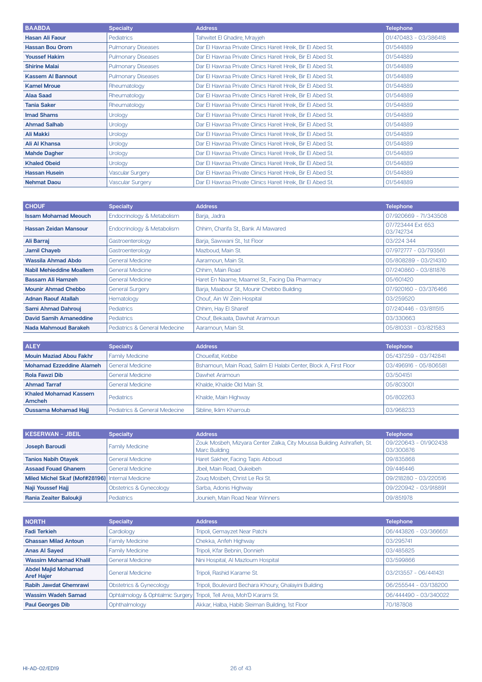| <b>BAABDA</b>            | <b>Specialty</b>          | <b>Address</b>                                              | <b>Telephone</b>      |
|--------------------------|---------------------------|-------------------------------------------------------------|-----------------------|
| <b>Hasan Ali Faour</b>   | <b>Pediatrics</b>         | Tahwitet El Ghadire, Mrayjeh                                | 01/470483 - 03/386418 |
| <b>Hassan Bou Orom</b>   | <b>Pulmonary Diseases</b> | Dar El Hawraa Private Clinics Hareit Hreik, Bir El Abed St. | 01/544889             |
| <b>Youssef Hakim</b>     | <b>Pulmonary Diseases</b> | Dar El Hawraa Private Clinics Hareit Hreik, Bir El Abed St. | 01/544889             |
| <b>Shirine Malai</b>     | <b>Pulmonary Diseases</b> | Dar El Hawraa Private Clinics Hareit Hreik, Bir El Abed St. | 01/544889             |
| <b>Kassem AI Bannout</b> | <b>Pulmonary Diseases</b> | Dar El Hawraa Private Clinics Hareit Hreik, Bir El Abed St. | 01/544889             |
| <b>Kamel Mroue</b>       | Rheumatology              | Dar El Hawraa Private Clinics Hareit Hreik, Bir El Abed St. | 01/544889             |
| <b>Alaa Saad</b>         | Rheumatology              | Dar El Hawraa Private Clinics Hareit Hreik, Bir El Abed St. | 01/544889             |
| <b>Tania Saker</b>       | Rheumatology              | Dar El Hawraa Private Clinics Hareit Hreik, Bir El Abed St. | 01/544889             |
| <b>Imad Shams</b>        | <b>Urology</b>            | Dar El Hawraa Private Clinics Hareit Hreik, Bir El Abed St. | 01/544889             |
| <b>Ahmad Salhab</b>      | <b>Urology</b>            | Dar El Hawraa Private Clinics Hareit Hreik, Bir El Abed St. | 01/544889             |
| <b>Ali Makki</b>         | Urology                   | Dar El Hawraa Private Clinics Hareit Hreik, Bir El Abed St. | 01/544889             |
| Ali Al Khansa            | <b>Urology</b>            | Dar El Hawraa Private Clinics Hareit Hreik, Bir El Abed St. | 01/544889             |
| <b>Mahde Dagher</b>      | <b>Urology</b>            | Dar El Hawraa Private Clinics Hareit Hreik, Bir El Abed St. | 01/544889             |
| <b>Khaled Obeid</b>      | <b>Urology</b>            | Dar El Hawraa Private Clinics Hareit Hreik, Bir El Abed St. | 01/544889             |
| <b>Hassan Husein</b>     | <b>Vascular Surgery</b>   | Dar El Hawraa Private Clinics Hareit Hreik, Bir El Abed St. | 01/544889             |
| <b>Nehmat Daou</b>       | <b>Vascular Surgery</b>   | Dar El Hawraa Private Clinics Hareit Hreik, Bir El Abed St. | 01/544889             |

| <b>CHOUF</b>                    | <b>Specialty</b>              | <b>Address</b>                                  | <b>Telephone</b>               |
|---------------------------------|-------------------------------|-------------------------------------------------|--------------------------------|
| <b>Issam Mohamad Meouch</b>     | Endocrinology & Metabolism    | Barja, Jadra                                    | 07/920669 - 71/343508          |
| <b>Hassan Zeidan Mansour</b>    | Endocrinology & Metabolism    | Chhim, Charifa St., Bank Al Mawared             | 07/723444 Ext 653<br>03/742734 |
| Ali Barraj                      | Gastroenterology              | Barja, Sawwani St., 1st Floor                   | 03/224 344                     |
| <b>Jamil Chayeb</b>             | Gastroenterology              | Mazboud, Main St.                               | 07/972777 - 03/793561          |
| <b>Wassila Ahmad Abdo</b>       | <b>General Medicine</b>       | Aaramoun, Main St.                              | 05/808289 - 03/214310          |
| <b>Nabil Mehieddine Moallem</b> | General Medicine              | Chhim, Main Road                                | 07/240860 - 03/811876          |
| <b>Bassam Ali Hamzeh</b>        | <b>General Medicine</b>       | Haret En Naame, Maamel St., Facing Dia Pharmacy | 05/601420                      |
| <b>Mounir Ahmad Chebbo</b>      | <b>General Surgery</b>        | Barja, Maabour St., Mounir Chebbo Building      | 07/920160 - 03/376466          |
| <b>Adnan Raouf Atallah</b>      | Hematology                    | Chouf, Ain W Zein Hospital                      | 03/259520                      |
| Sami Ahmad Dahrouj              | <b>Pediatrics</b>             | Chhim, Hay El Shareif                           | 07/240446 - 03/811515          |
| David Samih Amaneddine          | <b>Pediatrics</b>             | Chouf, Bekaata, Dawhat Aramoun                  | 03/330663                      |
| Nada Mahmoud Barakeh            | Pediatrics & General Medecine | Aaramoun, Main St.                              | 05/810331 - 03/821583          |

| <b>ALEY</b>                                   | <b>Specialty</b>              | <b>Address</b>                                                    | <b>Telephone</b>      |
|-----------------------------------------------|-------------------------------|-------------------------------------------------------------------|-----------------------|
| <b>Mouin Maziad Abou Fakhr</b>                | <b>Family Medicine</b>        | Choueifat, Kebbe                                                  | 05/437259 - 03/742841 |
| <b>Mohamad Ezzeddine Alameh</b>               | <b>General Medicine</b>       | Bshamoun, Main Road, Salim El Halabi Center, Block A, First Floor | 03/496916 - 05/806581 |
| <b>Rola Fawzi Dib</b>                         | <b>General Medicine</b>       | Dawhet Aramoun                                                    | 03/504151             |
| <b>Ahmad Tarraf</b>                           | <b>General Medicine</b>       | Khalde, Khalde Old Main St.                                       | 05/803001             |
| <b>Khaled Mohamad Kassem</b><br><b>Amcheh</b> | <b>Pediatrics</b>             | Khalde, Main Highway                                              | 05/802263             |
| <b>Oussama Mohamad Hajj</b>                   | Pediatrics & General Medecine | Sibline, Iklim Kharroub                                           | 03/968233             |

| KESERWAN - JBEIL                                | <b>Specialty</b>        | <b>Address</b>                                                                                 | <b>Telephone</b>                   |
|-------------------------------------------------|-------------------------|------------------------------------------------------------------------------------------------|------------------------------------|
| <b>Joseph Baroudi</b>                           | <b>Family Medicine</b>  | Zouk Mosbeh, Mizyara Center Zalka, City Moussa Building Ashrafieh, St.<br><b>Marc Building</b> | 09/220643 - 01/902438<br>03/300876 |
| <b>Tanios Nabih Otayek</b>                      | General Medicine        | Haret Sakher, Facing Tapis Abboud                                                              | 09/835868                          |
| <b>Assaad Fouad Ghanem</b>                      | <b>General Medicine</b> | Jbeil, Main Road, Oukeibeh                                                                     | 09/446446                          |
| Miled Michel Skaf (Mof#28196) Internal Medicine |                         | Zoug Mosbeh, Christ Le Roi St.                                                                 | 09/218280 - 03/220516              |
| Naji Youssef Hajj                               | Obstetrics & Gynecology | Sarba, Adonis Highway                                                                          | 09/220942 - 03/918891              |
| Rania Zeaiter Baloukji                          | <b>Pediatrics</b>       | Jounieh, Main Road Near Winners                                                                | 09/851978                          |

| <b>NORTH</b>                                    | <b>Specialty</b>        | <b>Address</b>                                                        | <b>Telephone</b>      |
|-------------------------------------------------|-------------------------|-----------------------------------------------------------------------|-----------------------|
| <b>Fadi Terkieh</b>                             | Cardiology              | Tripoli, Gemayzet Near Patchi                                         | 06/443826 - 03/366651 |
| <b>Ghassan Milad Antoun</b>                     | <b>Family Medicine</b>  | Chekka, Anfeh Highway                                                 | 03/295741             |
| <b>Anas Al Sayed</b>                            | <b>Family Medicine</b>  | Tripoli, Kfar Bebnin, Donnieh                                         | 03/485825             |
| <b>Wassim Mohamad Khalil</b>                    | <b>General Medicine</b> | Nini Hospital, Al Mazloum Hospital                                    | 03/599866             |
| <b>Abdel Majid Mohamad</b><br><b>Aref Hajer</b> | General Medicine        | Tripoli, Rashid Karame St.                                            | 03/213557 - 06/441431 |
| <b>Rabih Jawdat Ghemrawi</b>                    | Obstetrics & Gynecology | Tripoli, Boulevard Bechara Khoury, Ghalayini Building                 | 06/255544 - 03/138200 |
| <b>Wassim Wadeh Samad</b>                       |                         | Ophtalmology & Ophtalmic Surgery Tripoli, Tell Area, Moh'D Karami St. | 06/444490 - 03/340022 |
| <b>Paul Georges Dib</b>                         | Ophthalmology           | Akkar, Halba, Habib Sleiman Building, 1st Floor                       | 70/187808             |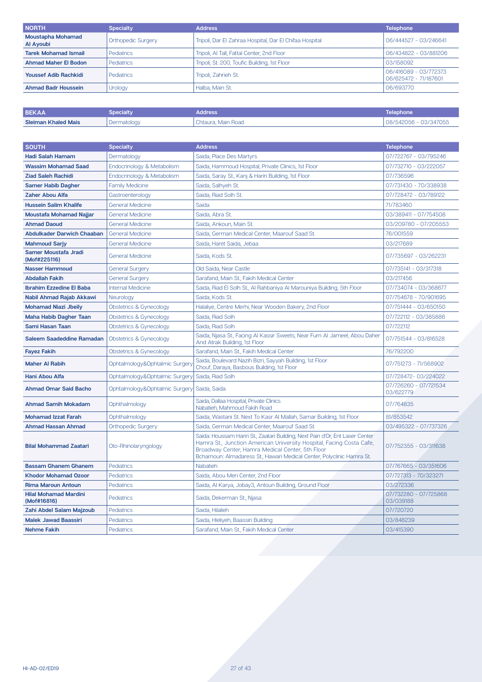| <b>NORTH</b>                          | <b>Specialty</b>          | <b>Address</b>                                          | <b>Telephone</b>                               |
|---------------------------------------|---------------------------|---------------------------------------------------------|------------------------------------------------|
| <b>Moustapha Mohamad</b><br>Al Ayoubi | <b>Orthopedic Surgery</b> | Tripoli, Dar El Zahraa Hospital, Dar El Chifaa Hospital | 06/444527 - 03/246641                          |
| <b>Tarek Mohamad Ismail</b>           | <b>Pediatrics</b>         | Tripoli, Al Tall, Fattal Center, 2nd Floor              | 06/434822 - 03/881206                          |
| <b>Ahmad Maher El Bodon</b>           | <b>Pediatrics</b>         | Tripoli, St. 200, Toufic Building, 1st Floor            | 03/158092                                      |
| <b>Youssef Adib Rachkidi</b>          | <b>Pediatrics</b>         | Tripoli, Zahrieh St.                                    | 06/416089 - 03/772373<br>06/625472 - 71/187601 |
| <b>Ahmad Badr Houssein</b>            | Urology                   | Halba, Main St.                                         | 06/693770                                      |

| <b>BEKAA</b>               | Specialty   | <b>Address</b>     | Telephone             |
|----------------------------|-------------|--------------------|-----------------------|
| <b>Sleiman Khaled Mais</b> | Dermatology | Chtaura. Main Road | 08/542056 - 03/347055 |

| <b>SOUTH</b>                                | <b>Specialty</b>               | <b>Address</b>                                                                                                                                                                                                                                                                     | <b>Telephone</b>                   |
|---------------------------------------------|--------------------------------|------------------------------------------------------------------------------------------------------------------------------------------------------------------------------------------------------------------------------------------------------------------------------------|------------------------------------|
| <b>Hadi Salah Hamam</b>                     | Dermatology                    | Saida, Place Des Martyrs                                                                                                                                                                                                                                                           | 07/722767 - 03/795246              |
| <b>Wassim Mohamad Saad</b>                  | Endocrinology & Metabolism     | Saida, Hammoud Hospital, Private Clinics, 1st Floor                                                                                                                                                                                                                                | 07/732710 - 03/222057              |
| <b>Ziad Saleh Rachidi</b>                   | Endocrinology & Metabolism     | Saida, Saray St., Kanj & Hariri Building, 1st Floor                                                                                                                                                                                                                                | 07/736596                          |
| <b>Samer Habib Dagher</b>                   | <b>Family Medicine</b>         | Saida, Salhyeh St.                                                                                                                                                                                                                                                                 | 07/731430 - 70/338938              |
| <b>Zaher Abou Alfa</b>                      | Gastroenterology               | Saida, Riad Solh St.                                                                                                                                                                                                                                                               | 07/728472 - 03/789122              |
| <b>Hussein Salim Khalife</b>                | <b>General Medicine</b>        | Saida                                                                                                                                                                                                                                                                              | 71/783460                          |
| Moustafa Mohamad Najjar                     | <b>General Medicine</b>        | Saida, Abra St.                                                                                                                                                                                                                                                                    | 03/389411 - 07/754508              |
| <b>Ahmad Daoud</b>                          | <b>General Medicine</b>        | Saida, Ankoun, Main St.                                                                                                                                                                                                                                                            | 03/209780 - 07/205553              |
| <b>Abdulkader Darwich Chaaban</b>           | <b>General Medicine</b>        | Saida, German Medical Center, Maarouf Saad St.                                                                                                                                                                                                                                     | 76/001559                          |
| <b>Mahmoud Sarjy</b>                        | <b>General Medicine</b>        | Saida, Haret Saida, Jebaa                                                                                                                                                                                                                                                          | 03/217689                          |
| Samer Moustafa Jradi<br>(Mof#225116)        | <b>General Medicine</b>        | Saida, Kods St.                                                                                                                                                                                                                                                                    | 07/735697 - 03/262231              |
| <b>Nasser Hammoud</b>                       | <b>General Surgery</b>         | Old Saida, Near Castle                                                                                                                                                                                                                                                             | 07/735141 - 03/317318              |
| <b>Abdallah Fakih</b>                       | <b>General Surgery</b>         | Sarafand, Main St., Fakih Medical Center                                                                                                                                                                                                                                           | 03/217456                          |
| <b>Ibrahim Ezzedine El Baba</b>             | <b>Internal Medicine</b>       | Saida, Riad El Solh St., Al Rahbaniya Al Marouniya Building, 5th Floor                                                                                                                                                                                                             | 07/734074 - 03/368677              |
| Nabil Ahmad Rajab Akkawi                    | Neurology                      | Saida, Kods St.                                                                                                                                                                                                                                                                    | 07/754678 - 70/901695              |
| <b>Mohamad Niazi Jbeily</b>                 | Obstetrics & Gynecology        | Halaliye, Centre Merhi, Near Wooden Bakery, 2nd Floor                                                                                                                                                                                                                              | 07/751444 - 03/650150              |
| <b>Maha Habib Dagher Taan</b>               | Obstetrics & Gynecology        | Saida, Riad Solh                                                                                                                                                                                                                                                                   | 07/722112 - 03/385886              |
| Sami Hasan Taan                             | Obstetrics & Gynecology        | Saida, Riad Solh                                                                                                                                                                                                                                                                   | 07/722112                          |
| <b>Saleem Saadeddine Ramadan</b>            | Obstetrics & Gynecology        | Saida, Njasa St., Facing Al Kassir Sweets, Near Furn Al Jameel, Abou Daher<br>And Atrak Building, 1st Floor                                                                                                                                                                        | 07/751544 - 03/816528              |
| <b>Fayez Fakih</b>                          | Obstetrics & Gynecology        | Sarafand, Main St., Fakih Medical Center                                                                                                                                                                                                                                           | 76/792200                          |
| <b>Maher Al Rabih</b>                       | Ophtalmology&Ophtalmic Surgery | Saida, Boulevard Nazih Bizri, Sayyah Building, 1st Floor<br>Chouf, Daraya, Basbous Building, 1st Floor                                                                                                                                                                             | 07/751273 - 71/568902              |
| <b>Hani Abou Alfa</b>                       | Ophtalmology&Ophtalmic Surgery | Saida, Riad Solh                                                                                                                                                                                                                                                                   | 07/728472-03/224022                |
| <b>Ahmad Omar Said Bacho</b>                | Ophtalmology&Ophtalmic Surgery | Saida, Saida                                                                                                                                                                                                                                                                       | 07/726260 - 07/721534<br>03/622779 |
| <b>Ahmad Samih Mokadam</b>                  | Ophthalmology                  | Saida, Dallaa Hospital, Private Clinics<br>Nabatieh, Mahmoud Fakih Road                                                                                                                                                                                                            | 07/764835                          |
| <b>Mohamad Izzat Farah</b>                  | Ophthalmology                  | Saida, Wastani St. Next To Kasr Al Mallah, Samar Building, 1st Floor                                                                                                                                                                                                               | 81/853542                          |
| <b>Ahmad Hassan Ahmad</b>                   | <b>Orthopedic Surgery</b>      | Saida, German Medical Center, Maarouf Saad St.                                                                                                                                                                                                                                     | 03/495322 - 07/737326              |
| <b>Bilal Mohammad Zaatari</b>               | Oto-Rhinolaryngology           | Saida: Houssam Hariri St., Zaatari Building, Next Pain d'Or, Ent Laser Center<br>Hamra St., Junction American University Hospital, Facing Costa Cafe,<br>Broadway Center, Hamra Medical Center, 5th Floor<br>Bchamoun: Almadaress St., Hawari Medical Center, Polyclinic Hamra St. | 07/752355 - 03/311638              |
| <b>Bassam Ghanem Ghanem</b>                 | <b>Pediatrics</b>              | <b>Nabatieh</b>                                                                                                                                                                                                                                                                    | 07/767665 - 03/351606              |
| <b>Khodor Mohamad Ozoor</b>                 | <b>Pediatrics</b>              | Saida, Abou Meri Center, 2nd Floor                                                                                                                                                                                                                                                 | 07/727313 - 70/323271              |
| <b>Rima Maroun Antoun</b>                   | <b>Pediatrics</b>              | Saida, Al Karya, Jobay3, Antoun Building, Ground Floor                                                                                                                                                                                                                             | 03/272336                          |
| <b>Hilal Mohamad Mardini</b><br>(Mof#16816) | Pediatrics                     | Saida, Dekerman St., Njasa                                                                                                                                                                                                                                                         | 07/732280 - 07/725868<br>03/039188 |
| Zahi Abdel Salam Majzoub                    | Pediatrics                     | Saida, Hilalieh                                                                                                                                                                                                                                                                    | 07/720720                          |
| <b>Malek Jawad Baassiri</b>                 | Pediatrics                     | Saida, Hleliyeh, Baassiri Building                                                                                                                                                                                                                                                 | 03/848239                          |
| <b>Nehme Fakih</b>                          | <b>Pediatrics</b>              | Sarafand, Main St., Fakih Medical Center                                                                                                                                                                                                                                           | 03/415390                          |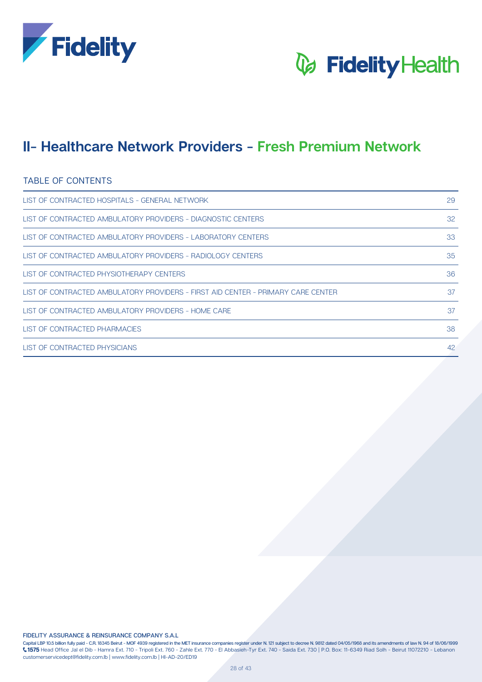



### **Network Providers - Fresh Premium Network - Premium Network III**

#### TABLE OF CONTENTS

| LIST OF CONTRACTED HOSPITALS - GENERAL NETWORK                                   | 29 |
|----------------------------------------------------------------------------------|----|
| LIST OF CONTRACTED AMBULATORY PROVIDERS - DIAGNOSTIC CENTERS                     | 32 |
| LIST OF CONTRACTED AMBULATORY PROVIDERS - LABORATORY CENTERS                     | 33 |
| LIST OF CONTRACTED AMBULATORY PROVIDERS - RADIOLOGY CENTERS                      | 35 |
| LIST OF CONTRACTED PHYSIOTHERAPY CENTERS                                         | 36 |
| LIST OF CONTRACTED AMBULATORY PROVIDERS - FIRST AID CENTER - PRIMARY CARE CENTER | 37 |
| LIST OF CONTRACTED AMBULATORY PROVIDERS - HOME CARE                              | 37 |
| LIST OF CONTRACTED PHARMACIES                                                    | 38 |
| LIST OF CONTRACTED PHYSICIANS                                                    | 42 |

**FIDELITY ASSURANCE & REINSURANCE COMPANY S.A.L** 

Capital LBP 10.5 billion fully paid - C.R. 18345 Beirut - MOF 4939 registered in the MET insurance companies register under N. 121 subject to decree N. 9812 dated 04/05/1968 and its amendments of law N. 94 of 18/06/1999  $\zeta$ 1575 Head Office Jal el Dib - Hamra Ext. 710 - Tripoli Ext. 760 - Zahle Ext. 770 - El Abbasieh-Tyr Ext. 740 - Saida Ext. 730 | P.O. Box: 11-6349 Riad Solh - Beirut 11072210 - Lebanon customerservicedept@fidelity.com.lb | www.fidelity.com.lb | HI-AD-20/ED19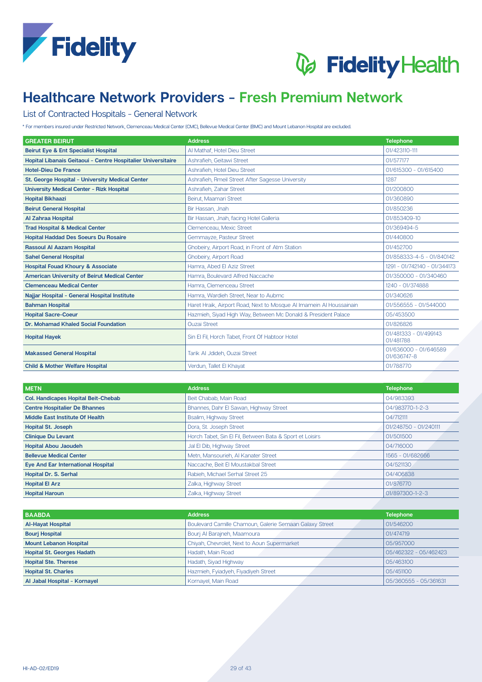



#### List of Contracted Hospitals - General Network

\* For members insured under Restricted Network, Clemenceau Medical Center (CMC), Bellevue Medical Center (BMC) and Mount Lebanon Hospital are excluded.

| <b>GREATER BEIRUT</b>                                        | <b>Address</b>                                                      | <b>Telephone</b>                     |
|--------------------------------------------------------------|---------------------------------------------------------------------|--------------------------------------|
| <b>Beirut Eye &amp; Ent Specialist Hospital</b>              | Al Mathaf, Hotel Dieu Street                                        | 01/423110-111                        |
| Hopital Libanais Geitaoui - Centre Hospitalier Universitaire | Ashrafieh, Geitawi Street                                           | 01/577177                            |
| <b>Hotel-Dieu De France</b>                                  | Ashrafieh, Hotel Dieu Street                                        | 01/615300 - 01/615400                |
| St. George Hospital - University Medical Center              | Ashrafieh, Rmeil Street After Sagesse University                    | 1287                                 |
| <b>University Medical Center - Rizk Hospital</b>             | Ashrafieh, Zahar Street                                             | 01/200800                            |
| <b>Hopital Bikhaazi</b>                                      | Beirut, Maamari Street                                              | 01/360890                            |
| <b>Beirut General Hospital</b>                               | Bir Hassan, Jnah                                                    | 01/850236                            |
| Al Zahraa Hospital                                           | Bir Hassan, Jnah, facing Hotel Galleria                             | 01/853409-10                         |
| <b>Trad Hospital &amp; Medical Center</b>                    | Clemenceau, Mexic Street                                            | 01/369494-5                          |
| <b>Hopital Haddad Des Soeurs Du Rosaire</b>                  | Gemmavze, Pasteur Street                                            | 01/440800                            |
| <b>Rassoul AI Aazam Hospital</b>                             | Ghobeiry, Airport Road, in Front of Atm Station                     | 01/452700                            |
| <b>Sahel General Hospital</b>                                | <b>Ghobeiry, Airport Road</b>                                       | 01/858333-4-5 - 01/840142            |
| <b>Hospital Fouad Khoury &amp; Associate</b>                 | Hamra, Abed El Aziz Street                                          | 1291 - 01/742140 - 01/344173         |
| <b>American University of Beirut Medical Center</b>          | Hamra, Boulevard Alfred Naccache                                    | 01/350000 - 01/340460                |
| <b>Clemenceau Medical Center</b>                             | Hamra, Clemenceau Street                                            | 1240 - 01/374888                     |
| Najjar Hospital - General Hospital Institute                 | Hamra, Wardieh Street, Near to Aubmc                                | 01/340626                            |
| <b>Bahman Hospital</b>                                       | Haret Hraik, Airport Road, Next to Mosque Al Imamein Al Houssainain | 01/556555 - 01/544000                |
| <b>Hopital Sacre-Coeur</b>                                   | Hazmieh, Siyad High Way, Between Mc Donald & President Palace       | 05/453500                            |
| Dr. Mohamad Khaled Social Foundation                         | <b>Ouzai Street</b>                                                 | 01/826826                            |
| <b>Hopital Hayek</b>                                         | Sin El Fil, Horch Tabet, Front Of Habtoor Hotel                     | 01/481333 - 01/499143<br>01/481788   |
| <b>Makassed General Hospital</b>                             | Tarik Al Jdideh, Ouzai Street                                       | 01/636000 - 01/646589<br>01/636747-8 |
| <b>Child &amp; Mother Welfare Hospital</b>                   | Verdun, Tallet El Khayat                                            | 01/788770                            |

| <b>METN</b>                                | <b>Address</b>                                           | <b>Telephone</b>      |
|--------------------------------------------|----------------------------------------------------------|-----------------------|
| <b>Col. Handicapes Hopital Beit-Chebab</b> | Beit Chabab, Main Road                                   | 04/983393             |
| <b>Centre Hospitalier De Bhannes</b>       | Bhannes, Dahr El Sawan, Highway Street                   | 04/983770-1-2-3       |
| Middle East Institute Of Health            | <b>Bsalim, Highway Street</b>                            | 04/712111             |
| <b>Hopital St. Joseph</b>                  | Dora, St. Joseph Street                                  | 01/248750 - 01/240111 |
| <b>Clinique Du Levant</b>                  | Horch Tabet, Sin El Fil, Between Bata & Sport et Loisirs | 01/501500             |
| <b>Hopital Abou Jaoudeh</b>                | Jal El Dib, Highway Street                               | 04/716000             |
| <b>Bellevue Medical Center</b>             | Metn, Mansourieh, Al Kanater Street                      | 1565 - 01/682666      |
| <b>Eye And Ear International Hospital</b>  | Naccache, Beit El Moustakbal Street                      | 04/521130             |
| <b>Hopital Dr. S. Serhal</b>               | Rabieh, Michael Serhal Street 25                         | 04/406838             |
| <b>Hopital El Arz</b>                      | Zalka, Highway Street                                    | 01/876770             |
| <b>Hopital Haroun</b>                      | Zalka, Highway Street                                    | 01/897300-1-2-3       |

| <b>BAABDA</b>                     | <b>Address</b>                                          | <b>Telephone</b>      |
|-----------------------------------|---------------------------------------------------------|-----------------------|
| <b>Al-Hayat Hospital</b>          | Boulevard Camille Chamoun, Galerie Semaan Galaxy Street | 01/546200             |
| <b>Bourj Hospital</b>             | Bouri Al Barajneh, Maamoura                             | 01/474719             |
| <b>Mount Lebanon Hospital</b>     | Chiyah, Chevrolet, Next to Aoun Supermarket             | 05/957000             |
| <b>Hopital St. Georges Hadath</b> | Hadath, Main Road                                       | 05/462322 - 05/462423 |
| <b>Hopital Ste. Therese</b>       | Hadath, Siyad Highway                                   | 05/463100             |
| <b>Hopital St. Charles</b>        | Hazmieh, Fyiadyeh, Fiyadiyeh Street                     | 05/451100             |
| Al Jabal Hospital - Kornayel      | Kornayel, Main Road                                     | 05/360555 - 05/361631 |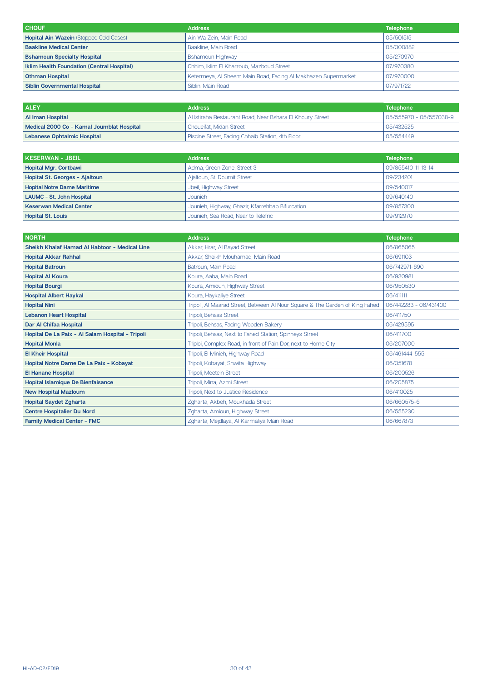| <b>CHOUF</b>                                      | <b>Address</b>                                                | <b>Telephone</b> |
|---------------------------------------------------|---------------------------------------------------------------|------------------|
| <b>Hopital Ain Wazein (Stopped Cold Cases)</b>    | Ain Wa Zein, Main Road                                        | 05/501515        |
| <b>Baakline Medical Center</b>                    | Baakline, Main Road                                           | 05/300882        |
| <b>Bshamoun Specialty Hospital</b>                | <b>Bshamoun Highway</b>                                       | 05/270970        |
| <b>Iklim Health Foundation (Central Hospital)</b> | Chhim, Iklim El Kharroub, Mazboud Street                      | 07/970380        |
| <b>Othman Hospital</b>                            | Ketermeya, Al Sheem Main Road, Facing Al Makhazen Supermarket | 07/970000        |
| <b>Siblin Governmental Hospital</b>               | Siblin, Main Road                                             | 07/971722        |

| <b>ALEY</b>                               | <b>Address</b>                                            | <b>Telephone</b>        |
|-------------------------------------------|-----------------------------------------------------------|-------------------------|
| <b>Al Iman Hospital</b>                   | Al Istiraha Restaurant Road, Near Bshara El Khoury Street | 05/555970 - 05/557038-9 |
| Medical 2000 Co - Kamal Joumblat Hospital | l Choueifat. Midan Street                                 | 05/432525               |
| <b>Lebanese Ophtalmic Hospital</b>        | Piscine Street, Facing Chhaib Station, 4th Floor          | 05/554449               |

| KESERWAN - JBEIL                   | <b>Address</b>                                   | <b>Telephone</b>   |
|------------------------------------|--------------------------------------------------|--------------------|
| <b>Hopital Mgr. Cortbawi</b>       | Adma, Green Zone, Street 3                       | 09/855410-11-13-14 |
| Hopital St. Georges - Ajaltoun     | Ajaltoun, St. Doumit Street                      | 09/234201          |
| <b>Hopital Notre Dame Maritime</b> | Jbeil, Highway Street                            | 09/540017          |
| <b>LAUMC - St. John Hospital</b>   | <b>Jounieh</b>                                   | 09/640140          |
| <b>Keserwan Medical Center</b>     | Jounieh, Highway, Ghazir, Kfarrehbab Bifurcation | 09/857300          |
| <b>Hopital St. Louis</b>           | Jounieh, Sea Road, Near to Telefric              | 09/912970          |

| <b>NORTH</b>                                     | <b>Address</b>                                                               | <b>Telephone</b>      |
|--------------------------------------------------|------------------------------------------------------------------------------|-----------------------|
| Sheikh Khalaf Hamad Al Habtoor - Medical Line    | Akkar, Hrar, Al Bayad Street                                                 | 06/865065             |
| <b>Hopital Akkar Rahhal</b>                      | Akkar, Sheikh Mouhamad, Main Road                                            | 06/691103             |
| <b>Hopital Batroun</b>                           | Batroun, Main Road                                                           | 06/742971-690         |
| <b>Hopital Al Koura</b>                          | Koura, Aaba, Main Road                                                       | 06/930981             |
| <b>Hopital Bourgi</b>                            | Koura, Amioun, Highway Street                                                | 06/950530             |
| <b>Hospital Albert Haykal</b>                    | Koura, Haykaliye Street                                                      | 06/411111             |
| <b>Hopital Nini</b>                              | Tripoli, Al Maarad Street, Between Al Nour Square & The Garden of King Fahed | 06/442283 - 06/431400 |
| <b>Lebanon Heart Hospital</b>                    | Tripoli, Behsas Street                                                       | 06/411750             |
| Dar Al Chifaa Hospital                           | Tripoli, Behsas, Facing Wooden Bakery                                        | 06/429595             |
| Hopital De La Paix - Al Salam Hospital - Tripoli | Tripoli, Behsas, Next to Fahed Station, Spinneys Street                      | 06/411700             |
| <b>Hopital Monla</b>                             | Triploi, Complex Road, in front of Pain Dor, next to Home City               | 06/207000             |
| <b>El Kheir Hospital</b>                         | Tripoli, El Minieh, Highway Road                                             | 06/461444-555         |
| Hopital Notre Dame De La Paix - Kobayat          | Tripoli, Kobayat, Shwita Highway                                             | 06/351678             |
| <b>El Hanane Hospital</b>                        | Tripoli, Meetein Street                                                      | 06/200526             |
| <b>Hopital Islamique De Bienfaisance</b>         | Tripoli, Mina, Azmi Street                                                   | 06/205875             |
| <b>New Hospital Mazloum</b>                      | Tripoli, Next to Justice Residence                                           | 06/410025             |
| <b>Hopital Saydet Zgharta</b>                    | Zgharta, Akbeh, Moukhada Street                                              | 06/660575-6           |
| <b>Centre Hospitalier Du Nord</b>                | Zgharta, Amioun, Highway Street                                              | 06/555230             |
| <b>Family Medical Center - FMC</b>               | Zgharta, Mejdlaya, Al Karmaliya Main Road                                    | 06/667873             |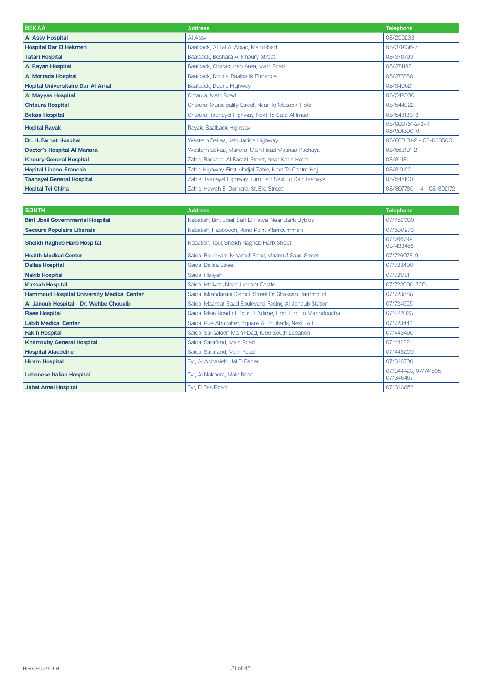| <b>BEKAA</b>                             | <b>Address</b>                                           | <b>Telephone</b>               |
|------------------------------------------|----------------------------------------------------------|--------------------------------|
| <b>Al Assy Hospital</b>                  | Al Assy                                                  | 08/200238                      |
| <b>Hospital Dar El Hekmeh</b>            | Baalback, Al Tal Al Abiad, Main Road                     | 08/379136-7                    |
| <b>Tatari Hospital</b>                   | Baalback, Beshara Al Khoury Street                       | 08/370799                      |
| <b>Al Rayan Hospital</b>                 | Baalback, Charaouneh Area, Main Road                     | 08/374182                      |
| Al Mortada Hospital                      | Baalback, Douris, Baalback Entrance                      | 08/377880                      |
| <b>Hopital Universitaire Dar AI Amal</b> | Baalback, Douris Highway                                 | 08/340621                      |
| <b>Al Mayyas Hospital</b>                | Chtaura, Main Road                                       | 08/542300                      |
| <b>Chtaura Hospital</b>                  | Chtaura, Municipality Street, Near To Masabki Hotel      | 08/544022                      |
| <b>Bekaa Hospital</b>                    | Chtaura, Taanayel Highway, Next To Café Al Imad          | 08/543180-3                    |
| <b>Hopital Rayak</b>                     | Rayak, Baalback Highway                                  | 08/900751-2-3-4<br>08/901300-6 |
| Dr. H. Farhat Hospital                   | Western Bekaa, Jeb Janine Highway                        | 08/660101-2 - 08-663500        |
| <b>Doctor's Hospital Al Manara</b>       | Western Bekaa, Manara, Main Road Masnaa Rachaya          | 08/563101-2                    |
| <b>Khoury General Hospital</b>           | Zahle, Barbara, Al Barazil Street, Near Kadri Hotel      | 08/811181                      |
| <b>Hopital Libano-Francais</b>           | Zahle Highway, First Madjal Zahle, Next To Centre Hajj   | 08/810120                      |
| <b>Taanayel General Hospital</b>         | Zahle, Taanayel Highway, Turn Left Next To Dair Taanayel | 08/545100                      |
| <b>Hopital Tel Chiha</b>                 | Zahle, Hawch El Oomara, St. Elie Street                  | 08/807780-1-4 - 08-802172      |

| <b>SOUTH</b>                                      | <b>Address</b>                                              | <b>Telephone</b>                  |
|---------------------------------------------------|-------------------------------------------------------------|-----------------------------------|
| <b>Bint Jbeil Governmental Hospital</b>           | Nabatieh, Bint Jbeil, Saff El Hawa, Near Bank Byblos        | 07/452000                         |
| <b>Secours Populaire Libanais</b>                 | Nabatieh, Habbooch, Rond Point Kfarroumman                  | 07/530970                         |
| <b>Sheikh Ragheb Harb Hospital</b>                | Nabatieh, Toul, Sheikh Ragheb Harb Street                   | 07/766799<br>03/432458            |
| <b>Health Medical Center</b>                      | Saida, Boulevard Maarouf Saad, Maarouf Saad Street          | 07/726078-9                       |
| <b>Dallaa Hospital</b>                            | Saida, Dallaa Street                                        | 07/723400                         |
| <b>Nakib Hospital</b>                             | Saida, Hlaliyeh                                             | 07/721721                         |
| <b>Kassab Hospital</b>                            | Saida, Hlaliyeh, Near Jumblat Castle                        | 07/723900-700                     |
| <b>Hammoud Hospital University Medical Center</b> | Saida, Iskandarani District, Street Dr Ghassan Hammoud      | 07/723888                         |
| Al Janoub Hospital - Dr. Wehbe Chouaib            | Saida, Maarouf Saad Boulevard, Facing Al Janoub Station     | 07/724555                         |
| <b>Raee Hospital</b>                              | Saida, Main Road of Sour El Adime, First Turn To Maghdoucha | 07/222023                         |
| <b>Labib Medical Center</b>                       | Saida, Rue Abuzaher, Square Al Shuhada, Next To Liu         | 07/723444                         |
| <b>Fakih Hospital</b>                             | Saida, Saksakieh Main Road, 1056 South Lebanon              | 07/443460                         |
| <b>Kharrouby General Hospital</b>                 | Saida, Sarafand, Main Road                                  | 07/442224                         |
| <b>Hospital Alaeddine</b>                         | Saida, Sarafand, Main Road                                  | 07/443200                         |
| <b>Hiram Hospital</b>                             | Tyr, AI Abbasieh, Jal El Baher                              | 07/343700                         |
| <b>Lebanese Italian Hospital</b>                  | Tyr, Al Nakoura, Main Road                                  | 07/344423, 07/741595<br>07/346457 |
| <b>Jabal Amel Hospital</b>                        | Tyr, El Bas Road                                            | 07/343852                         |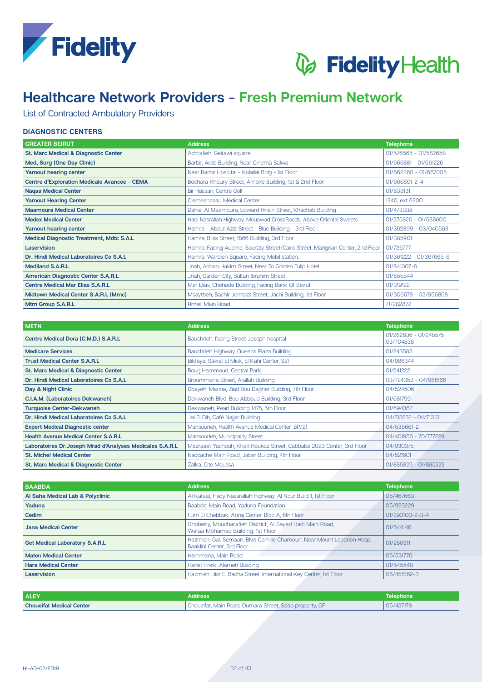



### List of Contracted Ambulatory Providers

### **DIAGNOSTIC CENTERS**

| <b>GREATER BEIRUT</b>                               | <b>Address</b>                                                               | <b>Telephone</b>        |
|-----------------------------------------------------|------------------------------------------------------------------------------|-------------------------|
| St. Marc Medical & Diagnostic Center                | Achrafieh, Geitawi square                                                    | 01/576565 - 01/582658   |
| Med, Surg (One Day Clinic)                          | Barbir, Arab Building, Near Cinema Salwa                                     | 01/666881 - 01/661226   |
| Yamout hearing center                               | Near Barbir Hospital - Kolailat Bldg - 1st Floor                             | 01/662360 - 01/667005   |
| <b>Centre d'Exploration Medicale Avancee - CEMA</b> | Bechara Khoury Street, Ampire Building, 1st & 2nd Floor                      | 01/666801-2-4           |
| <b>Nagaa Medical Center</b>                         | Bir Hassan, Centre Golf                                                      | 01/833131               |
| <b>Yamout Hearing Center</b>                        | Clemeanceau Medical Center                                                   | 1240, ext 6200          |
| <b>Maamoura Medical Center</b>                      | Dahie, Al Maamoura, Edward Hnein Street, Khachab Building                    | 01/473338               |
| <b>Medex Medical Center</b>                         | Hadi Nasrallah Highway, Mouawad CrossRoads, Above Oriental Sweets            | 01/275820 - 01/538600   |
| Yamout hearing center                               | Hamra - Abdul Aziz Street - Blue Building - 3rd Floor                        | 01/362899 - 03/040563   |
| <b>Medical Diagnostic Treatment, Mdtc S.A.L</b>     | Hamra, Bliss Street; 1866 Building, 3rd Floor.                               | 01/385901               |
| Laservision                                         | Hamra, Facing Aubmc, Souraty Street/Cairo Street, Marignan Center, 2nd Floor | 01/736777               |
| Dr. Hindi Medical Laboratoires Co S.A.L             | Hamra, Wardieh Square, Facing Mobil station.                                 | 01/361222 - 01/367665-6 |
| <b>Mediland S.A.R.L</b>                             | Jnah, Adnan Hakim Street, Near To Golden Tulip Hotel                         | 01/841307-8             |
| American Diagnostic Center S.A.R.L                  | Jnah, Garden City, Sultan Ibrahim Street                                     | 01/855544               |
| <b>Centre Medical Mar Elias S.A.R.L</b>             | Mar Elias, Chehade Building, Facing Bank Of Beirut                           | 01/319122               |
| Midtown Medical Center S.A.R.L (Mmc)                | Msaytbeh, Bachir Jomblat Street, Jachi Building, 1st Floor                   | 01/306678 - 03/956868   |
| Mtm Group S.A.R.L                                   | Rmeil, Main Road                                                             | 71/282872               |

| <b>METN</b>                                               | <b>Address</b>                                                         | <b>Telephone</b>                   |
|-----------------------------------------------------------|------------------------------------------------------------------------|------------------------------------|
| Centre Medical Dora (C.M.D.) S.A.R.L                      | Bauchrieh, facing Street Joseph hospital                               | 01/262636 - 01/248575<br>03/704838 |
| <b>Medicare Services</b>                                  | Bauchrieh Highway, Queens Plaza Building                               | 01/243583                          |
| <b>Trust Medical Center S.A.R.L</b>                       | Bikfaya, Sakiet El Misk, El Kahi Center, Ss1                           | 04/986344                          |
| <b>St. Marc Medical &amp; Diagnostic Center</b>           | Bourj Hammoud, Central Park.                                           | 01/241222                          |
| Dr. Hindi Medical Laboratoires Co S.A.L                   | Broummana Street, Atallah Building                                     | 03/724353 - 04/961666              |
| Day & Night Clinic                                        | Dbayeh, Marina, Ziad Bou Dagher Building, 7th Floor                    | 04/524506                          |
| <b>C.I.A.M. (Laboratoires Dekwaneh)</b>                   | Dekwaneh Blvd, Bou Abboud Building, 3rd Floor                          | 01/681799                          |
| <b>Turquoise Center-Dekwaneh</b>                          | Dekwaneh, Pearl Building 1475, 5th Floor                               | 01/694362                          |
| Dr. Hindi Medical Laboratoires Co S.A.L                   | Jal El Dib, Café Najjar Building                                       | 04/713232 - 04/713131              |
| <b>Expert Medical Diagnostic center</b>                   | Mansourieh, Health Avenue Medical Center .BP.121                       | 04/535661-2                        |
| <b>Health Avenue Medical Center S.A.R.L</b>               | Mansourieh, Municipality Street                                        | 04/401956 - 70/777229              |
| Laboratoires Dr. Joseph Mrad d'Analyses Medicales S.A.R.L | Mazraaet Yachouh, Khalil Roukoz Street, Cabbabe 2023 Center, 3rd Floor | 04/930375                          |
| <b>St. Michel Medical Center</b>                          | Naccache Main Road, Jaber Building, 4th Floor                          | 04/521601                          |
| <b>St. Marc Medical &amp; Diagnostic Center</b>           | Zalka, Cite Moussa                                                     | 01/885829 - 01/885222              |

| <b>BAABDA</b>                         | <b>Address</b>                                                                                     | <b>Telephone</b> |
|---------------------------------------|----------------------------------------------------------------------------------------------------|------------------|
| Al Saha Medical Lab & Polyclinic      | Al Kafaat, Hady Nassrallah Highway, Al Nour Build 1, 1st Floor                                     | 05/467663        |
| Yaduna                                | Baabda, Main Road, Yaduna Foundation                                                               | 05/923229        |
| Cedim                                 | Furn El Chebbak, Abraj Center, Bloc A, 6th Floor                                                   | 01/293100-2-3-4  |
| <b>Jana Medical Center</b>            | Ghobeiry, Moucharafieh District, Al Sayed Hadi Main Road,<br>Wafaa Mohamad Building, 1st Floor     | 01/544146        |
| <b>Get Medical Laboratory S.A.R.L</b> | Hazmieh, Gal. Semaan, Blvd Camille Chamoun, Near Mount Lebanon Hosp.<br>Baaklini Center, 3rd Floor | 01/288311        |
| <b>Maten Medical Center</b>           | Hammana, Main Road                                                                                 | 05/531770        |
| <b>Hara Medical Center</b>            | Hareit Hreik, Alameh Building                                                                      | 01/545548        |
| Laservision                           | Hazmieh, Jisr El Bacha Street, International Key Center, 1st Floor                                 | 05/455162-3      |

| <b>ALEY</b>                     | Address                                                | <b>Telephone</b> |
|---------------------------------|--------------------------------------------------------|------------------|
| <b>Choueifat Medical Center</b> | Choueifat, Main Road, Oumara Street, Saab property, GF | 05/437178        |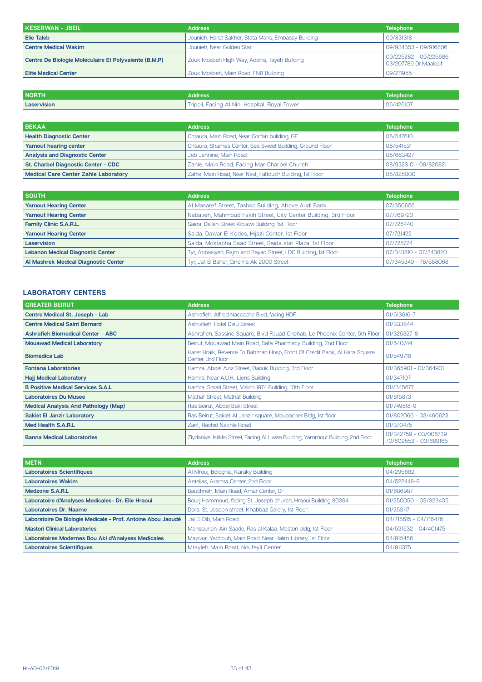| KESERWAN - JBEIL                                      | <b>Address</b>                                       | <b>Telephone</b>                              |
|-------------------------------------------------------|------------------------------------------------------|-----------------------------------------------|
| Elie Taleb                                            | Jounieh, Haret Sakher, Stata Maris, Embassy Building | 09/831318                                     |
| <b>Centre Medical Wakim</b>                           | Jounieh, Near Golden Star                            | 09/934353 - 09/916806                         |
| Centre De Biologie Moleculaire Et Polyvalente (B.M.P) | Zouk Mosbeh High Way, Adonis, Tayeh Building         | 09/225282 - 09/225686<br>03/207789 Dr.Maalouf |
| <b>Elite Medical Center</b>                           | Zouk Mosbeh, Main Road, FNB Building                 | 09/211955                                     |

| <b>NORTH</b> | Address'                                      | Telephone |
|--------------|-----------------------------------------------|-----------|
| Laservision  | Tripoli, Facing Al Nini Hospital, Royal Tower | 06/426107 |

| <b>BEKAA</b>                                | <b>Address</b>                                            | <b>Telephone</b>      |
|---------------------------------------------|-----------------------------------------------------------|-----------------------|
| <b>Health Diagnostic Center</b>             | Chtaura, Main Road, Near Corfan buliding, GF              | 08/547610             |
| Yamout hearing center                       | Chtaura, Shames Center, Sea Sweet Building, Ground Floor  | 08/541531             |
| <b>Analysis and Diagnostic Center</b>       | Jeb Jennine, Main Road                                    | 08/663427             |
| St. Charbel Diagnostic Center - CDC         | Zahle, Main Road, Facing Mar Charbel Church               | 08/932310 - 08/820821 |
| <b>Medical Care Center Zahle Laboratory</b> | Zahle, Main Road, Near Nssf, Fattouch Building, 1st Floor | 08/825000             |

| <b>SOUTH</b>                             | <b>Address</b>                                                  | <b>Telephone</b>      |
|------------------------------------------|-----------------------------------------------------------------|-----------------------|
| <b>Yamout Hearing Center</b>             | Al Masaref Street, Tashko Building, Above Audi Bank             | 07/350656             |
| <b>Yamout Hearing Center</b>             | Nabatieh, Mahmoud Fakih Street, City Center Building, 3rd Floor | 07/769720             |
| Family Clinic S.A.R.L.                   | Saida, Dallah Street Kiblawi Building, 1st Floor                | 07/726440             |
| <b>Yamout Hearing Center</b>             | Saida, Dawar El Kodos, Hijazi Center, 1st Floor                 | 07/731422             |
| Laservision                              | Saida, Mostapha Saad Street, Saida star Plaza, 1st Floor        | 07/725724             |
| <b>Lebanon Medical Diagnostic Center</b> | Tyr, Abbasiyeh, Rajm and Bayad Street, LDC Building, 1st Floor  | 07/343810 - 07/343820 |
| Al Mashrek Medical Diagnostic Center     | Tyr, Jall El Baher, Cinema Ak 2000 Street                       | 07/345349 - 76/568068 |

### **LABORATORY CENTERS**

| <b>GREATER BEIRUT</b>                       | <b>Address</b>                                                                                 | <b>Telephone</b>                               |
|---------------------------------------------|------------------------------------------------------------------------------------------------|------------------------------------------------|
| Centre Medical St. Joseph - Lab             | Ashrafieh, Alfred Naccache Blvd, facing HDF                                                    | 01/613616-7                                    |
| <b>Centre Medical Saint Bernard</b>         | Ashrafieh, Hotel Dieu Street                                                                   | 01/333844                                      |
| <b>Ashrafieh Biomedical Center - ABC</b>    | Ashrafieh, Sassine Square, Blvd Fouad Chehab, Le Phoenix Center, 5th Floor                     | 01/325327-8                                    |
| <b>Mouawad Medical Laboratory</b>           | Beirut, Mouawad Main Road, Safa Pharmacy Building, 2nd Floor                                   | 01/540744                                      |
| <b>Biomedica Lab</b>                        | Haret Hraik, Reverse To Bahman Hosp, Front Of Credit Bank, Al Hara Square<br>Center, 3rd Floor | 01/549718                                      |
| <b>Fontana Laboratories</b>                 | Hamra, Abdel Aziz Street, Daouk Building, 3rd Floor                                            | 01/365901 - 01/364901                          |
| <b>Hajj Medical Laboratory</b>              | Hamra, Near A.U.H., Lions Building                                                             | 01/347107                                      |
| <b>B Positive Medical Services S.A.L</b>    | Hamra, Sorati Street, Vision 1974 Building, 10th Floor                                         | 01//345677                                     |
| <b>Laboratoires Du Musee</b>                | Mathaf Street, Mathaf Building                                                                 | 01/615873                                      |
| <b>Medical Analysis And Pathology (Map)</b> | Ras Beirut, Abdel Baki Street                                                                  | 01/749818-9                                    |
| <b>Sakiet El Janzir Laboratory</b>          | Ras Beirut, Sakiet Al Janzir square, Moubacher Bldg, 1st floor.                                | 01/802066 - 03/460623                          |
| Med Health S.A.R.L                          | Zarif, Rachid Nakhle Road                                                                      | 01/370475                                      |
| <b>Banna Medical Laboratories</b>           | Ziydaniye, Istiklal Street, Facing Al Liwaa Building, Yammout Building, 2nd Floor              | 01/342759 - 03/006739<br>70/809552 - 03/689165 |

| <b>METN</b>                                                  | <b>Address</b>                                                 | <b>Telephone</b>      |
|--------------------------------------------------------------|----------------------------------------------------------------|-----------------------|
| <b>Laboratoires Scientifiques</b>                            | Al Mrouj, Bolognia, Karaky Building                            | 04/295682             |
| <b>Laboratoires Wakim</b>                                    | Antelias, Aramta Center, 2nd Floor                             | 04/522448-9           |
| <b>Medzone S.A.R.L</b>                                       | Bauchrieh, Main Road, Amar Center, GF                          | 01/686987             |
| Laboratoire d'Analyses Medicales- Dr. Elie Hraoui            | Bourj Hammoud, facing St. Joseph church, Hraoui Building 80394 | 01/250050 - 03/323405 |
| <b>Laboratoires Dr. Naame</b>                                | Dora, St. Joseph street, Khabbaz Galery, 1st Floor.            | 01/253117             |
| Laboratoire De Biologie Medicale - Prof. Antoine Abou Jaoudé | Jal El Dib, Main Road                                          | 04/715615 - 04/716476 |
| <b>Mastori Clinical Laboratories</b>                         | Mansourieh-Ain Saade, Ras al Kalaa, Mastori bldg, 1st Floor    | 04/531532 - 04/401475 |
| Laboratoires Modernes Bou Akl d'Analyses Medicales           | Mazraat Yachouh, Main Road, Near Halim Library, 1st Floor      | 04/915456             |
| <b>Laboratoires Scientifiques</b>                            | Mtayleb Main Road, Noufeyli Center                             | 04/911375             |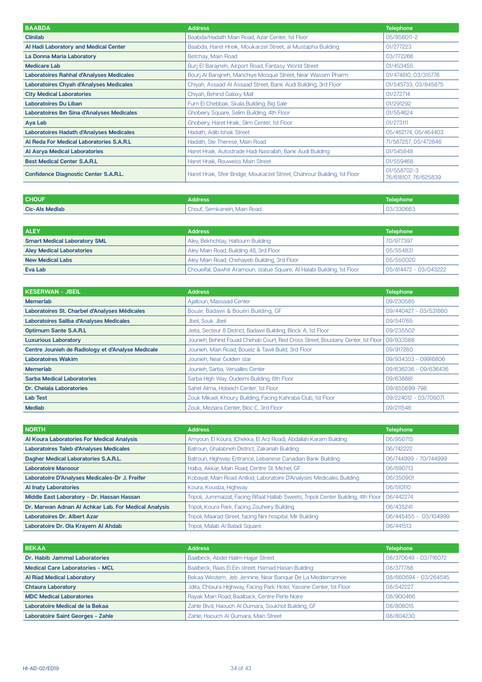| <b>BAABDA</b>                                   | <b>Address</b>                                                            | <b>Telephone</b>                    |
|-------------------------------------------------|---------------------------------------------------------------------------|-------------------------------------|
| <b>Clinilab</b>                                 | Baabda/Hadath Main Road, Azar Center, 1st Floor                           | 05/956011-2                         |
| Al Hadi Laboratory and Medical Center           | Baabda, Haret Hreik, Moukarzel Street, al Mustapha Building               | 01/277223                           |
| La Donna Maria Laboratory                       | Betchay, Main Road                                                        | 03/772266                           |
| <b>Medicare Lab</b>                             | Burj El Barajneh, Airport Road, Fantasy World Street                      | 01/453455                           |
| <b>Laboratoires Rahhal d'Analyses Medicales</b> | Bourj Al Barajneh, Manchiye Mosque Street, Near Wassim Pharm              | 01/474810, 03/315776                |
| <b>Laboratoires Chyah d'Analyses Medicales</b>  | Chiyah, Assaad Al Assaad Street, Bank Audi Building, 3rd Floor            | 01/545733, 03/845875                |
| <b>City Medical Laboratories</b>                | Chiyah, Behind Galaxy Mall                                                | 01/272714                           |
| <b>Laboratoires Du Liban</b>                    | Furn El Chebbak, Skala Building, Big Sale                                 | 01/291292                           |
| Laboratoires Ibn Sina d'Analyses Medicales      | Ghobeiry Square, Selim Building, 4th Floor                                | 01/554624                           |
| Aya Lab                                         | Ghobeiry, Haret Hraik, Slim Center, 1st Floor                             | 01/273111                           |
| Laboratoires Hadath d'Analyses Medicales        | Hadath, Adib Ishak Street                                                 | 05/462174, 05/464403                |
| Al Reda For Medical Laboratories S.A.R.L        | Hadath, Ste Therese, Main Road                                            | 71/567257, 05/472646                |
| <b>Al Asrya Medical Laboratories</b>            | Haret Hraik, Autostrade Hadi Nasrallah, Bank Audi Building                | 01/545848                           |
| <b>Best Medical Center S.A.R.L</b>              | Haret Hraik, Rouweiss Main Street                                         | 01/559468                           |
| <b>Confidence Diagnostic Center S.A.R.L.</b>    | Haret Hraik, Sfeir Bridge, Moukarzel Street, Chahrour Building, 1st Floor | 01/558702-3<br>76/618107, 76/625839 |

| <b>CHOUF</b>          | Address                       | Telephone' |
|-----------------------|-------------------------------|------------|
| <b>Cic-Als Medlab</b> | Semkanieh, Main Road<br>:hout | 03/330663  |

| <b>ALEY</b>                         | <b>Address</b>                                                          | <b>Telephone</b>      |
|-------------------------------------|-------------------------------------------------------------------------|-----------------------|
| <b>Smart Medical Laboratory SML</b> | Aley, Bekhchtay, Hattoum Building                                       | 70/977397             |
| <b>Aley Medical Laboratories</b>    | Aley Main Road, Building 48, 3rd Floor                                  | 05/554831             |
| <b>New Medical Labs</b>             | Aley Main Road, Chehayeb Building, 3rd Floor                            | 05/550020             |
| Eva Lab                             | Choueifat, Dawhit Aramoun, statue Square, Al Halabi Building, 1st Floor | 05/814472 - 03/043222 |

| KESERWAN - JBEIL                                  | <b>Address</b>                                                                   | <b>Telephone</b>      |
|---------------------------------------------------|----------------------------------------------------------------------------------|-----------------------|
| <b>Memerlab</b>                                   | Ajaltoun, Massaad Center                                                         | 09/230585             |
| Laboratoires St. Charbel d'Analyses Médicales     | Bouar, Badawi & Bouéri Building, GF                                              | 09/440427 - 03/531860 |
| Laboratoires Saliba d'Analyses Medicales          | Jbeil, Souk Jbeil                                                                | 09/541765             |
| <b>Optimum Sante S.A.R.L</b>                      | Jeita, Secteur 8 District, Badawi Building, Block A, 1st Floor                   | 09/235502             |
| <b>Luxurious Laboratory</b>                       | Jounieh, Behind Fouad Chehab Court, Red Cross Street, Boustany Center, 1st Floor | 09/933588             |
| Centre Jounieh de Radiology et d'Analyse Medicale | Jounieh, Main Road, Boueiz & Tawil Build, 3rd Floor                              | 09/917260             |
| <b>Laboratoires Wakim</b>                         | Jounieh, Near Golden star                                                        | 09/934353 - 09916806  |
| <b>Memerlab</b>                                   | Jounieh, Sarba, Versailles Center                                                | 09/636236 - 09/636436 |
| <b>Sarba Medical Laboratories</b>                 | Sarba High Way, Oudeimi Building, 6th Floor                                      | 09/638881             |
| Dr. Chelala Laboratories                          | Sahel Alma, Hobeich Center, 1st Floor                                            | 09/855699-798         |
| <b>Lab Test</b>                                   | Zouk Mikael, Khoury Building, Facing Kahraba Club, 1st Floor                     | 09/224012 - 03/705071 |
| <b>Mediab</b>                                     | Zouk, Meziara Center, Bloc C, 3rd Floor                                          | 09/211548             |

| <b>NORTH</b>                                         | <b>Address</b>                                                                      | <b>Telephone</b>      |
|------------------------------------------------------|-------------------------------------------------------------------------------------|-----------------------|
| Al Koura Laboratories For Medical Analysis           | Amyoun, El Koura, (Chekka, El Arz Road), Abdallah Karam Building                    | 06/950715             |
| Laboratoires Taleb d'Analyses Medicales              | Batroun, Ghalabneh District, Zakariah Building                                      | 06/742222             |
| Dagher Medical Laboratories S.A.R.L.                 | Batroun, Highway Entrance, Lebanese Canadian Bank Building                          | 06/744999 - 70/744999 |
| <b>Laboratoire Mansour</b>                           | Halba, Akkar, Main Road, Centre St. Michel, GF                                      | 06/690713             |
| Laboratoire D'Analyses Medicales-Dr J. Freifer       | Kobayat, Main Road Antkid, Laboratoire D'Analyses Medicales Building                | 06/350901             |
| <b>Al Inaty Laboratories</b>                         | Koura, Kousba, Highway                                                              | 06/510110             |
| Middle East Laboratory - Dr. Hassan Hassan           | Tripoli, Jummaizat, Facing Rifaat Hallab Sweets, Tripoli Center Building, 4th Floor | 06/442274             |
| Dr. Marwan Adnan Al Achkar Lab. For Medical Analysis | Tripoli, Koura Park, Facing Zouheiry Building                                       | 06/435241             |
| <b>Laboratoires Dr. Albert Azar</b>                  | Tripoli, Maarad Street, facing Nini hospital, Mir Building                          | 06/445455 - 03/104999 |
| Laboratoire Dr. Ola Krayem Al Ahdab                  | Tripoli, Malab Al Baladi Square.                                                    | 06/441513             |

| <b>BEKAA</b>                             | <b>Address</b>                                                       | <b>Telephone</b>      |
|------------------------------------------|----------------------------------------------------------------------|-----------------------|
| Dr. Habib Jammal Laboratories            | Baalbeck, Abdel Halim Hajjar Street                                  | 08/370649 - 03/716072 |
| <b>Medical Care Laboratories - MCL</b>   | Baalbeck, Raas El Ein street, Hamad Hasan Building                   | 08/377788             |
| <b>Al Riad Medical Laboratory</b>        | Bekaa Western, Jeb Jennine, Near Banque De La Mediterrannée          | 08/660694 - 03/264545 |
| <b>Chtaura Laboratory</b>                | Jdita, Chtaura Highway, Facing Park Hotel, Yassine Center, 1st Floor | 08/542227             |
| <b>MDC Medical Laboratories</b>          | Rayak Main Road, Baalback, Centre Perle Noire                        | 08/900466             |
| Laboratoire Medical de la Bekaa          | Zahle Blvd, Haouch Al Oumara, Soukhot Building, GF                   | 08/806015             |
| <b>Laboratoire Saint Georges - Zahle</b> | Zahle, Haouch Al Oumara, Main Street                                 | 08/804230             |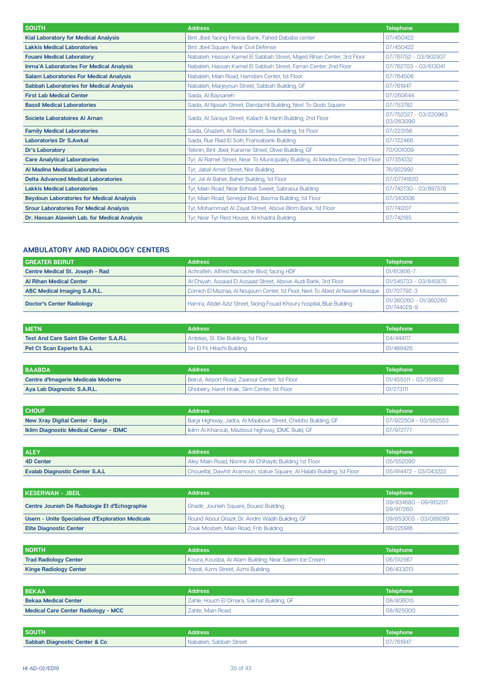| <b>SOUTH</b>                                     | <b>Address</b>                                                                   | <b>Telephone</b>                   |
|--------------------------------------------------|----------------------------------------------------------------------------------|------------------------------------|
| <b>Kial Laboratory for Medical Analysis</b>      | Bint Jbeil, facing Fenicia Bank, Fahed Dababa center                             | 07/450422                          |
| <b>Lakkis Medical Laboratories</b>               | Bint Jbeil Square, Near Civil Defense                                            | 07/450422                          |
| <b>Fouani Medical Laboratory</b>                 | Nabatieh, Hassan Kamel El Sabbah Street, Majed Rihan Center, 3rd Floor           | 07/761752 - 03/902937              |
| <b>Inma'A Laboratories For Medical Analysis</b>  | Nabatieh, Hassan Kamel El Sabbah Street, Farran Center, 2nd Floor                | 07/762703 - 03/613041              |
| <b>Salam Laboratories For Medical Analysis</b>   | Nabatieh, Main Road, Hamdani Center, 1st Floor                                   | 07/764506                          |
| <b>Sabbah Laboratories for Medical Analysis</b>  | Nabatieh, Marjeyoun Street, Sabbah Building, GF                                  | 07/761947                          |
| <b>First Lab Medical Center</b>                  | Saida, Al Baysarieh                                                              | 07/260644                          |
| <b>Bassil Medical Laboratories</b>               | Saida, Al Njasah Street, Dandachli Building, Next To Qods Square                 | 07/753782                          |
| Societe Laboratoires Al Aman                     | Saida, Al Saraya Street, Kalach & Hariri Building, 2nd Floor                     | 07/752027 - 03/220963<br>03/263090 |
| <b>Family Medical Laboratories</b>               | Saida, Ghazieh, Al Rabta Street, Sea Building, 1st Floor                         | 07/223156                          |
| <b>Laboratories Dr S.Awkal</b>                   | Saida, Rue Riad El Solh, Fransabank Building                                     | 07/722466                          |
| <b>Dr's Laboratory</b>                           | Tebnin, Bint Jbeil, Karame Street, Otwe Building, GF                             | 70/001009                          |
| <b>Care Analytical Laboratories</b>              | Tyr, AI Ramel Street, Near To Municipality Building, AI Madina Center, 2nd Floor | 07/351032                          |
| Al Madina Medical Laboratories                   | Tyr, Jabal Amel Street, Nisr Building                                            | 76/922992                          |
| <b>Delta Advanced Medical Laboratories</b>       | Tyr, Jal Al Baher, Baher Building, 1st Floor                                     | 07/07741820                        |
| <b>Lakkis Medical Laboratories</b>               | Tyr, Main Road, Near Bohsali Sweet, Sabraoui Building                            | 07/742730 - 03/897578              |
| <b>Beydoun Laboratories for Medical Analysis</b> | Tyr, Main Road, Senegal Blvd, Basma Building, 1st Floor                          | 07/343006                          |
| <b>Srour Laboratories For Medical Analysis</b>   | Tyr, Mohammad AI Zayat Street, Above Blom Bank, 1st Floor                        | 07/741207                          |
| Dr. Hassan Alawieh Lab. for Medical Analysis     | Tyr, Near Tyr Rest House, Al Khadra Building                                     | 07/742185                          |

#### **AMBULATORY AND RADIOLOGY CENTERS**

| <b>GREATER BEIRUT</b>               | <b>Address</b>                                                                 | <b>Telephone</b>                     |
|-------------------------------------|--------------------------------------------------------------------------------|--------------------------------------|
| Centre Medical St. Joseph - Rad     | Achrafieh, Alfred Naccache Blvd, facing HDF                                    | 01/613616-7                          |
| <b>Al Rihan Medical Center</b>      | Al Chiyah, Assaad El Assaad Street, Above Audi Bank, 3rd Floor                 | 01/545733 - 03/845875                |
| <b>ABC Medical Imaging S.A.R.L.</b> | Cornich El Mazraa, Al Noujoum Center, 1st Floor, Next To Abed Al Nasser Mosque | 01/707792-3                          |
| <b>Doctor's Center Radiology</b>    | Hamra, Abdel Aziz Street, facing Fouad Khoury hospital, Blue Building          | 01/360260 - 01/360260<br>01/744028-9 |

| l METN                                         | <b>Address</b>                         | Telephone |
|------------------------------------------------|----------------------------------------|-----------|
| <b>Test And Care Saint Elie Center S.A.R.L</b> | Antelias, St. Elie Building, 1st Floor | 04/444117 |
| <b>Pet Ct Scan Experts S.A.L</b>               | Sin El Fil, Hitachi Building           | 01/488426 |

| I BAABDA                           | <b>Address</b>                                  | <b>Telephone</b>      |
|------------------------------------|-------------------------------------------------|-----------------------|
| Centre d'Imagerie Medicale Moderne | Beirut, Airport Road, Zaarour Center, 1st Floor | 01/455511 - 03/351802 |
| Aya Lab Diagnostic S.A.R.L.        | Ghobeiry, Haret Hraik, Slim Center, 1st Floor   | 01/273111             |

| <b>CHOUF</b>                                  | <b>Address</b>                                               | <b>Telephone</b>      |
|-----------------------------------------------|--------------------------------------------------------------|-----------------------|
| New Xray Digital Center - Barja               | Barja Highway, Jadra, Al Maabour Street, Chebbo Building, GF | 07/922504 - 03/582553 |
| <b>Iklim Diagnostic Medical Center - IDMC</b> | Iklim AI Kharoub, Mazbout highway, IDMC Build, GF            | 07/972777             |

| <b>ALEY</b>                           | <b>Address</b>                                                          | Telephone             |
|---------------------------------------|-------------------------------------------------------------------------|-----------------------|
| 4D Center                             | Aley Main Road, Nisrine Ali Chihayib Building 1st Floor                 | 05/552090             |
| <b>Evalab Diagnostic Center S.A.L</b> | Choueifat, Dawhit Aramoun, statue Square, Al Halabi Building, 1st Floor | 05/814472 - 03/043222 |

| KESERWAN - JBEIL                                | <b>Address</b>                                   | <b>Telephone</b>                   |
|-------------------------------------------------|--------------------------------------------------|------------------------------------|
| Centre Jounieh De Radiologie Et d'Echographie   | Ghadir, Jounieh Square, Boueiz Building          | 09/934680 - 09/915207<br>09/917260 |
| Usem - Unite Specialisee d'Exploration Medicale | Round About Ghazir, Dr. Andre Wadih Building, GF | 09/853005 - 03/089289              |
| <b>Elite Diagnostic Center</b>                  | Zouk Mosbeh, Main Road, Fnb Building             | 09/220916                          |

| <b>NORTH</b>                  | <b>Address</b>                                        | <b>Telephone</b> |
|-------------------------------|-------------------------------------------------------|------------------|
| <b>Trad Radiology Center</b>  | Koura, Kousba, Al Alam Building, Near Salem Ice Cream | 06/512567        |
| <b>Kinge Radiology Center</b> | Tripoli, Azmi Street, Azmi Building                   | 06/433013        |

| <b>BEKAA</b>                        | <b>Address</b>                             | <b>Telephone</b> |
|-------------------------------------|--------------------------------------------|------------------|
| <b>Bekaa Medical Center</b>         | Zahle, Houch El Omara, Sakhat Building, GF | 08/806015        |
| Medical Care Center Radiology - MCC | Zahle, Main Road                           | 08/825000        |

| <b>SOUTH</b>                             | Address                              | Telephone |
|------------------------------------------|--------------------------------------|-----------|
| <b>Sabbah Diagnostic Center &amp; Co</b> | <sup>1</sup> Nabatieh, Sabbah Street | 07/761947 |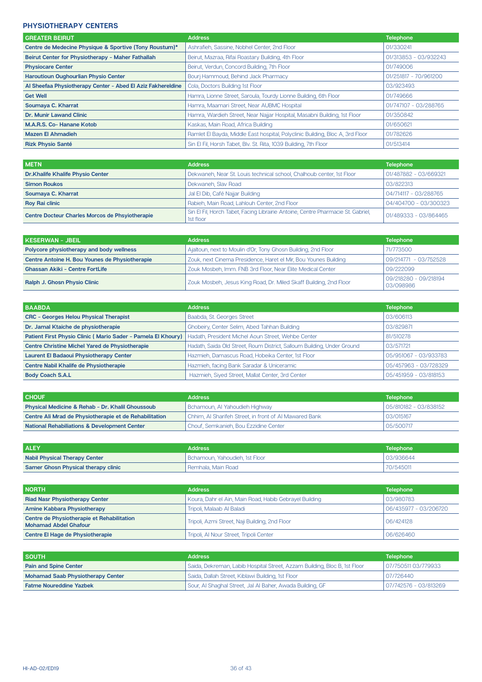#### **PHYSIOTHERAPY CENTERS**

| <b>GREATER BEIRUT</b>                                       | <b>Address</b>                                                                | <b>Telephone</b>      |
|-------------------------------------------------------------|-------------------------------------------------------------------------------|-----------------------|
| Centre de Medecine Physique & Sportive (Tony Roustum)*      | Ashrafieh, Sassine, Nobhel Center, 2nd Floor                                  | 01/330241             |
| Beirut Center for Physiotherapy - Maher Fathallah           | Beirut, Mazraa, Rifai Roastary Building, 4th Floor                            | 01/313853 - 03/932243 |
| <b>Physiocare Center</b>                                    | Beirut, Verdun, Concord Building, 7th Floor                                   | 01/749006             |
| <b>Haroutioun Oughourlian Physio Center</b>                 | Bourj Hammoud, Behind Jack Pharmacy                                           | 01/251817 - 70/961200 |
| Al Sheefaa Physiotherapy Center - Abed El Aziz Fakhereldine | Cola, Doctors Building 1st Floor                                              | 03/923493             |
| <b>Get Well</b>                                             | Hamra, Lionne Street, Saroula, Tourdy Lionne Building, 6th Floor              | 01/749666             |
| Soumaya C. Kharrat                                          | Hamra, Maamari Street, Near AUBMC Hospital                                    | 01/747107 - 03/288765 |
| <b>Dr. Munir Lawand Clinic</b>                              | Hamra, Wardieh Street, Near Najjar Hospital, Masabni Building, 1st Floor      | 01/350842             |
| M.A.R.S. Co-Hanane Kotob                                    | Kaskas, Main Road, Africa Building                                            | 01/650621             |
| <b>Mazen El Ahmadieh</b>                                    | Ramlet El Bayda, Middle East hospital, Polyclinic Building, Bloc A, 3rd Floor | 01/782626             |
| <b>Rizk Physio Santé</b>                                    | Sin El Fil, Horsh Tabet, Blv. St. Rita, 1039 Building, 7th Floor              | 01/513414             |

| <b>METN</b>                                            | <b>Address</b>                                                                                | <b>Telephone</b>      |
|--------------------------------------------------------|-----------------------------------------------------------------------------------------------|-----------------------|
| <b>Dr.Khalife Khalife Physio Center</b>                | Dekwaneh, Near St. Louis technical school, Chalhoub center, 1st Floor                         | 01/487882 - 03/669321 |
| <b>Simon Roukos</b>                                    | Dekwaneh, Slav Road                                                                           | 03/822313             |
| Soumaya C. Kharrat                                     | Jal El Dib, Café Najjar Building                                                              | 04/714117 - 03/288765 |
| <b>Roy Rai clinic</b>                                  | Rabieh, Main Road, Lahlouh Center, 2nd Floor                                                  | 04/404700 - 03/300323 |
| <b>Centre Docteur Charles Morcos de Phsyiotherapie</b> | Sin El Fil, Horch Tabet, Facing Librairie Antoine, Centre Pharmacie St. Gabriel,<br>1st floor | 01/489333 - 03/864465 |

| KESERWAN - JBEIL ,                             | <b>Address</b>                                                    | <b>Telephone</b>                   |
|------------------------------------------------|-------------------------------------------------------------------|------------------------------------|
| Polycore physiotherapy and body wellness       | Ajaltoun, next to Moulin d'Or, Tony Ghosn Building, 2nd Floor     | 71/773500                          |
| Centre Antoine H. Bou Younes de Physiotherapie | Zouk, next Cinema Presidence, Haret el Mir, Bou Younes Building   | 09/214771 - 03/752528              |
| <b>Ghassan Akiki - Centre FortLife</b>         | Zouk Mosbeh, Imm. FNB 3rd Floor, Near Elite Medical Center        | 09/222099                          |
| <b>Ralph J. Ghosn Physio Clinic</b>            | Zouk Mosbeh, Jesus King Road, Dr. Miled Skaff Building, 2nd Floor | 09/218280 - 09/218194<br>03/098986 |

| <b>BAABDA</b>                                                | <b>Address</b>                                                          | <b>Telephone</b>      |
|--------------------------------------------------------------|-------------------------------------------------------------------------|-----------------------|
| <b>CRC - Georges Helou Physical Therapist</b>                | Baabda, St. Georges Street                                              | 03/606113             |
| Dr. Jamal Ktaiche de physiotherapie                          | Ghobeiry, Center Selim, Abed Tahhan Building                            | 03/829871             |
| Patient First Physio Clinic (Mario Sader - Pamela El Khoury) | Hadath, President Michel Aoun Street, Wehbe Center                      | 81/510278             |
| <b>Centre Christine Michel Yared de Physiotherapie</b>       | Hadath, Saida Old Street, Roum District, Salloum Building, Under Ground | 03/571721             |
| <b>Laurent El Badaoui Physiotherapy Center</b>               | Hazmieh, Damascus Road, Hobeika Center, 1st Floor                       | 05/951067 - 03/933783 |
| Centre Nabil Khalife de Physiotherapie                       | Hazmieh, facing Bank Saradar & Uniceramic                               | 05/457963 - 03/728329 |
| <b>Body Coach S.A.L</b>                                      | Hazmieh, Siyed Street, Mallat Center, 3rd Center                        | 05/451959 - 03/818153 |

| <b>CHOUF</b>                                            | <b>Address</b>                                         | <b>Telephone</b>      |
|---------------------------------------------------------|--------------------------------------------------------|-----------------------|
| Physical Medicine & Rehab - Dr. Khalil Ghoussoub        | Bchamoun, Al Yahoudieh Highway                         | 05/810182 - 03/838152 |
| Centre Ali Mrad de Physiotherapie et de Rehabilitation  | Chhim, AI Sharifeh Street, in front of AI Mawared Bank | 03/015167             |
| <b>National Rehabiliations &amp; Development Center</b> | Chouf, Semkanieh, Bou Ezzidine Center                  | 05/500717             |

| <b>ALEY</b>                                | <b>Address</b>                 | <b>Telephone</b> |
|--------------------------------------------|--------------------------------|------------------|
| <b>Nabil Physical Therapy Center</b>       | Bchamoun, Yahoudieh, 1st Floor | 03/936644        |
| <b>Samer Ghosn Physical therapy clinic</b> | l Remhala. Main Road           | 70/545011        |

| I NORTH                                                                    | <b>Address</b>                                         | <b>Telephone</b>      |
|----------------------------------------------------------------------------|--------------------------------------------------------|-----------------------|
| <b>Riad Nasr Physiotherapy Center</b>                                      | Koura, Dahr el Ain, Main Road, Habib Gebrayel Building | 03/980783             |
| <b>Amine Kabbara Physiotherapy</b>                                         | Tripoli, Malaab Al Baladi                              | 06/435977 - 03/206720 |
| Centre de Physiotherapie et Rehabilitation<br><b>Mohamad Abdel Ghafour</b> | Tripoli, Azmi Street, Naji Building, 2nd Floor         | 06/424128             |
| Centre El Hage de Physiotherapie                                           | Tripoli, Al Nour Street, Tripoli Center                | 06/626460             |

| <b>SOUTH</b>                             | <b>Address</b>                                                            | <b>Telephone</b>      |
|------------------------------------------|---------------------------------------------------------------------------|-----------------------|
| <b>Pain and Spine Center</b>             | Saida, Dekreman, Labib Hospital Street, Azzam Building, Bloc B, 1st Floor | 07/750511 03/779933   |
| <b>Mohamad Saab Physiotherapy Center</b> | Saida, Dallah Street, Kiblawi Building, 1st Floor                         | 07/726440             |
| <b>Fatme Noureddine Yazbek</b>           | Sour, AI Shaghal Street, Jal AI Baher, Awada Building, GF                 | 07/742576 - 03/813269 |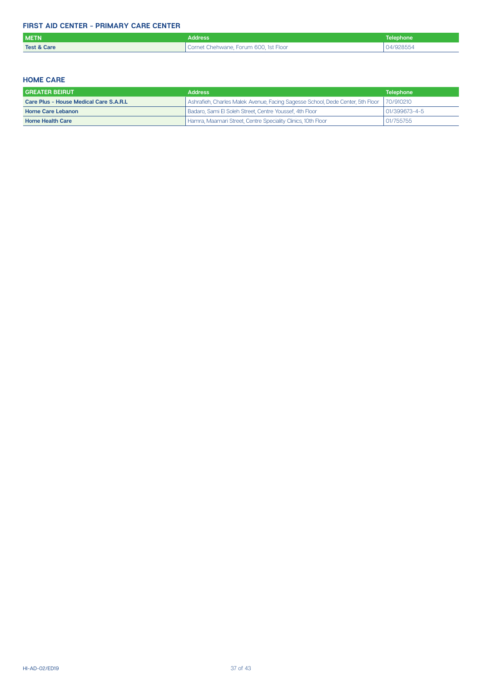### **FIRST AID CENTER - PRIMARY CARE CENTER**

| <b>METN</b>            | <b>Address</b>                        | Telephone <sup> </sup> |
|------------------------|---------------------------------------|------------------------|
| <b>Test &amp; Care</b> | Cornet Chehwane, Forum 600, 1st Floor | 04/928554              |

### **HOME CARE**

| <b>GREATER BEIRUT</b>                  | <b>Address</b>                                                                            | <b>Telephone</b> |
|----------------------------------------|-------------------------------------------------------------------------------------------|------------------|
| Care Plus - House Medical Care S.A.R.L | Shrafieh, Charles Malek Avenue, Facing Sagesse School, Dede Center, 5th Floor   70/910210 |                  |
| <b>Home Care Lebanon</b>               | Badaro, Sami El Soleh Street, Centre Youssef, 4th Floor                                   | 01/399673-4-5    |
| <b>Home Health Care</b>                | Hamra, Maamari Street, Centre Speciality Clinics, 10th Floor                              | 01/755755        |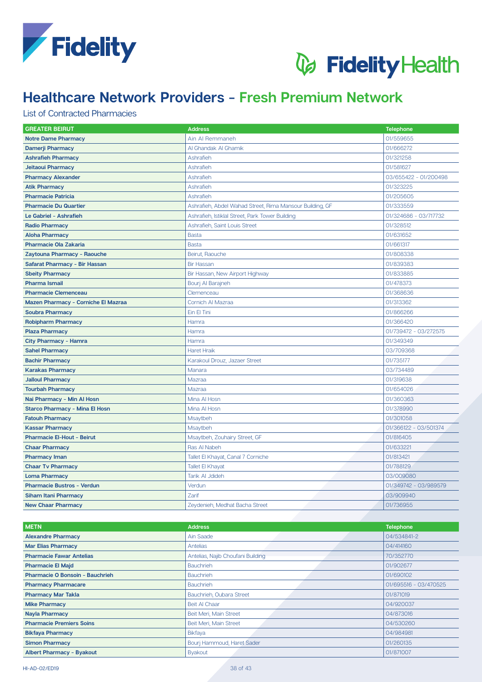



### **List of Contracted Pharmacies**

| <b>GREATER BEIRUT</b>                      | <b>Address</b>                                           | <b>Telephone</b>      |
|--------------------------------------------|----------------------------------------------------------|-----------------------|
| <b>Notre Dame Pharmacy</b>                 | Ain Al Remmaneh                                          | 01/559655             |
| <b>Damerji Pharmacy</b>                    | Al Ghandak Al Ghamik                                     | 01/666272             |
| <b>Ashrafieh Pharmacy</b>                  | Ashrafieh                                                | 01/321258             |
| Jeitaoui Pharmacy                          | Ashrafieh                                                | 01/581627             |
| <b>Pharmacy Alexander</b>                  | Ashrafieh                                                | 03/655422 - 01/200498 |
| <b>Atik Pharmacy</b>                       | Ashrafieh                                                | 01/323225             |
| <b>Pharmacie Patricia</b>                  | Ashrafieh                                                | 01/205605             |
| <b>Pharmacie Du Quartier</b>               | Ashrafieh, Abdel Wahad Street, Rima Mansour Building, GF | 01/333559             |
| Le Gabriel - Ashrafieh                     | Ashrafieh, Istiklal Street, Park Tower Building          | 01/324686 - 03/717732 |
| <b>Radio Pharmacy</b>                      | Ashrafieh, Saint Louis Street                            | 01/328512             |
| <b>Aloha Pharmacy</b>                      | <b>Basta</b>                                             | 01/631652             |
| <b>Pharmacie Ola Zakaria</b>               | <b>Basta</b>                                             | 01/661317             |
| Zaytouna Pharmacy - Raouche                | Beirut, Raouche                                          | 01/808338             |
| Safarat Pharmacy - Bir Hassan              | <b>Bir Hassan</b>                                        | 01/839383             |
| <b>Sbeity Pharmacy</b>                     | Bir Hassan, New Airport Highway                          | 01/833885             |
| <b>Pharma Ismail</b>                       | Bourj Al Barajneh                                        | 01/478373             |
| <b>Pharmacie Clemenceau</b>                | Clemenceau                                               | 01/368636             |
| <b>Mazen Pharmacy - Corniche El Mazraa</b> | Cornich Al Mazraa                                        | 01/313362             |
| <b>Soubra Pharmacy</b>                     | Ein El Tini                                              | 01/866266             |
| <b>Robipharm Pharmacy</b>                  | Hamra                                                    | 01/366420             |
| <b>Plaza Pharmacy</b>                      | Hamra                                                    | 01/739472 - 03/272575 |
| <b>City Pharmacy - Hamra</b>               | Hamra                                                    | 01/349349             |
| <b>Sahel Pharmacy</b>                      | <b>Haret Hraik</b>                                       | 03/709368             |
| <b>Bachir Pharmacy</b>                     | Karakoul Drouz, Jazaer Street                            | 01/735177             |
| <b>Karakas Pharmacy</b>                    | Manara                                                   | 03/734489             |
| <b>Jalloul Pharmacy</b>                    | Mazraa                                                   | 01/319638             |
| <b>Tourbah Pharmacy</b>                    | Mazraa                                                   | 01/654026             |
| Nai Pharmacy - Min Al Hosn                 | Mina Al Hosn                                             | 01/360363             |
| <b>Starco Pharmacy - Mina El Hosn</b>      | Mina Al Hosn                                             | 01/378990             |
| <b>Fatouh Pharmacy</b>                     | Msaytbeh                                                 | 01/301058             |
| <b>Kassar Pharmacy</b>                     | Msaytbeh                                                 | 01/366122 - 03/501374 |
| <b>Pharmacie El-Hout - Beirut</b>          | Msaytbeh, Zouhairy Street, GF                            | 01/816405             |
| <b>Chaar Pharmacy</b>                      | Ras Al Nabeh                                             | 01/633221             |
| <b>Pharmacy Iman</b>                       | Tallet El Khayat, Canal 7 Corniche                       | 01/813421             |
| <b>Chaar Tv Pharmacy</b>                   | <b>Tallet El Khayat</b>                                  | 01/788129             |
| <b>Loma Pharmacy</b>                       | Tarik Al Jdideh                                          | 03/009080             |
| <b>Pharmacie Bustros - Verdun</b>          | Verdun                                                   | 01/349742 - 03/989579 |
| <b>Siham Itani Pharmacy</b>                | Zarif                                                    | 03/909940             |
| <b>New Chaar Pharmacy</b>                  | Zeydenieh, Medhat Bacha Street                           | 01/736955             |

| <b>METN</b>                            | <b>Address</b>                    | <b>Telephone</b>      |
|----------------------------------------|-----------------------------------|-----------------------|
| <b>Alexandre Pharmacy</b>              | Ain Saade                         | 04/534841-2           |
| <b>Mar Elias Pharmacy</b>              | <b>Antelias</b>                   | 04/414160             |
| <b>Pharmacie Fawar Antelias</b>        | Antelias, Najib Choufani Building | 70/352770             |
| <b>Pharmacie El Majd</b>               | <b>Bauchrieh</b>                  | 01/902677             |
| <b>Pharmacie O Bonsoin - Bauchrieh</b> | <b>Bauchrieh</b>                  | 01/690102             |
| <b>Pharmacy Pharmacare</b>             | <b>Bauchrieh</b>                  | 01/695516 - 03/470525 |
| <b>Pharmacy Mar Takla</b>              | Bauchrieh, Oubara Street          | 01/871019             |
| <b>Mike Pharmacy</b>                   | Beit Al Chaar                     | 04/920037             |
| <b>Nayla Pharmacy</b>                  | Beit Meri, Main Street            | 04/873016             |
| <b>Pharmacie Premiers Soins</b>        | Beit Meri, Main Street            | 04/530260             |
| <b>Bikfaya Pharmacy</b>                | <b>Bikfaya</b>                    | 04/984981             |
| <b>Simon Pharmacy</b>                  | Bourj Hammoud, Haret Sader        | 01/260135             |
| <b>Albert Pharmacy - Byakout</b>       | <b>Byakout</b>                    | 01/871007             |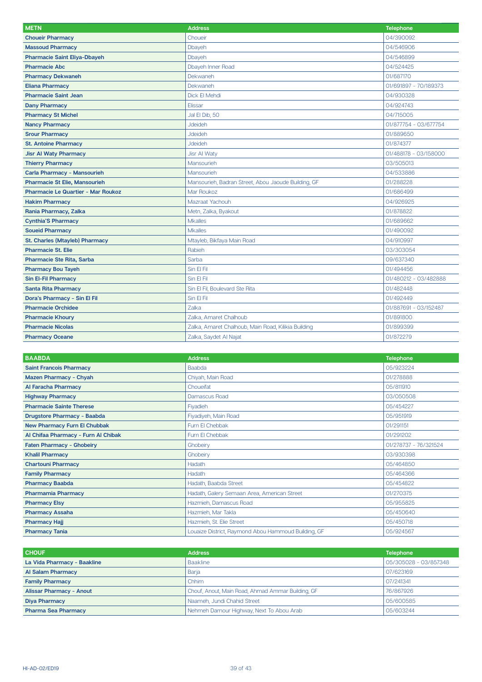| <b>METN</b>                               | <b>Address</b>                                      | <b>Telephone</b>      |
|-------------------------------------------|-----------------------------------------------------|-----------------------|
| <b>Choueir Pharmacy</b>                   | Choueir                                             | 04/390092             |
| <b>Massoud Pharmacy</b>                   | Dbayeh                                              | 04/546906             |
| <b>Pharmacie Saint Eliya-Dbayeh</b>       | Dbayeh                                              | 04/546899             |
| <b>Pharmacie Abc</b>                      | <b>Dbayeh Inner Road</b>                            | 04/524425             |
| <b>Pharmacy Dekwaneh</b>                  | <b>Dekwaneh</b>                                     | 01/687170             |
| <b>Eliana Pharmacy</b>                    | Dekwaneh                                            | 01/691897 - 70/189373 |
| <b>Pharmacie Saint Jean</b>               | Dick El Mehdi                                       | 04/930328             |
| <b>Dany Pharmacy</b>                      | Elissar                                             | 04/924743             |
| <b>Pharmacy St Michel</b>                 | Jal El Dib, 50                                      | 04/715005             |
| <b>Nancy Pharmacy</b>                     | <b>Jdeideh</b>                                      | 01/877754 - 03/677754 |
| <b>Srour Pharmacy</b>                     | <b>Jdeideh</b>                                      | 01/889650             |
| <b>St. Antoine Pharmacy</b>               | <b>Jdeideh</b>                                      | 01/874377             |
| <b>Jisr Al Waty Pharmacy</b>              | <b>Jisr Al Waty</b>                                 | 01/488178 - 03/158000 |
| <b>Thierry Pharmacy</b>                   | Mansourieh                                          | 03/505013             |
| <b>Carla Pharmacy - Mansourieh</b>        | Mansourieh                                          | 04/533886             |
| <b>Pharmacie St Elie, Mansourieh</b>      | Mansourieh, Badran Street, Abou Jaoude Building, GF | 01/288228             |
| <b>Pharmacie Le Quartier - Mar Roukoz</b> | Mar Roukoz                                          | 01/686499             |
| <b>Hakim Pharmacy</b>                     | Mazraat Yachouh                                     | 04/926925             |
| Rania Pharmacy, Zalka                     | Metn, Zalka, Byakout                                | 01/878822             |
| <b>Cynthia'S Pharmacy</b>                 | <b>Mkalles</b>                                      | 01/689662             |
| <b>Soueid Pharmacy</b>                    | <b>Mkalles</b>                                      | 01/490092             |
| <b>St. Charles (Mtayleb) Pharmacy</b>     | Mtayleb, Bikfaya Main Road                          | 04/910997             |
| <b>Pharmacie St. Elie</b>                 | Rabieh                                              | 03/303054             |
| <b>Pharmacie Ste Rita, Sarba</b>          | Sarba                                               | 09/637340             |
| <b>Pharmacy Bou Tayeh</b>                 | Sin El Fil                                          | 01/494456             |
| <b>Sin El-Fil Pharmacy</b>                | Sin El Fil                                          | 01/480212 - 03/482888 |
| <b>Santa Rita Pharmacy</b>                | Sin El Fil, Boulevard Ste Rita                      | 01/482448             |
| Dora's Pharmacy - Sin El Fil              | Sin El Fil                                          | 01/492449             |
| <b>Pharmacie Orchidee</b>                 | Zalka                                               | 01/887691 - 03/152487 |
| <b>Pharmacie Khoury</b>                   | Zalka, Amaret Chalhoub                              | 01/891800             |
| <b>Pharmacie Nicolas</b>                  | Zalka, Amaret Chalhoub, Main Road, Kilikia Building | 01/899399             |
| <b>Pharmacy Oceane</b>                    | Zalka, Saydet Al Najat                              | 01/872279             |

| <b>BAABDA</b>                       | <b>Address</b>                                      | <b>Telephone</b>      |
|-------------------------------------|-----------------------------------------------------|-----------------------|
| <b>Saint Francois Pharmacy</b>      | Baabda                                              | 05/923224             |
| <b>Mazen Pharmacy - Chyah</b>       | Chiyah, Main Road                                   | 01/278888             |
| Al Faracha Pharmacy                 | Choueifat                                           | 05/811910             |
| <b>Highway Pharmacy</b>             | Damascus Road                                       | 03/050508             |
| <b>Pharmacie Sainte Therese</b>     | Fiyadieh                                            | 05/454227             |
| <b>Drugstore Pharmacy - Baabda</b>  | Fiyadiyeh, Main Road                                | 05/951919             |
| <b>New Pharmacy Furn El Chubbak</b> | Furn El Chebbak                                     | 01/291151             |
| Al Chifaa Pharmacy - Furn Al Chibak | Furn El Chebbak                                     | 01/291202             |
| <b>Faten Pharmacy - Ghobeiry</b>    | Ghobeiry                                            | 01/278737 - 76/321524 |
| <b>Khalil Pharmacy</b>              | Ghobeiry                                            | 03/930398             |
| <b>Chartouni Pharmacy</b>           | Hadath                                              | 05/464850             |
| <b>Family Pharmacy</b>              | Hadath                                              | 05/464366             |
| <b>Pharmacy Baabda</b>              | Hadath, Baabda Street                               | 05/454822             |
| <b>Pharmamia Pharmacy</b>           | Hadath, Galery Semaan Area, American Street         | 01/270375             |
| <b>Pharmacy Elsy</b>                | Hazmieh, Damascus Road                              | 05/955825             |
| <b>Pharmacy Assaha</b>              | Hazmieh, Mar Takla                                  | 05/450640             |
| <b>Pharmacy Hajj</b>                | Hazmieh, St. Elie Street                            | 05/450718             |
| <b>Pharmacy Tania</b>               | Louaize District, Raymond Abou Hammoud Building, GF | 05/924567             |

| <b>CHOUF</b>                    | <b>Address</b>                                    | <b>Telephone</b>      |
|---------------------------------|---------------------------------------------------|-----------------------|
| La Vida Pharmacy - Baakline     | <b>Baakline</b>                                   | 05/305028 - 03/857348 |
| Al Salam Pharmacy               | Barja                                             | 07/623169             |
| <b>Family Pharmacy</b>          | Chhim                                             | 07/241341             |
| <b>Alissar Pharmacy - Anout</b> | Chouf, Anout, Main Road, Ahmad Ammar Building, GF | 76/867926             |
| <b>Diya Pharmacy</b>            | Naameh, Jundi Chahid Street                       | 05/600585             |
| <b>Pharma Sea Pharmacy</b>      | Nehmeh Damour Highway, Next To Abou Arab          | 05/603244             |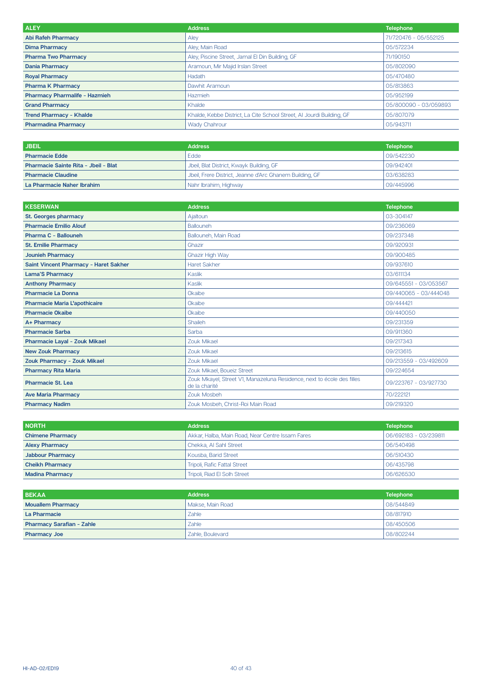| <b>ALEY</b>                          | <b>Address</b>                                                        | <b>Telephone</b>      |
|--------------------------------------|-----------------------------------------------------------------------|-----------------------|
| <b>Abi Rafeh Pharmacy</b>            | Aley                                                                  | 71/720476 - 05/552125 |
| <b>Dima Pharmacy</b>                 | Aley, Main Road                                                       | 05/572234             |
| <b>Pharma Two Pharmacy</b>           | Aley, Piscine Street, Jamal El Din Building, GF                       | 71/190150             |
| <b>Dania Pharmacy</b>                | Aramoun, Mir Majid Irslan Street                                      | 05/802090             |
| <b>Royal Pharmacy</b>                | Hadath                                                                | 05/470480             |
| <b>Pharma K Pharmacy</b>             | Dawhit Aramoun                                                        | 05/813863             |
| <b>Pharmacy Pharmalife - Hazmieh</b> | Hazmieh                                                               | 05/952199             |
| <b>Grand Pharmacy</b>                | Khalde                                                                | 05/800090 - 03/059893 |
| <b>Trend Pharmacy - Khalde</b>       | Khalde, Kebbe District, La Cite School Street, Al Jourdi Building, GF | 05/807079             |
| <b>Pharmadina Pharmacy</b>           | <b>Wady Chahrour</b>                                                  | 05/943711             |

| <b>JBEIL</b>                         | <b>Address</b>                                          | <b>Telephone</b> |
|--------------------------------------|---------------------------------------------------------|------------------|
| <b>Pharmacie Edde</b>                | <b>Edde</b>                                             | 09/542230        |
| Pharmacie Sainte Rita - Jbeil - Blat | Jbeil, Blat District, Kwayk Building, GF                | 09/942401        |
| <b>Pharmacie Claudine</b>            | Jbeil, Frere District, Jeanne d'Arc Ghanem Building, GF | 03/638283        |
| La Pharmacie Naher Ibrahim           | Nahr Ibrahim, Highway                                   | 09/445996        |

| <b>KESERWAN</b>                       | <b>Address</b>                                                                          | <b>Telephone</b>      |
|---------------------------------------|-----------------------------------------------------------------------------------------|-----------------------|
| <b>St. Georges pharmacy</b>           | Ajaltoun                                                                                | 03-304147             |
| <b>Pharmacie Emilio Alouf</b>         | Ballouneh                                                                               | 09/236069             |
| Pharma C - Ballouneh                  | Ballouneh, Main Road                                                                    | 09/237348             |
| <b>St. Emilie Pharmacy</b>            | Ghazir                                                                                  | 09/920931             |
| <b>Jounieh Pharmacy</b>               | <b>Ghazir High Way</b>                                                                  | 09/900485             |
| Saint Vincent Pharmacy - Haret Sakher | <b>Haret Sakher</b>                                                                     | 09/937610             |
| <b>Lama'S Pharmacy</b>                | <b>Kaslik</b>                                                                           | 03/611134             |
| <b>Anthony Pharmacy</b>               | Kaslik                                                                                  | 09/645551 - 03/053567 |
| <b>Pharmacie La Donna</b>             | Okaibe                                                                                  | 09/440065 - 03/444048 |
| <b>Pharmacie Maria L'apothicaire</b>  | Okaibe                                                                                  | 09/444421             |
| <b>Pharmacie Okaibe</b>               | Okaibe                                                                                  | 09/440050             |
| A+ Pharmacy                           | Shaileh                                                                                 | 09/231359             |
| <b>Pharmacie Sarba</b>                | Sarba                                                                                   | 09/911360             |
| <b>Pharmacie Layal - Zouk Mikael</b>  | Zouk Mikael                                                                             | 09/217343             |
| <b>New Zouk Pharmacy</b>              | <b>Zouk Mikael</b>                                                                      | 09/213615             |
| Zouk Pharmacy - Zouk Mikael           | <b>Zouk Mikael</b>                                                                      | 09/213559 - 03/492609 |
| <b>Pharmacy Rita Maria</b>            | Zouk Mikael, Boueiz Street                                                              | 09/224654             |
| Pharmacie St. Lea                     | Zouk Mkayel, Street V1, Manazeluna Residence, next to école des filles<br>de la charité | 09/223767 - 03/927730 |
| <b>Ave Maria Pharmacy</b>             | Zouk Mosbeh                                                                             | 70/222121             |
| <b>Pharmacy Nadim</b>                 | Zouk Mosbeh, Christ-Roi Main Road                                                       | 09/219320             |

| <b>NORTH</b>            | <b>Address</b>                                   | <b>Telephone</b>      |
|-------------------------|--------------------------------------------------|-----------------------|
| <b>Chimene Pharmacy</b> | Akkar, Halba, Main Road, Near Centre Issam Fares | 06/692183 - 03/239811 |
| <b>Alexy Pharmacy</b>   | Chekka, Al Sahl Street                           | 06/540498             |
| <b>Jabbour Pharmacy</b> | Kousba, Barid Street                             | 06/510430             |
| <b>Cheikh Pharmacy</b>  | Tripoli, Rafic Fattal Street                     | 06/435798             |
| <b>Madina Pharmacy</b>  | Tripoli, Riad El Solh Street                     | 06/626530             |

| <b>BEKAA</b>                     | <b>Address</b>   | <b>Telephone</b> |
|----------------------------------|------------------|------------------|
| <b>Mouallem Pharmacy</b>         | Makse, Main Road | 08/544849        |
| La Pharmacie                     | Zahle            | 08/817910        |
| <b>Pharmacy Sarafian - Zahle</b> | Zahle            | 08/450506        |
| <b>Pharmacy Joe</b>              | Zahle, Boulevard | 08/802244        |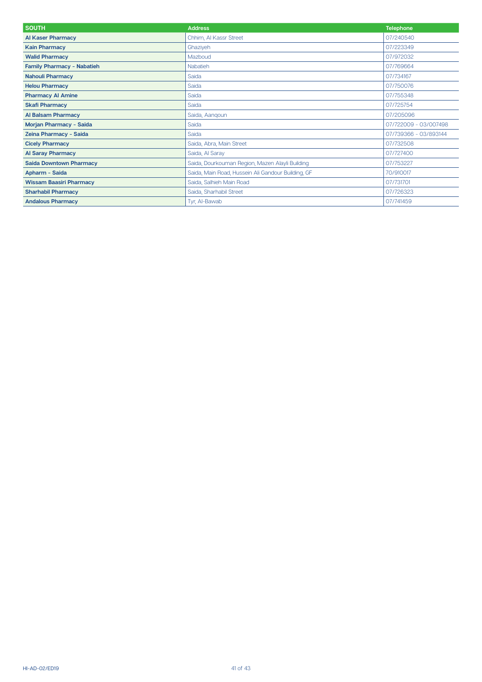| <b>SOUTH</b>                      | <b>Address</b>                                     | <b>Telephone</b>      |
|-----------------------------------|----------------------------------------------------|-----------------------|
| <b>Al Kaser Pharmacy</b>          | Chhim, Al Kassr Street                             | 07/240540             |
| <b>Kain Pharmacy</b>              | Ghaziyeh                                           | 07/223349             |
| <b>Walid Pharmacy</b>             | Mazboud                                            | 07/972032             |
| <b>Family Pharmacy - Nabatieh</b> | <b>Nabatieh</b>                                    | 07/769664             |
| <b>Nahouli Pharmacy</b>           | Saida                                              | 07/734167             |
| <b>Helou Pharmacy</b>             | Saida                                              | 07/750076             |
| <b>Pharmacy AI Amine</b>          | Saida                                              | 07/755348             |
| <b>Skafi Pharmacy</b>             | Saida                                              | 07/725754             |
| <b>Al Balsam Pharmacy</b>         | Saida, Aangoun                                     | 07/205096             |
| Morjan Pharmacy - Saida           | Saida                                              | 07/722009 - 03/007498 |
| Zeina Pharmacy - Saida            | Saida                                              | 07/739366 - 03/893144 |
| <b>Cicely Pharmacy</b>            | Saida, Abra, Main Street                           | 07/732508             |
| <b>Al Saray Pharmacy</b>          | Saida, Al Saray                                    | 07/727400             |
| <b>Saida Downtown Pharmacy</b>    | Saida, Dourkouman Region, Mazen Alayli Building    | 07/753227             |
| Apharm - Saida                    | Saida, Main Road, Hussein Ali Gandour Building, GF | 70/910017             |
| <b>Wissam Baasiri Pharmacy</b>    | Saida, Salhieh Main Road                           | 07/731701             |
| <b>Sharhabil Pharmacy</b>         | Saida, Sharhabil Street                            | 07/726323             |
| <b>Andalous Pharmacy</b>          | Tyr, Al-Bawab                                      | 07/741459             |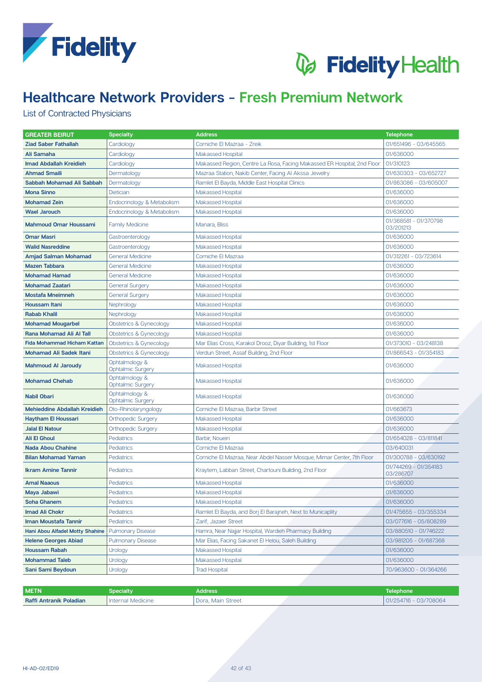



### List of Contracted Physicians

| <b>GREATER BEIRUT</b>               | <b>Specialty</b>                           | <b>Address</b>                                                          | <b>Telephone</b>                   |
|-------------------------------------|--------------------------------------------|-------------------------------------------------------------------------|------------------------------------|
| <b>Ziad Saber Fathallah</b>         | Cardiology                                 | Corniche El Mazraa - Zreik                                              | 01/651496 - 03/645565              |
| Ali Samaha                          | Cardiology                                 | <b>Makassed Hospital</b>                                                | 01/636000                          |
| <b>Imad Abdallah Kreidieh</b>       | Cardiology                                 | Makassed Region, Centre La Rosa, Facing Makassed ER Hospital, 2nd Floor | 01/310123                          |
| <b>Ahmad Smaili</b>                 | Dermatology                                | Mazraa Station, Nakib Center, Facing Al Akssa Jewelry                   | 01/630303 - 03/652727              |
| Sabbah Mohamad Ali Sabbah           | Dermatology                                | Ramlet El Bayda, Middle East Hospital Clinics                           | 01/863086 - 03/605007              |
| <b>Mona Sinno</b>                   | <b>Dietician</b>                           | <b>Makassed Hospital</b>                                                | 01/636000                          |
| <b>Mohamad Zein</b>                 | Endocrinology & Metabolism                 | <b>Makassed Hospital</b>                                                | 01/636000                          |
| <b>Wael Jarouch</b>                 | Endocrinology & Metabolism                 | <b>Makassed Hospital</b>                                                | 01/636000                          |
| <b>Mahmoud Omar Houssami</b>        | <b>Family Medicine</b>                     | Manara, Bliss                                                           | 01/368581 - 01/370798<br>03/201213 |
| <b>Omar Masri</b>                   | Gastroenterology                           | <b>Makassed Hospital</b>                                                | 01/636000                          |
| <b>Walid Nasreddine</b>             | Gastroenterology                           | <b>Makassed Hospital</b>                                                | 01/636000                          |
| Amjad Salman Mohamad                | <b>General Medicine</b>                    | Corniche El Mazraa                                                      | 01/312261 - 03/723614              |
| <b>Mazen Tabbara</b>                | <b>General Medicine</b>                    | <b>Makassed Hospital</b>                                                | 01/636000                          |
| <b>Mohamad Hamad</b>                | <b>General Medicine</b>                    | <b>Makassed Hospital</b>                                                | 01/636000                          |
| <b>Mohamad Zaatari</b>              | <b>General Surgery</b>                     | <b>Makassed Hospital</b>                                                | 01/636000                          |
| <b>Mostafa Mneimneh</b>             | <b>General Surgery</b>                     | <b>Makassed Hospital</b>                                                | 01/636000                          |
| <b>Houssam Itani</b>                | Nephrology                                 | <b>Makassed Hospital</b>                                                | 01/636000                          |
| <b>Rabab Khalil</b>                 | Nephrology                                 | <b>Makassed Hospital</b>                                                | 01/636000                          |
| <b>Mohamad Mougarbel</b>            | Obstetrics & Gynecology                    | <b>Makassed Hospital</b>                                                | 01/636000                          |
| Rana Mohamad Ali Al Tall            | Obstetrics & Gynecology                    | <b>Makassed Hospital</b>                                                | 01/636000                          |
| <b>Fida Mohammad Hicham Kattan</b>  | Obstetrics & Gynecology                    | Mar Elias Cross, Karakol Drooz, Diyar Building, 1st Floor               | 01/373010 - 03/248138              |
| <b>Mohamad Ali Sadek Itani</b>      | Obstetrics & Gynecology                    | Verdun Street, Assaf Building, 2nd Floor                                | 01/866543 - 01/354183              |
| <b>Mahmoud AI Jaroudy</b>           | Ophtalmology &<br><b>Ophtalmic Surgery</b> | <b>Makassed Hospital</b>                                                | 01/636000                          |
| <b>Mohamad Chehab</b>               | Ophtalmology &<br><b>Ophtalmic Surgery</b> | <b>Makassed Hospital</b>                                                | 01/636000                          |
| <b>Nabil Obari</b>                  | Ophtalmology &<br><b>Ophtalmic Surgery</b> | <b>Makassed Hospital</b>                                                | 01/636000                          |
| <b>Mehieddine Abdallah Kreidieh</b> | Oto-Rhinolaryngology                       | Corniche El Mazraa, Barbir Street                                       | 01/663673                          |
| <b>Haytham El Houssari</b>          | <b>Orthopedic Surgery</b>                  | <b>Makassed Hospital</b>                                                | 01/636000                          |
| <b>Jalal El Natour</b>              | <b>Orthopedic Surgery</b>                  | <b>Makassed Hospital</b>                                                | 01/636000                          |
| <b>Ali El Ghoul</b>                 | <b>Pediatrics</b>                          | Barbir, Noueiri                                                         | 01/654028 - 03/811841              |
| <b>Nada Abou Chahine</b>            | <b>Pediatrics</b>                          | Corniche El Mazraa                                                      | 03/640031                          |
| <b>Bilan Mohamad Yaman</b>          | Pediatrics                                 | Corniche El Mazraa, Near Abdel Nasser Mosque, Mimar Center, 7th Floor   | 01/300788 - 03/630192              |
| <b>Ikram Amine Tannir</b>           | Pediatrics                                 | Kraytem, Labban Street, Chartouni Building, 2nd Floor                   | 01/744269 - 01/354183<br>03/286707 |
| <b>Amal Naaous</b>                  | Pediatrics                                 | <b>Makassed Hospital</b>                                                | 01/636000                          |
| Maya Jabawi                         | Pediatrics                                 | <b>Makassed Hospital</b>                                                | 01/636000                          |
| <b>Soha Ghanem</b>                  | Pediatrics                                 | <b>Makassed Hospital</b>                                                | 01/636000                          |
| <b>Imad Ali Chokr</b>               | Pediatrics                                 | Ramlet El Bayda, and Borj El Barajneh, Next to Municaplity              | 01/475655 - 03/355334              |
| Iman Moustafa Tannir                | Pediatrics                                 | Zarif, Jazaer Street                                                    | 03/077616 - 05/808289              |
| Hani Abou Alfadel Motty Shahine     | <b>Pulmonary Disease</b>                   | Hamra, Near Najjar Hospital, Wardieh Pharmacy Building                  | 03/880510 - 01/746222              |
| <b>Helene Georges Abiad</b>         | <b>Pulmonary Disease</b>                   | Mar Elias, Facing Sakanet El Helou, Saleh Building                      | 03/981205 - 01/687368              |
| <b>Houssam Rabah</b>                | Urology                                    | <b>Makassed Hospital</b>                                                | 01/636000                          |
| <b>Mohammad Taleb</b>               | Urology                                    | Makassed Hospital                                                       | 01/636000                          |
| Sani Sami Beydoun                   | Urology                                    | <b>Trad Hospital</b>                                                    | 70/963600 - 01/364266              |
|                                     |                                            |                                                                         |                                    |

| <b>METN</b>                    | Specialtv         | <b>Address</b>    | Telephone'               |
|--------------------------------|-------------------|-------------------|--------------------------|
| <b>Raffi Antranik Poladian</b> | Internal Medicine | Dora, Main Street | $101/254716 - 03/708064$ |